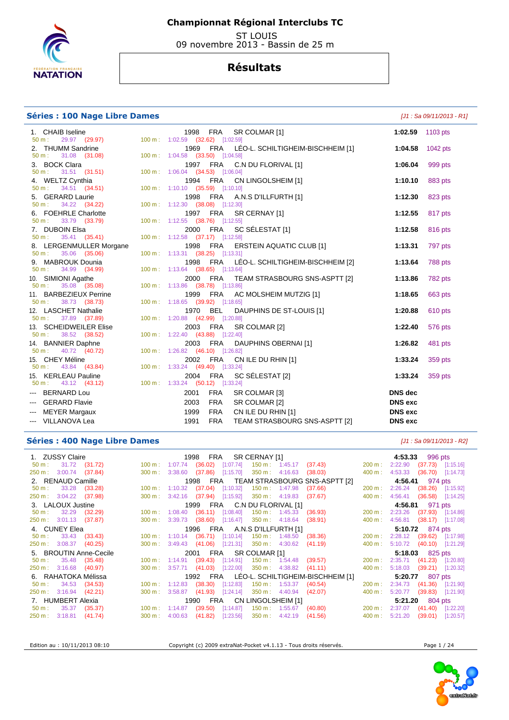

 ST LOUIS 09 novembre 2013 - Bassin de 25 m

## **Résultats**

#### **Séries : 100 Nage Libre Dames Contract Contract Contract Contract Contract Contract Contract Contract Contract Contract Contract Contract Contract Contract Contract Contract Contract Contract Contract Contract Contract**

| 1. CHAIB Iseline<br>$50 m$ :                                                                                                                                                                                                                                                                                                                                                                                                                                                                       | 1998 FRA<br>SR COLMAR [1]<br>29.97 (29.97) 100 m : 1:02.59 (32.62) [1:02.59]      | 1:02.59 1103 pts                 |         |
|----------------------------------------------------------------------------------------------------------------------------------------------------------------------------------------------------------------------------------------------------------------------------------------------------------------------------------------------------------------------------------------------------------------------------------------------------------------------------------------------------|-----------------------------------------------------------------------------------|----------------------------------|---------|
| 2. THUMM Sandrine<br>31.08 (31.08)<br>50 m:                                                                                                                                                                                                                                                                                                                                                                                                                                                        | 1969 FRA<br>LÉO-L. SCHILTIGHEIM-BISCHHEIM [1]<br>100 m: 1:04.58 (33.50) [1:04.58] | 1:04.58 1042 pts                 |         |
| 3. BOCK Clara<br>31.51 (31.51)<br>50 m:                                                                                                                                                                                                                                                                                                                                                                                                                                                            | 1997 FRA C.N DU FLORIVAL [1]<br>100 m: 1:06.04 (34.53) [1:06.04]                  | 1:06.04                          | 999 pts |
| 4. WELTZ Cynthia<br>34.51 (34.51)<br>$50 m$ :                                                                                                                                                                                                                                                                                                                                                                                                                                                      | 1994 FRA<br>CN LINGOLSHEIM [1]<br>100 m: 1:10.10 (35.59) [1:10.10]                | 1:10.10                          | 883 pts |
| 5. GERARD Laurie<br>34.22 (34.22)<br>50 m:                                                                                                                                                                                                                                                                                                                                                                                                                                                         | 1998 FRA A.N.S D'ILLFURTH [1]<br>100 m: 1:12.30 (38.08) [1:12.30]                 | 1:12.30                          | 823 pts |
| 6. FOEHRLE Charlotte<br>33.79 ( <b>33.79</b> )<br>$50 m$ :                                                                                                                                                                                                                                                                                                                                                                                                                                         | 1997 FRA<br>SR CERNAY [1]<br>100 m: 1:12.55 (38.76) [1:12.55]                     | 1:12.55                          | 817 pts |
| 7. DUBOIN Elsa<br>35.41 (35.41)<br>50 m:                                                                                                                                                                                                                                                                                                                                                                                                                                                           | 2000 FRA<br>SC SÉLESTAT [1]<br>100 m: 1:12.58 (37.17) [1:12.58]                   | 1:12.58                          | 816 pts |
| 8. LERGENMULLER Morgane<br>35.06 (35.06)<br>$50 m$ :                                                                                                                                                                                                                                                                                                                                                                                                                                               | 1998 FRA<br>ERSTEIN AQUATIC CLUB [1]<br>100 m: 1:13.31 (38.25) [1:13.31]          | 1:13.31                          | 797 pts |
| 9. MABROUK Dounia<br>34.99 (34.99)<br>50 m:                                                                                                                                                                                                                                                                                                                                                                                                                                                        | LÉO-L. SCHILTIGHEIM-BISCHHEIM [2]<br>1998 FRA<br>100 m: 1:13.64 (38.65) [1:13.64] | 1:13.64                          | 788 pts |
| 10. SIMIONI Agathe<br>$35.08$ $(35.08)$<br>$50 m$ :                                                                                                                                                                                                                                                                                                                                                                                                                                                | 2000 FRA<br>TEAM STRASBOURG SNS-ASPTT [2]<br>100 m: 1:13.86 (38.78) [1:13.86]     | 1:13.86                          | 782 pts |
| 11. BARBEZIEUX Perrine<br>38.73 (38.73)<br>$50 m$ :                                                                                                                                                                                                                                                                                                                                                                                                                                                | 1999 FRA AC MOLSHEIM MUTZIG [1]<br>100 m: 1:18.65 (39.92) [1:18.65]               | 1:18.65                          | 663 pts |
| 12. LASCHET Nathalie<br>37.89 (37.89)<br>$50 m$ :                                                                                                                                                                                                                                                                                                                                                                                                                                                  | 1970 BEL<br>DAUPHINS DE ST-LOUIS [1]<br>100 m: 1:20.88 (42.99) [1:20.88]          | 1:20.88                          | 610 pts |
| 13. SCHEIDWEILER Elise<br>38.52 (38.52)<br>50 m:                                                                                                                                                                                                                                                                                                                                                                                                                                                   | 2003 FRA<br>SR COLMAR [2]<br>100 m: 1:22.40 (43.88) [1:22.40]                     | 1:22.40                          | 576 pts |
| 14. BANNIER Daphne<br>40.72 (40.72)<br>50 m:                                                                                                                                                                                                                                                                                                                                                                                                                                                       | 2003 FRA<br>DAUPHINS OBERNAI [1]<br>100 m: 1:26.82 (46.10) [1:26.82]              | 1:26.82                          | 481 pts |
| 15. CHEY Méline<br>50 m : 43.84 (43.84)                                                                                                                                                                                                                                                                                                                                                                                                                                                            | 2002 FRA<br>CN ILE DU RHIN [1]<br>100 m: 1:33.24 (49.40) [1:33.24]                | 1:33.24                          | 359 pts |
| 15. KERLEAU Pauline<br>43.12 (43.12)<br>50 m:                                                                                                                                                                                                                                                                                                                                                                                                                                                      | SC SÉLESTAT [2]<br><b>FRA</b><br>2004<br>100 m: 1:33.24 (50.12) [1:33.24]         | 1:33.24                          | 359 pts |
| <b>BERNARD Lou</b><br><b>Service</b><br><b>GERARD Flavie</b>                                                                                                                                                                                                                                                                                                                                                                                                                                       | <b>FRA</b><br>2001<br>SR COLMAR [3]<br><b>FRA</b><br>SR COLMAR [2]<br>2003        | <b>DNS</b> dec<br><b>DNS</b> exc |         |
| $\frac{1}{2} \left( \frac{1}{2} \right) \left( \frac{1}{2} \right) \left( \frac{1}{2} \right) \left( \frac{1}{2} \right) \left( \frac{1}{2} \right) \left( \frac{1}{2} \right) \left( \frac{1}{2} \right) \left( \frac{1}{2} \right) \left( \frac{1}{2} \right) \left( \frac{1}{2} \right) \left( \frac{1}{2} \right) \left( \frac{1}{2} \right) \left( \frac{1}{2} \right) \left( \frac{1}{2} \right) \left( \frac{1}{2} \right) \left( \frac{1}{2} \right) \left( \frac$<br><b>MEYER Margaux</b> | <b>FRA</b><br>CN ILE DU RHIN [1]<br>1999                                          | <b>DNS</b> exc                   |         |
| --- VILLANOVA Lea                                                                                                                                                                                                                                                                                                                                                                                                                                                                                  | 1991<br><b>FRA</b><br>TEAM STRASBOURG SNS-ASPTT [2]                               | <b>DNS</b> exc                   |         |

#### **Séries : 400 Nage Libre Dames Contract Contract Contract Contract Contract Contract Contract Contract Contract Contract Contract Contract Contract Contract Contract Contract Contract Contract Contract Contract Contract**

1. ZUSSY Claire 1996 pts 1998 FRA SR CERNAY [1] 1. 2USSY Claire 11.72 (31.72) 100 m: 1:07.74 (36.02) [1:07.74] 150 m: 1:45.17 (37.43) 200 m: 2:22.90 (37.73) [1:<br>1.250 m: 3:00.74 (37.84) 300 m: 3:38.60 (37.86) [1:15.70] 350 50 m : 31.72 (31.72) 100 m : 1:07.74 (36.02) [1:07.74] 150 m : 1:45.17 (37.43) 200 m : 2:22.90 (37.73) [1:15.16] 250 m : 3:00.74 (37.84) 300 m : 3:38.60 (37.86) [1:15.70] 350 m : 4:16.63 (38.03) 400 m : 4:53.33 (36.70) [1:14.73] 2. RENAUD Camille 1998 FRA TEAM STRASBOURG SNS-ASPTT [2] **4:56.41** 974 pts<br>50 m : 33.28 (33.28) 100 m : 1:10.32 (37.04) [1:10.32] 150 m : 1:47.98 (37.66) 200 m : 2:26.24 (38.26) [1:15.92] 50 m : 33.28 (33.28) 100 m : 1:10.32 (37.04) [1:10.32] 150 m : 1:47.98 (37.66) 200 m : 2:26.24 (38.26) [1:15.92] 250 m : 3:04.22 (37.98) 300 m : 3:42.16 (37.94) [1:15.92] 350 m : 4:19.83 (37.67) 400 m : 4:56.41 (36.58) [1:14.25] 3. LALOUX Justine 1999 FRA C.N DU FLORIVAL [1] **4:56.81** 971 pts 50 m : 32.29 (32.29) 100 m : 1:08.40 (36.11) [1:08.40] 150 m : 1:45.33 (36.93) 200 m : 2:23.26 (37.93) [1:14.86] 250 m : 3:01.13 (37.87) 300 m : 3:39.73 (38.60) [1:16.47] 350 m : 4:18.64 (38.91) 400 m : 4:56.81 (38.17) [1:17.08] 4. CUNEY Elea 1996 FRA A.N.S D'ILLFURTH [1] 5:**10.72** 874 pts<br>
50 m : 33.43 (33.43) 100 m : 1:10.14 (36.71) [1:10.14] 150 m : 1:48.50 (38.36) 200 m : 2:28.12 (39.62) [1:17.98]<br>
250 m : 3:08.37 (40.25) 300 m : 3:49.43 (41.0 50 m : 33.43 (33.43) 100 m : 1:10.14 (36.71) [1:10.14] 150 m : 1:48.50 (38.36) 200 m : 2:28.12 (39.62) [1:17.98] 250 m : 3:08.37 (40.25) 300 m : 3:49.43 (41.06) [1:21.31] 350 m : 4:30.62 (41.19) 400 m : 5:10.72 (40.10) [1:21.29] 5. BROUTIN Anne-Cecile 2001 FRA SR COLMAR [1] **5:18.03** 825 pts 50 m : 35.48 (35.48) 100 m : 1:14.91 (39.43) [1:14.91] 250 m : 3:16.68 (40.97) 300 m : 3:57.71 (41.03) [1:22.00] 6. RAHATOKA Mélissa 1992 FRA LÉO-L. SCHILTIGHEIM-BISCHHEIM [1] **5:20.77** 807 pts 50 m : 34.53 (34.53) 100 m : 1:12.83 (38.30) [1:12.83] 150 m : 1:53.37 (40.54) 200 m : 2:34.73 (41.36) [1:21.90] 250 m : 3:16.94 (42.21) 300 m : 3:58.87 (41.93) [1:24.14] 350 m : 4:40.94 (42.07) 400 m : 5:20.77 (39.83) [1:21.90] 7. HUMBERT Alexia 1990 FRA CN LINGOLSHEIM [1] **5:21.20** 804 pts 50 m : 35.37 (35.37) 100 m : 1:14.87 (39.50) [1:14.87] 150 m : 1:55.67 (40.80) 200 m : 2:37.07 (41.40) [1:22.20] 250 m : 3:18.81 (41.74) 300 m : 4:00.63 (41.82) [1:23.56] 350 m : 4:42.19 (41.56) 400 m : 5:21.20 (39.01) [1:20.57]

Edition au : 10/11/2013 08:10 Copyright (c) 2009 extraNat-Pocket v4.1.13 - Tous droits réservés. Page 1 / 24

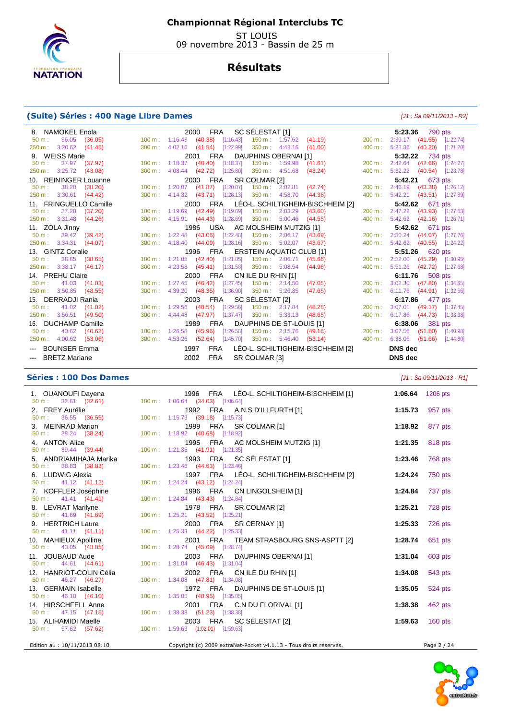

 ST LOUIS 09 novembre 2013 - Bassin de 25 m

# **Résultats**

## **(Suite) Séries : 400 Nage Libre Dames** [J1 : Sa 09/11/2013 - R2]

| 8. NAMOKEL Enola                  | FRA SC SÉLESTAT [1]<br>2000                                           |                        | 5:23.36 790 pts                  |  |  |
|-----------------------------------|-----------------------------------------------------------------------|------------------------|----------------------------------|--|--|
| $50 \text{ m}: 36.05 (36.05)$     | 100 m: 1:16.43  (40.38)  [1:16.43]  150 m: 1:57.62  (41.19)           |                        | 200 m: 2:39.17 (41.55) [1:22.74] |  |  |
| 250 m : 3:20.62 (41.45)           | 300 m : 4:02.16 (41.54) [1:22.99] 350 m : 4:43.16 (41.00)             |                        | 400 m: 5:23.36 (40.20) [1:21.20] |  |  |
| 9. WEISS Marie                    | 2001 FRA DAUPHINS OBERNAI [1]                                         |                        | 5:32.22 734 pts                  |  |  |
| 37.97 (37.97)<br>$50 \text{ m}$ : | 100 m: 1:18.37 (40.40) [1:18.37]<br>150 m: 1:59.98  (41.61)           |                        | 200 m: 2:42.64 (42.66) [1:24.27] |  |  |
| 250 m : 3:25.72 (43.08)           | 300 m : 4:08.44 (42.72) [1:25.80] 350 m : 4:51.68 (43.24)             |                        | 400 m: 5:32.22 (40.54) [1:23.78] |  |  |
| 10. REININGER Louanne             | 2000 FRA SR COLMAR [2]                                                |                        | <b>5:42.21</b> 673 pts           |  |  |
| $50 \text{ m}: 38.20 (38.20)$     | 100 m : 1:20.07 (41.87) [1:20.07] 150 m : 2:02.81 (42.74)             |                        | 200 m: 2:46.19 (43.38) [1:26.12] |  |  |
| 250 m: 3:30.61 (44.42)            | 300 m : 4:14.32 (43.71) [1:28.13] 350 m : 4:58.70 (44.38)             |                        | 400 m: 5:42.21 (43.51) [1:27.89] |  |  |
| 11. FRINGUELLO Camille            | 2000 FRA LÉO-L. SCHILTIGHEIM-BISCHHEIM [2]                            |                        | 5:42.62 671 pts                  |  |  |
| 37.20 (37.20)<br>$50 \text{ m}$ : | 100 m: 1:19.69 (42.49) [1:19.69] 150 m: 2:03.29<br>(43.60)            |                        | 200 m: 2:47.22 (43.93) [1:27.53] |  |  |
| 250 m: 3:31.48 (44.26)            | 300 m: 4:15.91 (44.43) [1:28.69] 350 m: 5:00.46 (44.55)               |                        | 400 m: 5:42.62 (42.16) [1:26.71] |  |  |
| 11. ZOLA Jinny                    | 1986 USA AC MOLSHEIM MUTZIG [1]                                       |                        | 5:42.62 671 pts                  |  |  |
| $50 \text{ m}: 39.42 (39.42)$     | 100 m: 1:22.48 (43.06) [1:22.48] 150 m: 2:06.17 (43.69)               |                        | 200 m: 2:50.24 (44.07) [1:27.76] |  |  |
| 250 m : 3:34.31 (44.07)           | 300 m: 4:18.40 (44.09) [1:28.16] 350 m: 5:02.07 (43.67)               |                        | 400 m: 5:42.62 (40.55) [1:24.22] |  |  |
| 13. GINTZ Coralie                 | 1996 FRA ERSTEIN AQUATIC CLUB [1]                                     | <b>5:51.26</b> 620 pts |                                  |  |  |
| $50 \text{ m}: 38.65 (38.65)$     | 100 m: 1:21.05 (42.40) [1:21.05] 150 m: 2:06.71 (45.66)               |                        | 200 m: 2:52.00 (45.29) [1:30.95] |  |  |
| 250 m: 3:38.17 (46.17)            | 300 m : 4:23.58 (45.41) [1:31.58] 350 m : 5:08.54<br>(44.96)          |                        | 400 m: 5:51.26 (42.72) [1:27.68] |  |  |
| 14. PREHU Claire                  | 2000 FRA CN ILE DU RHIN [1]                                           | 6:11.76 508 pts        |                                  |  |  |
| 41.03 (41.03)<br>$50 \text{ m}$ : | 100 m: 1:27.45 (46.42) [1:27.45] 150 m: 2:14.50<br>(47.05)            |                        | 200 m: 3:02.30 (47.80) [1:34.85] |  |  |
| 250 m: 3:50.85 (48.55)            | 300 m : 4:39.20 (48.35) [1:36.90] 350 m : 5:26.85<br>(47.65)          |                        | 400 m: 6:11.76 (44.91) [1:32.56] |  |  |
| 15. DERRADJI Rania                | 2003 FRA SC SÉLESTAT [2]                                              |                        | 6:17.86 477 pts                  |  |  |
| $50 \text{ m}: 41.02 (41.02)$     | 100 m: 1:29.56 (48.54) [1:29.56] 150 m: 2:17.84 (48.28)               |                        | 200 m: 3:07.01 (49.17) [1:37.45] |  |  |
| 250 m: 3:56.51 (49.50)            | 300 m : 4:44.48 (47.97) [1:37.47]<br>$350 \text{ m}: 5:33.13$ (48.65) | 400 m:                 | $6:17.86$ (44.73) [1:33.38]      |  |  |
| 16. DUCHAMP Camille               | 1989 FRA DAUPHINS DE ST-LOUIS [1]                                     |                        | 6:38.06 381 pts                  |  |  |
| 40.62 (40.62)<br>$50 \text{ m}$ : | 100 m : 1:26.58 (45.96) [1:26.58] 150 m : 2:15.76 (49.18)             | 200 m:                 | 3:07.56 (51.80) [1:40.98]        |  |  |
| 250 m: 4:00.62 (53.06)            | 300 m: 4:53.26 (52.64) [1:45.70] 350 m: 5:46.40 (53.14)               |                        | 400 m: 6:38.06 (51.66) [1:44.80] |  |  |
| --- BOUNSER Emma                  | FRA<br>LEO-L. SCHILTIGHEIM-BISCHHEIM [2]<br>1997                      |                        | <b>DNS</b> dec                   |  |  |
| --- BRETZ Mariane                 | FRA<br>2002<br>SR COLMAR [3]                                          |                        | <b>DNS</b> dec                   |  |  |

## **Séries : 100 Dos Dames** [J1 : Sa 09/11/2013 - R1]

|                                                                   | 1996 FRA LÉO-L. SCHILTIGHEIM-BISCHHEIM [1]                         | 1:06.64 1206 pts     |
|-------------------------------------------------------------------|--------------------------------------------------------------------|----------------------|
|                                                                   |                                                                    |                      |
| 2. FREY Aurélie                                                   | 1992 FRA A.N.S D'ILLFURTH [1]                                      | 1:15.73 957 pts      |
|                                                                   |                                                                    |                      |
| 3. MEINRAD Marion<br>$50 \text{ m}: 38.24 (38.24) 100 \text{ m}:$ | 1999 FRA SR COLMAR [1]                                             | 1:18.92<br>877 pts   |
|                                                                   | 100 m: 1:18.92 (40.68) [1:18.92]                                   |                      |
| 4. ANTON Alice                                                    | 1995 FRA AC MOLSHEIM MUTZIG [1]                                    | 818 pts<br>1:21.35   |
| $50 \text{ m}: 39.44 (39.44)$                                     | 100 m: 1:21.35 (41.91) [1:21.35]                                   |                      |
| 5. ANDRIAMIHAJA Marika                                            | 1993 FRA SC SÉLESTAT [1]                                           | 1:23.46<br>768 pts   |
| $50 \text{ m}: 38.83 (38.83)$                                     | 100 m: 1:23.46 (44.63) [1:23.46]                                   |                      |
| 6. LUDWIG Alexia                                                  | 1997 FRA LÉO-L. SCHILTIGHEIM-BISCHHEIM [2]                         | 750 pts<br>1:24.24   |
| $50 \text{ m}: 41.12 (41.12)$                                     | 100 m: 1:24.24 (43.12) [1:24.24]                                   |                      |
| 7. KOFFLER Joséphine                                              | 1996 FRA CN LINGOLSHEIM [1]                                        | 737 pts<br>1:24.84   |
| $50 \text{ m}: 41.41 (41.41)$                                     | 100 m: 1:24.84 (43.43) [1:24.84]                                   |                      |
| 8. LEVRAT Marilyne<br>6. LEVRAT Maniyne<br>50 m : 41.69 (41.69)   | 1978 FRA SR COLMAR [2]<br>100 m: 1:25.21 (43.52) [1:25.21]         | 1:25.21<br>728 pts   |
|                                                                   |                                                                    |                      |
| 9. HERTRICH Laure<br>$50 \text{ m}: 41.11 (41.11)$                | 2000 FRA SR CERNAY [1]<br>100 m: 1:25.33 (44.22) [1:25.33]         | 1:25.33<br>726 pts   |
| 10. MAHIEUX Apolline                                              | 2001 FRA TEAM STRASBOURG SNS-ASPTT [2]                             | 1:28.74<br>651 pts   |
| $50 \text{ m}: 43.05 (43.05)$                                     | 100 m: 1:28.74 (45.69) [1:28.74]                                   |                      |
| 11. JOUBAUD Aude                                                  | 2003 FRA DAUPHINS OBERNAI [1]                                      | 603 pts<br>1:31.04   |
| $50 \text{ m}: 44.61 (44.61)$                                     | 100 m: 1:31.04 (46.43) [1:31.04]                                   |                      |
| 12. HANRIOT-COLIN Célia                                           | 2002 FRA CN ILE DU RHIN [1]                                        | 543 pts<br>1:34.08   |
| $50 \text{ m}: 46.27 (46.27)$                                     | 100 m: 1:34.08 (47.81) [1:34.08]                                   |                      |
| 13. GERMAIN Isabelle                                              | 1972 FRA DAUPHINS DE ST-LOUIS [1]                                  | 1:35.05<br>524 pts   |
| 50 m : 46.10 (46.10)                                              | 100 m: 1:35.05 (48.95) [1:35.05]                                   |                      |
| 14. HIRSCHFELL Anne                                               | 2001 FRA C.N DU FLORIVAL [1]                                       | 1:38.38<br>462 pts   |
| $50 \text{ m}: 47.15 (47.15)$                                     | 100 m: 1:38.38 (51.23) [1:38.38]                                   |                      |
| 15. ALIHAMIDI Maelle                                              | 2003 FRA SC SÉLESTAT [2]                                           | $160$ pts<br>1:59.63 |
| 50 m : 57.62 (57.62) 100 m : 1:59.63 (1:02.01) [1:59.63]          |                                                                    |                      |
|                                                                   |                                                                    |                      |
| Edition au : 10/11/2013 08:10                                     | Copyright (c) 2009 extraNat-Pocket v4.1.13 - Tous droits réservés. | Page 2 / 24          |

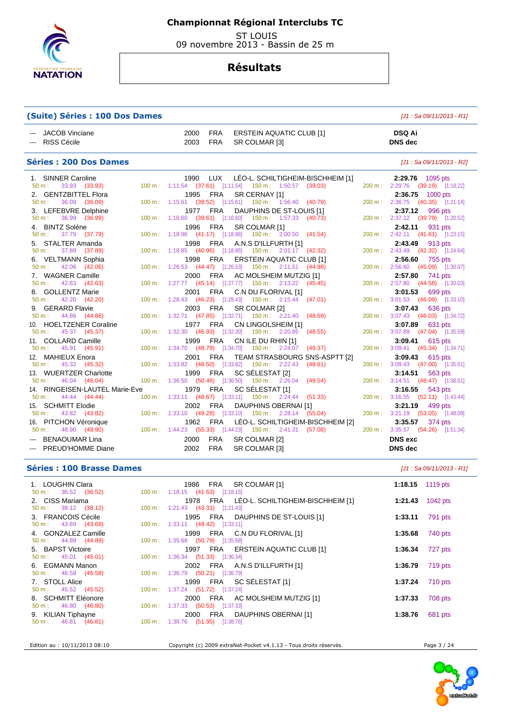

 ST LOUIS 09 novembre 2013 - Bassin de 25 m

## **Résultats**

## **(Suite) Séries : 100 Dos Dames** [J1 : Sa 09/11/2013 - R1]

| --- JACOB Vinciane | 2000 | FRA ERSTEIN AQUATIC CLUB [1] | <b>DSQ Ai</b>  |
|--------------------|------|------------------------------|----------------|
| --- RISS Cécile    | 2003 | FRA SR COLMAR [3]            | <b>DNS</b> dec |

#### **Séries : 200 Dos Dames** [J1 : Sa 09/11/2013 - R2]

| 1. SINNER Caroline                                       | 1990 LUX LÉO-L. SCHILTIGHEIM-BISCHHEIM [1]                                                | 2:29.76 1095 pts                                    |
|----------------------------------------------------------|-------------------------------------------------------------------------------------------|-----------------------------------------------------|
| $50 \text{ m}: 33.93 (33.93)$                            | 100 m: 1:11.54 (37.61) [1:11.54] 150 m: 1:50.57 (39.03)                                   | 200 m: 2:29.76 (39.19) [1:18.22]                    |
| 2. GENTZBITTEL Flora                                     | SR CERNAY [1]<br>1995 FRA                                                                 | 2:36.75 1000 pts                                    |
| 36.09 (36.09)<br>$50 \text{ m}$ :                        | 100 m: 1:15.61 (39.52) [1:15.61] 150 m: 1:56.40 (40.79)                                   | 200 m: 2:36.75 (40.35) [1:21.14]                    |
| 3. LEFEBVRE Delphine                                     | 1977 FRA<br>DAUPHINS DE ST-LOUIS [1]                                                      | 2:37.12 996 pts                                     |
| 36.99 (36.99)<br>$50 m$ :                                | 100 m: 1:16.60 (39.61) [1:16.60] 150 m: 1:57.33 (40.73)                                   | 200 m: 2:37.12 (39.79) [1:20.52]                    |
| 4. BINTZ Soléne                                          | 1996 FRA SR COLMAR [1]                                                                    | 2:42.11 931 pts                                     |
| 50 m : 37.79 (37.79)                                     | 100 m: 1:18.96 (41.17) [1:18.96] 150 m: 2:00.50 (41.54)                                   | 200 m: 2:42.11 (41.61) [1:23.15]                    |
| 5. STALTER Amanda                                        | 1998 FRA A.N.S D'ILLFURTH [1]                                                             | 2:43.49 913 pts                                     |
| 50 m: 37.89 (37.89)                                      | 100 m: 1:18.85 (40.96) [1:18.85] 150 m: 2:01.17 (42.32)                                   | 200 m: 2:43.49 (42.32) [1:24.64]                    |
| 6. VELTMANN Sophia                                       | 1998 FRA ERSTEIN AQUATIC CLUB [1]                                                         | 2:56.60 755 pts                                     |
| $50 \text{ m}: 42.06 (42.06)$                            | 100 m: 1:26.53 (44.47) [1:26.53] 150 m: 2:11.51 (44.98)                                   | 200 m: 2:56.60 (45.09) [1:30.07]                    |
| 7. WAGNER Camille                                        | 2000 FRA AC MOLSHEIM MUTZIG [1]                                                           | 2:57.80 741 pts                                     |
| $50 \text{ m}: 42.63 (42.63)$                            | 100 m: 1:27.77 (45.14) [1:27.77] 150 m: 2:13.22 (45.45)                                   | 200 m: 2:57.80 (44.58) [1:30.03]                    |
| 8. GOLLENTZ Marie                                        | 2001 FRA C.N DU FLORIVAL [1]                                                              | 3:01.53 699 pts                                     |
| $50 \text{ m}: 42.20 (42.20)$                            | 100 m: 1:28.43 (46.23) [1:28.43] 150 m: 2:15.44 (47.01)                                   | 200 m: 3:01.53 (46.09) [1:33.10]                    |
| 9. GERARD Flavie                                         | 2003 FRA SR COLMAR [2]                                                                    | 3:07.43 636 pts                                     |
| $50 \text{ m}: 44.86 (44.86)$                            | 100 m: 1:32.71 (47.85) [1:32.71] 150 m: 2:21.40 (48.69)                                   | 200 m: 3:07.43 (46.03) [1:34.72]                    |
| 10. HOELTZENER Coraline<br>$50 \text{ m}: 45.37 (45.37)$ | 1977 FRA CN LINGOLSHEIM [1]<br>100 m: 1:32.30 (46.93) [1:32.30] 150 m: 2:20.85<br>(48.55) | 3:07.89 631 pts<br>200 m: 3:07.89 (47.04) [1:35.59] |
|                                                          | 1999 FRA                                                                                  |                                                     |
| 11. COLLARD Camille<br>$50 \text{ m}: 45.91 (45.91)$     | CN ILE DU RHIN [1]<br>100 m: 1:34.70 (48.79) [1:34.70] 150 m: 2:24.07 (49.37)             | 3:09.41 615 pts<br>200 m: 3:09.41 (45.34) [1:34.71] |
| 12. MAHIEUX Enora                                        | 2001 FRA TEAM STRASBOURG SNS-ASPTT [2]                                                    | 3:09.43 615 pts                                     |
| $50 \text{ m}: 45.32 (45.32)$                            | 100 m: 1:33.82 (48.50) [1:33.82] 150 m: 2:22.43 (48.61)                                   | 200 m: 3:09.43 (47.00) [1:35.61]                    |
| 13. WUERTZER Charlotte                                   | 1999 FRA SC SÉLESTAT [2]                                                                  | 3:14.51 563 pts                                     |
| $50 \text{ m}: 46.04 (46.04)$                            | 100 m: 1:36.50 (50.46) [1:36.50] 150 m: 2:26.04 (49.54)                                   | 200 m: 3:14.51 (48.47) [1:38.01]                    |
| 14. RINGEISEN-LAUTEL Marie-Eve                           | SC SÉLESTAT [1]<br>1979 FRA                                                               | 3:16.55 543 pts                                     |
| $50 \text{ m}: 44.44 (44.44)$                            | 100 m: 1:33.11 (48.67) [1:33.11] 150 m: 2:24.44 (51.33)                                   | 200 m: 3:16.55 (52.11) [1:43.44]                    |
| 15. SCHMITT Elodie                                       | FRA<br>DAUPHINS OBERNAI [1]<br>2002                                                       | 3:21.19 499 pts                                     |
| $50 \text{ m}: 43.82 (43.82)$                            | 100 m: 1:33.10 (49.28) [1:33.10] 150 m: 2:28.14 (55.04)                                   | 200 m: 3:21.19 (53.05) [1:48.09]                    |
| 16. PITCHON Véronique                                    | LEO-L. SCHILTIGHEIM-BISCHHEIM [2]<br>1962 FRA                                             | 3:35.57 374 pts                                     |
| $50 \text{ m}: 48.90 (48.90)$                            | 100 m : 1:44.23 (55.33) [1:44.23] 150 m : 2:41.31 (57.08)                                 | 200 m: 3:35.57 (54.26) [1:51.34]                    |
| --- BENAOUMAR Lina                                       | 2000<br><b>FRA</b><br>SR COLMAR [2]                                                       | <b>DNS</b> exc                                      |
| --- PREUD'HOMME Diane                                    | 2002<br><b>FRA</b><br>SR COLMAR [3]                                                       | <b>DNS</b> dec                                      |

## **Séries : 100 Brasse Dames and** *Series* **: 100 Brasse Dames** *M1 : Sa 09/11/2013 - R1***]**

| 1. LOUGHIN Clara<br>1986 FRA SR COLMAR [1]                                  | 1:18.15 $1119 \text{ pts}$ |
|-----------------------------------------------------------------------------|----------------------------|
| $50 \text{ m}: 36.52 (36.52)$<br>100 m: 1:18.15 (41.63) [1:18.15]           |                            |
| 1978 FRA LÉO-L. SCHILTIGHEIM-BISCHHEIM [1]<br>2. CISS Mariama               | 1042 pts<br>1:21.43        |
| $50 \text{ m}: 38.12 (38.12)$<br>100 m: 1:21.43 (43.31) [1:21.43]           |                            |
| 3. FRANCOIS Cécile<br>1995 FRA DAUPHINS DE ST-LOUIS [1]                     | 791 pts<br>1:33.11         |
| $50 \text{ m}: 43.69 (43.69)$<br>100 m: 1:33.11 (49.42) [1:33.11]           |                            |
| 4. GONZALEZ Camille<br>1999 FRA C.N DU FLORIVAL [1]                         | 740 pts<br>1:35.68         |
| $50 \text{ m}: 44.89 (44.89)$<br>$100 \text{ m}: 1:35.68$ (50.79) [1:35.68] |                            |
| 5. BAPST Victoire<br>1997 FRA ERSTEIN AQUATIC CLUB [1]                      | 727 pts<br>1:36.34         |
| $50 \text{ m}: 45.01 (45.01)$<br>100 m: 1:36.34 (51.33) [1:36.34]           |                            |
| 6. EGMANN Manon<br>2002 FRA A.N.S D'ILLFURTH [1]                            | 1:36.79 719 pts            |
| $50 \text{ m}: 46.58 (46.58)$<br>100 m: 1:36.79 (50.21) [1:36.79]           |                            |
| 1999 FRA SC SÉLESTAT [1]<br>7. STOLL Alice                                  | 1:37.24<br>710 pts         |
| 100 m: 1:37.24 (51.72) [1:37.24]<br>$50 \text{ m}: 45.52 (45.52)$           |                            |
| 8. SCHMITT Eléonore<br>2000 FRA AC MOLSHEIM MUTZIG [1]                      | 708 pts<br>1:37.33         |
| $50 \text{ m}: 46.80 (46.80)$<br>100 m : $1:37.33$ (50.53) [1:37.33]        |                            |
| 9. KILIAN Tiphayne<br>2000 FRA DAUPHINS OBERNAI [1]                         | 681 pts<br>1:38.76         |
| 100 m : 1:38.76 (51.95) [1:38.76]<br>$50 \text{ m}: 46.81 (46.81)$          |                            |
|                                                                             |                            |

Edition au : 10/11/2013 08:10 Copyright (c) 2009 extraNat-Pocket v4.1.13 - Tous droits réservés. Page 3 / 24

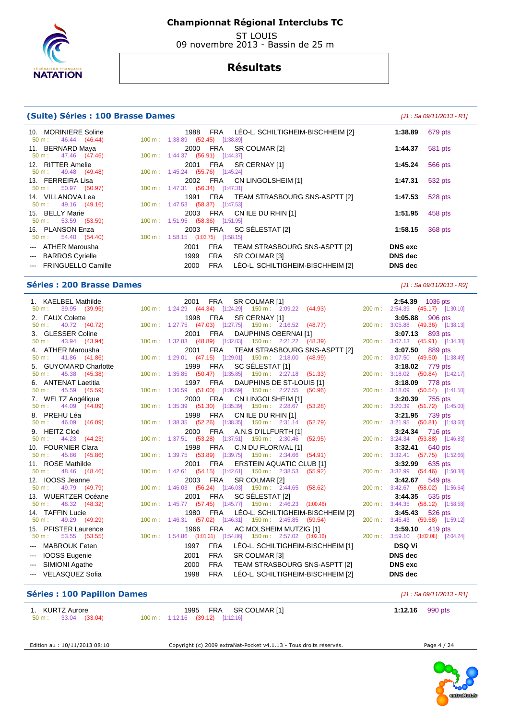

 ST LOUIS 09 novembre 2013 - Bassin de 25 m

## **Résultats**

#### **(Suite) Séries : 100 Brasse Dames (Suite)**  $[J1: Sa 09/11/2013 - R1]$

| 10. MORINIERE Soline          | FRA LEO-L. SCHILTIGHEIM-BISCHHEIM [2]<br>1988           | 1:38.89        | 679 pts |
|-------------------------------|---------------------------------------------------------|----------------|---------|
| $50 \text{ m}: 46.44 (46.44)$ | 100 m : $1:38.89$ (52.45) [1:38.89]                     |                |         |
| 11. BERNARD Maya              | 2000 FRA SR COLMAR [2]                                  | 1:44.37        | 581 pts |
| $50 \text{ m}: 47.46 (47.46)$ | 100 m: 1:44.37 (56.91) [1:44.37]                        |                |         |
| 12. RITTER Amelie             | FRA SR CERNAY [1]<br>2001                               | 1:45.24        | 566 pts |
| $50 \text{ m}: 49.48 (49.48)$ | 100 m : 1:45.24 (55.76) [1:45.24]                       |                |         |
| 13. FERREIRA Lisa             | 2002 FRA CN LINGOLSHEIM [1]                             | 1:47.31        | 532 pts |
| $50 \text{ m}: 50.97 (50.97)$ | 100 m: 1:47.31 (56.34) [1:47.31]                        |                |         |
| 14. VILLANOVA Lea             | 1991 FRA TEAM STRASBOURG SNS-ASPTT [2]                  | 1:47.53        | 528 pts |
| $50 \text{ m}: 49.16 (49.16)$ | 100 m : 1:47.53 (58.37) [1:47.53]                       |                |         |
| 15. BELLY Marie               | 2003 FRA CN ILE DU RHIN [1]                             | 1:51.95        | 458 pts |
| $50 \text{ m}: 53.59 (53.59)$ | 100 m: 1:51.95 (58.36) [1:51.95]                        |                |         |
| 16. PLANSON Enza              | 2003 FRA SC SÉLESTAT [2]                                | 1:58.15        | 368 pts |
| $50 \text{ m}: 54.40 (54.40)$ | 100 m : $1:58.15$ (1:03.75) [1:58.15]                   |                |         |
| --- ATHER Marousha            | TEAM STRASBOURG SNS-ASPTT [2]<br><b>FRA</b><br>2001     | <b>DNS</b> exc |         |
| --- BARROS Cyrielle           | 1999<br><b>FRA</b><br>SR COLMAR [3]                     | <b>DNS</b> dec |         |
| --- FRINGUELLO Camille        | LÉO-L. SCHILTIGHEIM-BISCHHEIM [2]<br><b>FRA</b><br>2000 | <b>DNS</b> dec |         |
|                               |                                                         |                |         |

#### **Séries : 200 Brasse Dames and the series of the series of the series of the series of the series of the series of the series of the series of the series of the series of the series of the series of the series of the ser**

 1. KAELBEL Mathilde 2001 FRA SR COLMAR [1] **2:54.39** 1036 pts 1:24.29 (44.34) [1:24.29] 2. FAUX Colette 1998 FRA SR CERNAY [1] **3:05.88** 906 pts<br>
50 m : 40.72 (40.72) 100 m : 1:27.75 (47.03) [1:27.75] 150 m : 2:16.52 (48.77) 200 m : 3:05.88 (49.36) [1:38.13] 50 m : 40.72 (40.72) 100 m : 1:27.75 (47.03) [1:27.75] 3. GLESSER Coline 2001 FRA DAUPHINS OBERNAI [1] **3:07.13** 893 pts 50 m : 43.94 (43.94) 100 m : 1:32.83 (48.89) [1:32.83] 150 m : 2:21.22 (48.39) 4. ATHER Marousha 2001 FRA TEAM STRASBOURG SNS-ASPTT [2] **3:07.50** 889 pts 1:29.01 (47.15) [1:29.01] 150 m : 2:18.00 5. GUYOMARD Charlotte 1999 FRA SC SÉLESTAT [1] **3:18.02** 779 pts 50 m : 45.38 (45.38) 100 m : 1:35.85 (50.47) [1:35.85] 150 m : 2:27.18 (51.33) 6. ANTENAT Laetitia 1997 FRA DAUPHINS DE ST-LOUIS [1] **3:18.09** 778 pts 50 m : 45.59 (45.59) 100 m : 1:36.59 (51.00) [1:36.59] 150 m : 2:27.55 (50.96) 200 m : 3:18.09 (50.54) [1:41.50<br>7. WELTZ Angélique 2000 FRA CN LINGOLSHEIM [1] 3:20.39 755 pts 7. WELTZ Angélique 2000 FRA CN LINGOLSHEIM [1] **3:20.39** 755 pts 50 m : 44.09 (44.09) 100 m : 1:35.39 (51.30) [1:35.39] 150 m : 2:28.67 8. PREHU Léa 1998 FRA CN ILE DU RHIN [1] **3:21.95** 739 pts 1:38.35 (52.26) [1:38.35] 150 m : 2:31.14 9. HEITZ Cloé 2000 FRA A.N.S D'ILLFURTH [1] **3:24.34** 716 pts 50 m : 44.23 (44.23) 100 m : 1:37.51 (53.28) [1:37.51] 150 m : 2:30.46 (52.95) 200 m : 3:24.34 (53.88) [1:46.83] 10. FOURNIER Clara 1998 FRA C.N DU FLORIVAL [1] **3:32.41** 640 pts 1:39.75 (53.89) [1:39.75] 150 m : 2:34.66 11. ROSE Mathilde 2001 FRA ERSTEIN AQUATIC CLUB [1] **3:32.99** 635 pts 50 m : 48.46 (48.46) 100 m : 1:42.61 (54.15) [1:42.61] 150 m : 2:38.53 (55.92) 12. IOOSS Jeanne 2003 FRA SR COLMAR [2] **3:42.67** 549 pts 50 m : 49.79 (49.79) 100 m : 1:46.03 (56.24) [1:46.03] 150 m : 2:44.65 (58.62) 200 m : 3:42.67 (58.02) [1:56.64] 13. WUERTZER Océane 2001 FRA SC SÉLESTAT [2] **3:44.35** 535 pts 1:45.77 (57.45) [1:45.77] 150 m : 2:46.23 14. TAFFIN Lucie 1980 FRA LÉO-L. SCHILTIGHEIM-BISCHHEIM [2] **3:45.43** 526 pts (57.02) [1:46.31] 150 m : 2:45.85 (59.54) 15. PFISTER Laurence 1966 FRA AC MOLSHEIM MUTZIG [1] **3:59.10** 419 pts 50 m : 53.55 (53.55) 100 m : 1:54.86 (1:01.31) [1:54.86] 150 m : 2:57.02 (1:02.16) 200 m : 3:59.10 (1:02.08) [2:04.24] --- MABROUK Feten 1997 FRA LÉO-L. SCHILTIGHEIM-BISCHHEIM [1] **DSQ Vi**  --- IOOSS Eugenie 2001 FRA SR COLMAR [3] **DNS dec**  --- SIMIONI Agathe 2000 FRA TEAM STRASBOURG SNS-ASPTT [2] **DNS exc**  --- VELASQUEZ Sofia 1998 FRA LÉO-L. SCHILTIGHEIM-BISCHHEIM [2] **DNS dec** 

## **Séries : 100 Papillon Dames Community Community Community Community Community Community Community Community Community Community Community Community Community Community Community Community Community Community Community C**

| 1. KURTZ Aurore      |  | 1995 FRA SR COLMAR [1]                     | 1:12.16 $990 \text{ pts}$ |
|----------------------|--|--------------------------------------------|---------------------------|
| 50 m : 33.04 (33.04) |  | $100 \text{ m}: 1:12.16$ (39.12) [1:12.16] |                           |

Edition au : 10/11/2013 08:10 Copyright (c) 2009 extraNat-Pocket v4.1.13 - Tous droits réservés.

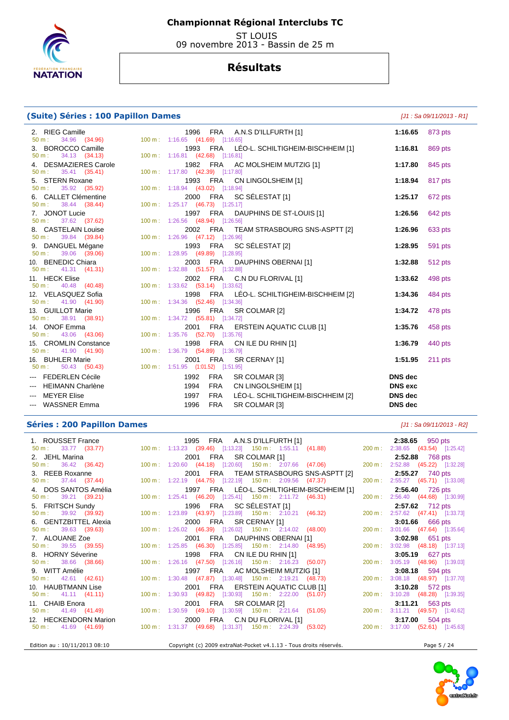

 ST LOUIS 09 novembre 2013 - Bassin de 25 m

# **Résultats**

## **(Suite) Séries : 100 Papillon Dames** [J1 : Sa 09/11/2013 - R1]

| 2. RIEG Camille                                                                             | 1996 FRA A.N.S D'ILLFURTH [1]                           | 1:16.65         | 873 pts |
|---------------------------------------------------------------------------------------------|---------------------------------------------------------|-----------------|---------|
| 50 m: 34.96 (34.96) 100 m: 1:16.65 (41.69) [1:16.65]                                        |                                                         |                 |         |
|                                                                                             | 1993 FRA LÉO-L. SCHILTIGHEIM-BISCHHEIM [1]              | 1:16.81         | 869 pts |
|                                                                                             |                                                         |                 |         |
|                                                                                             | 1982 FRA AC MOLSHEIM MUTZIG [1]                         | 1:17.80         | 845 pts |
|                                                                                             |                                                         |                 |         |
|                                                                                             | 1993 FRA CN LINGOLSHEIM [1]                             | 1:18.94         | 817 pts |
|                                                                                             | 2000 FRA SC SÉLESTAT [1]                                | 1:25.17         | 672 pts |
|                                                                                             |                                                         |                 |         |
|                                                                                             | 1997 FRA DAUPHINS DE ST-LOUIS [1]                       | 1:26.56         | 642 pts |
|                                                                                             |                                                         |                 |         |
|                                                                                             | 2002 FRA TEAM STRASBOURG SNS-ASPTT [2]                  | 1:26.96         | 633 pts |
|                                                                                             |                                                         |                 |         |
|                                                                                             | 1993 FRA SC SÉLESTAT [2]                                | 1:28.95         | 591 pts |
|                                                                                             |                                                         |                 |         |
|                                                                                             | 2003 FRA DAUPHINS OBERNAI [1]                           | 1:32.88         | 512 pts |
| 11. HECK Elise                                                                              | 2002 FRA C.N DU FLORIVAL [1]                            | 1:33.62         | 498 pts |
|                                                                                             |                                                         |                 |         |
| 12. VELASQUEZ Sofia 1998 FRA LEC<br>50 m : 41.90 (41.90) 100 m : 1:34.36 (52.46) [1:34.36]  | 1998 FRA LÉO-L. SCHILTIGHEIM-BISCHHEIM [2]              | 1:34.36         | 484 pts |
|                                                                                             |                                                         |                 |         |
| 13. GUILLOT Marie                                                                           | 1996 FRA SR COLMAR [2]                                  | 1:34.72         | 478 pts |
| 13. GUILLOT Marie 1996 FRA SR<br>50 m : 38.91 (38.91) 100 m : 1:34.72 (55.81) [1:34.72]     |                                                         |                 |         |
| 14. ONOF Emma                                                                               | 2001 FRA ERSTEIN AQUATIC CLUB [1]                       | 1:35.76         | 458 pts |
| 50 m : 43.06 (43.06) 100 m : 1:35.76 (52.70) [1:35.76]                                      |                                                         |                 |         |
| 15. CROMLIN Constance 1998 FRA CN<br>50 m : 41.90 (41.90) 100 m : 1:36.79 (54.89) [1:36.79] | 1998 FRA CN ILE DU RHIN [1]                             | 1:36.79         | 440 pts |
|                                                                                             |                                                         |                 |         |
| 16. BUHLER Marie<br>50 m : 50.43 (50.43) 100 m : 1:51.95 (1:01.52) [1:51.95]                | 2001 FRA SR CERNAY [1]                                  | 1:51.95 211 pts |         |
| --- FEDERLEN Cécile                                                                         | FRA<br>SR COLMAR [3]<br>1992                            | <b>DNS</b> dec  |         |
| --- HEIMANN Charlène                                                                        | CN LINGOLSHEIM [1]<br>FRA<br>1994                       | <b>DNS</b> exc  |         |
|                                                                                             |                                                         |                 |         |
| --- MEYER Elise                                                                             | <b>FRA</b><br>LÉO-L. SCHILTIGHEIM-BISCHHEIM [2]<br>1997 | <b>DNS</b> dec  |         |
| --- WASSNER Emma                                                                            | FRA<br>1996<br>SR COLMAR [3]                            | <b>DNS</b> dec  |         |

#### **Séries : 200 Papillon Dames** [J1 : Sa 09/11/2013 - R2]

| 2. JEHL Marina                | 2001 FRA SR COLMAR [1]                                                                           | <b>2:52.88</b> 768 pts           |
|-------------------------------|--------------------------------------------------------------------------------------------------|----------------------------------|
| $50 \text{ m}: 36.42 (36.42)$ | 100 m : 1:20.60 (44.18) [1:20.60] 150 m : 2:07.66 (47.06)                                        | 200 m: 2:52.88 (45.22) [1:32.28] |
| 3. REEB Roxanne               | 2001 FRA TEAM STRASBOURG SNS-ASPTT [2]                                                           | <b>2:55.27</b> 740 pts           |
| $50 \text{ m}: 37.44 (37.44)$ | 100 m: 1:22.19 (44.75) [1:22.19] 150 m: 2:09.56 (47.37)                                          | 200 m: 2:55.27 (45.71) [1:33.08] |
| 4. DOS SANTOS Amélia          | 1997 FRA LÉO-L. SCHILTIGHEIM-BISCHHEIM [1]                                                       | <b>2:56.40</b> 726 pts           |
| $50 \text{ m}: 39.21 (39.21)$ | 100 m : 1:25.41 (46.20) [1:25.41] 150 m : 2:11.72 (46.31)                                        | 200 m: 2:56.40 (44.68) [1:30.99] |
| 5. FRITSCH Sundy              | 1996 FRA SC SÉLESTAT [1]                                                                         | <b>2:57.62</b> 712 pts           |
| $50 \text{ m}: 39.92 (39.92)$ | 100 m : 1:23.89 (43.97) [1:23.89] 150 m : 2:10.21 (46.32)                                        | 200 m: 2:57.62 (47.41) [1:33.73] |
| 6. GENTZBITTEL Alexia         | 2000 FRA SR CERNAY [1]                                                                           | <b>3:01.66</b> 666 pts           |
| $50 \text{ m}: 39.63 (39.63)$ | 100 m : 1:26.02 (46.39) [1:26.02] 150 m : 2:14.02 (48.00)                                        | 200 m: 3:01.66 (47.64) [1:35.64] |
| 7. ALOUANE Zoe                | 2001 FRA DAUPHINS OBERNAI [1]                                                                    | <b>3:02.98</b> 651 pts           |
| $50 \text{ m}: 39.55 (39.55)$ | 100 m : 1:25.85 (46.30) [1:25.85] 150 m : 2:14.80 (48.95)                                        | 200 m: 3:02.98 (48.18) [1:37.13] |
| 8. HORNY Séverine             | 1998 FRA CN ILE DU RHIN [1]                                                                      | 3:05.19 627 pts                  |
| $50 \text{ m}: 38.66 (38.66)$ | 100 m: 1:26.16 (47.50) [1:26.16] 150 m: 2:16.23 (50.07)                                          | 200 m: 3:05.19 (48.96) [1:39.03] |
| 9. WITT Amélie                | 1997 FRA AC MOLSHEIM MUTZIG [1]                                                                  | $3:08.18$ 594 pts                |
| $50 \text{ m}: 42.61 (42.61)$ | 100 m : 1:30.48 (47.87) [1:30.48] 150 m : 2:19.21 (48.73)                                        | 200 m: 3:08.18 (48.97) [1:37.70] |
| 10. HAUBTMANN Lise            | 2001 FRA ERSTEIN AQUATIC CLUB [1]                                                                | <b>3:10.28</b> 572 pts           |
| $50 \text{ m}: 41.11 (41.11)$ | 100 m : 1:30.93 (49.82) [1:30.93] 150 m : 2:22.00 (51.07)                                        | 200 m: 3:10.28 (48.28) [1:39.35] |
| 11. CHAIB Enora               | 2001 FRA SR COLMAR [2]                                                                           | $3:11.21$ 563 pts                |
| 50 m : 41.49 (41.49)          | 100 m : 1:30.59 (49.10) [1:30.59] 150 m : 2:21.64 (51.05)                                        | 200 m: 3:11.21 (49.57) [1:40.62] |
| 12. HECKENDORN Marion         | 2000 FRA C.N DU FLORIVAL [1]                                                                     | <b>3:17.00</b> 504 pts           |
| $50 \text{ m}: 41.69 (41.69)$ | 100 m : 1:31.37 (49.68) [1:31.37] 150 m : 2:24.39 (53.02)                                        | 200 m: 3:17.00 (52.61) [1:45.63] |
|                               |                                                                                                  |                                  |
|                               | Edition au : 10/11/2013 08:10 Copyright (c) 2009 extraNat-Pocket v4.1.13 - Tous droits réservés. | Page 5 / 24                      |

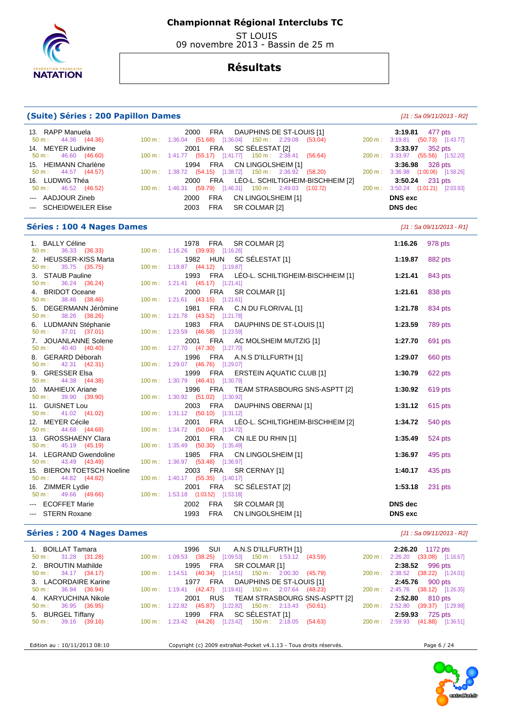

 ST LOUIS 09 novembre 2013 - Bassin de 25 m

## **Résultats**

#### **(Suite) Séries : 200 Papillon Dames (Suite) Séries : 200 Papillon Dames (J1 : Sa 09/11/2013 - R2**]

 13. RAPP Manuela 2000 FRA DAUPHINS DE ST-LOUIS [1] **3:19.81** 477 pts 1:36.04 (51.68) [1:36.04] 150 m : 2:29.08 (53.04) 14. MEYER Ludivine 2001 FRA SC SÉLESTAT [2] **3:33.97** 352 pts 1:41.77 (55.17) [1:41.77] 150 m : 2:38.41 15. HEIMANN Charlène 1994 FRA CN LINGOLSHEIM [1] **3:36.98** 328 pts 50 m : 44.57 (44.57) 100 m : 1:38.72 (54.15) [1:38.72] 150 m : 2:36.92 16. LUDWIG Théa 2000 FRA LÉO-L. SCHILTIGHEIM-BISCHHEIM [2] **3:50.24** 231 pts 50 m : 46.52 (46.52) 100 m : 1:46.31 (59.79) [1:46.31] 150 m : 2:49.03 (1:02.72) --- AADJOUR Zineb 2000 FRA CN LINGOLSHEIM [1] **DNS exc**  --- SCHEIDWEILER Elise 2003 FRA SR COLMAR [2] **DNS dec** 

#### **Séries : 100 4 Nages Dames black and the series of the series of the series of the series of the series of the series of the series of the series of the series of the series of the series of the series of the series of**

 1. BALLY Céline 1978 FRA SR COLMAR [2] **1:16.26** 978 pts 50 m : 36.33 (36.33) 100 m : 1:16.26 (39.93) [1:16.26] 2. HEUSSER-KISS Marta 1982 HUN SC SÉLESTAT [1] **1:19.87** 882 pts 50 m : 35.75 (35.75) 100 m : 1:19.87 (44.12) [1:19.87] 3. STAUB Pauline 1993 FRA LÉO-L. SCHILTIGHEIM-BISCHHEIM [1] **1:21.41** 843 pts 1:21.41 (45.17) [1:21.41] 4. BRIDOT Oceane 2000 FRA SR COLMAR [1] **1:21.61** 838 pts 50 m : 38.46 (38.46) 100 m : 1:21.61 (43.15) [1:21.61] 5. DEGERMANN Jérômine 1981 FRA C.N DU FLORIVAL [1] **1:21.78** 834 pts 50 m : 38.26 (38.26) 100 m : 1:21.78 (43.52) [1:21.78] 6. LUDMANN Stéphanie 1983 FRA DAUPHINS DE ST-LOUIS [1] **1:23.59** 789 pts 50 m : 37.01 (37.01) 100 m : 1:23.59 (46.58) [1:23.59] 7. JOUANLANNE Solene 2001 FRA AC MOLSHEIM MUTZIG [1] **1:27.70** 691 pts 1:27.70 (47.30) [1:27.70] 8. GERARD Déborah 1996 FRA A.N.S D'ILLFURTH [1] **1:29.07** 660 pts 50 m : 42.31 (42.31) 100 m : 1:29.07 (46.76) [1:29.07] 9. GRESSER Elsa 1999 FRA ERSTEIN AQUATIC CLUB [1] **1:30.79** 622 pts 1:30.79 (46.41) [1:30.79] 10. MAHIEUX Ariane 1996 FRA TEAM STRASBOURG SNS-ASPTT [2] **1:30.92** 619 pts  $1:30.92$  (51.02) [1:30.92] 11. GUISNET Lou 2003 FRA DAUPHINS OBERNAI [1] **1:31.12** 615 pts 50 m : 41.02 (41.02) 100 m : 1:31.12 (50.10) [1:31.12] 12. MEYER Cécile 2001 FRA LÉO-L. SCHILTIGHEIM-BISCHHEIM [2] **1:34.72** 540 pts 1:34.72 (50.04) [1:34.72] 13. GROSSHAENY Clara 2001 FRA CN ILE DU RHIN [1] **1:35.49** 524 pts 1:35.49 (50.30) [1:35.49] 14. LEGRAND Gwendoline **1985** FRA CN LINGOLSHEIM [1] **1:36.97 1:36.97 1:36.97** 50 m : 43.49 (43.49) 100 m : 1:36.97 (53.48) [1:36.97] 15. BIERON TOETSCH Noeline 2003 FRA SR CERNAY [1] **1:40.17** 435 pts 50 m : 44.82 (44.82) 100 m : 1:40.17 (55.35) [1:40.17] 16. ZIMMER Lydie 2001 FRA SC SÉLESTAT [2] **1:53.18** 231 pts 1:53.18 (1:03.52) [1:53.18] --- ECOFFET Marie 2002 FRA SR COLMAR [3] **DNS dec**   $-$  STERN Roxane **1993** FRA CN LINGOLSHEIM [1] **DNS exc DNS** exc

#### **Séries : 200 4 Nages Dames and a series in the series of the series of the series of the series of the series of the series of the series of the series of the series of the series of the series of the series of the seri**

|                               |  |                                                                                          |                        | 2:26.20 1172 pts                      |  |
|-------------------------------|--|------------------------------------------------------------------------------------------|------------------------|---------------------------------------|--|
| $50 \text{ m}: 31.28 (31.28)$ |  | 100 m : 1:09.53 (38.25) [1:09.53] 150 m : 1:53.12 (43.59)                                |                        | 200 m: 2:26.20 (33.08) [1:16.67]      |  |
| 2. BROUTIN Mathilde           |  | 1995 FRA SR COLMAR [1]                                                                   |                        | 2:38.52 996 pts                       |  |
| $50 \text{ m}: 34.17 (34.17)$ |  | 100 m: 1:14.51 (40.34) [1:14.51] 150 m: 2:00.30 (45.79)                                  |                        | 200 m: 2:38.52 (38.22) [1:24.01]      |  |
| 3. LACORDAIRE Karine          |  | 1977 FRA DAUPHINS DE ST-LOUIS [1] 2:45.76 900 pts                                        |                        |                                       |  |
| $50 \text{ m}: 36.94 (36.94)$ |  | 100 m : 1:19.41 (42.47) [1:19.41] 150 m : 2:07.64 (48.23)                                |                        | 200 m: 2:45.76 (38.12) [1:26.35]      |  |
| 4. KARYUCHINA Nikole          |  | 2001 RUS TEAM STRASBOURG SNS-ASPTT [2]                                                   | <b>2:52.80</b> 810 pts |                                       |  |
| $50 \text{ m}: 36.95 (36.95)$ |  | 100 m : 1:22.82 (45.87) [1:22.82] 150 m : 2:13.43 (50.61)                                |                        | 200 m: 2:52.80<br>$(39.37)$ [1:29.98] |  |
| 5. BURGEL Tiffany             |  | 1999 FRA SC SÉLESTAT [1]                                                                 |                        | 2:59.93 725 pts                       |  |
| $50 \text{ m}: 39.16 (39.16)$ |  | 100 m: 1:23.42 (44.26) [1:23.42] 150 m: 2:18.05 (54.63) 200 m: 2:59.93 (41.88) [1:36.51] |                        |                                       |  |
|                               |  |                                                                                          |                        |                                       |  |

Edition au : 10/11/2013 08:10 Copyright (c) 2009 extraNat-Pocket v4.1.13 - Tous droits réservés. Page 6 / 24

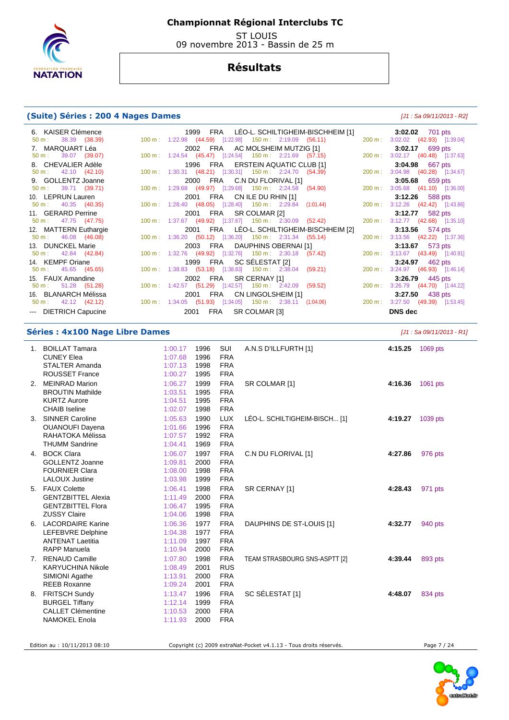

 ST LOUIS 09 novembre 2013 - Bassin de 25 m

# **Résultats**

## **(Suite) Séries : 200 4 Nages Dames** [J1 : Sa 09/11/2013 - R2]

| 6. KAISER Clémence            |                                                             |  |                                   | 1999 FRA LEO-L. SCHILTIGHEIM-BISCHHEIM [1]                |                                  | 3:02.02 701 pts   |  |
|-------------------------------|-------------------------------------------------------------|--|-----------------------------------|-----------------------------------------------------------|----------------------------------|-------------------|--|
| $50 \text{ m}: 38.39 (38.39)$ | 100 m: 1:22.98  (44.59)  [1:22.98]  150 m: 2:19.09  (56.11) |  |                                   |                                                           | 200 m: 3:02.02 (42.93) [1:39.04] |                   |  |
| 7. MARQUART Léa               |                                                             |  | 2002 FRA AC MOLSHEIM MUTZIG [1]   |                                                           |                                  | 3:02.17 699 pts   |  |
| 50 m : 39.07 (39.07)          | 100 m : 1:24.54 (45.47) [1:24.54] 150 m : 2:21.69 (57.15)   |  |                                   |                                                           | 200 m: 3:02.17 (40.48) [1:37.63] |                   |  |
| 8. CHEVALIER Adèle            |                                                             |  | 1996 FRA ERSTEIN AQUATIC CLUB [1] |                                                           |                                  | 3:04.98 667 pts   |  |
| $50 \text{ m}: 42.10 (42.10)$ | 100 m: 1:30.31 (48.21) [1:30.31] 150 m: 2:24.70 (54.39)     |  |                                   |                                                           | 200 m: 3:04.98 (40.28) [1:34.67] |                   |  |
| 9. GOLLENTZ Joanne            |                                                             |  | 2000 FRA C.N DU FLORIVAL [1]      |                                                           |                                  | 3:05.68 659 pts   |  |
| $50 \text{ m}: 39.71 (39.71)$ | 100 m: 1:29.68 (49.97) [1:29.68] 150 m: 2:24.58 (54.90)     |  |                                   |                                                           | 200 m: 3:05.68 (41.10) [1:36.00] |                   |  |
| 10. LEPRUN Lauren             |                                                             |  | 2001 FRA CN ILE DU RHIN [1]       |                                                           |                                  | 3:12.26 588 pts   |  |
| $50 \text{ m}: 40.35 (40.35)$ | 100 m: 1:28.40 (48.05) [1:28.40] 150 m: 2:29.84 (1:01.44)   |  |                                   |                                                           | 200 m: 3:12.26 (42.42) [1:43.86] |                   |  |
| 11. GERARD Perrine            |                                                             |  | 2001 FRA SR COLMAR [2]            |                                                           |                                  | 3:12.77 582 pts   |  |
| $50 \text{ m}: 47.75 (47.75)$ | 100 m: 1:37.67 (49.92) [1:37.67] 150 m: 2:30.09 (52.42)     |  |                                   |                                                           | 200 m: 3:12.77 (42.68) [1:35.10] |                   |  |
| 12. MATTERN Euthargie         |                                                             |  |                                   | 2001 FRA LEO-L. SCHILTIGHEIM-BISCHHEIM [2]                |                                  | 3:13.56 574 pts   |  |
| $50 \text{ m}: 46.08 (46.08)$ | 100 m: 1:36.20 (50.12) [1:36.20] 150 m: 2:31.34 (55.14)     |  |                                   |                                                           | 200 m: 3:13.56 (42.22) [1:37.36] |                   |  |
| 13. DUNCKEL Marie             |                                                             |  | 2003 FRA DAUPHINS OBERNAI [1]     |                                                           |                                  | 3:13.67 573 pts   |  |
| $50 \text{ m}: 42.84 (42.84)$ | 100 m: 1:32.76 (49.92) [1:32.76] 150 m: 2:30.18 (57.42)     |  |                                   |                                                           | 200 m: 3:13.67 (43.49) [1:40.91] |                   |  |
| 14. KEMPF Oriane              |                                                             |  | 1999 FRA SC SELESTAT [2]          |                                                           |                                  | 3:24.97 462 pts   |  |
| $50 \text{ m}: 45.65 (45.65)$ | 100 m: 1:38.83 (53.18) [1:38.83] 150 m: 2:38.04 (59.21)     |  |                                   |                                                           | 200 m: 3:24.97 (46.93) [1:46.14] |                   |  |
| 15. FAUX Amandine             |                                                             |  | 2002 FRA SR CERNAY [1]            |                                                           |                                  | $3:26.79$ 445 pts |  |
| $50 \text{ m}: 51.28 (51.28)$ | 100 m: 1:42.57 (51.29) [1:42.57] 150 m: 2:42.09 (59.52)     |  |                                   |                                                           | 200 m: 3:26.79 (44.70) [1:44.22] |                   |  |
| 16. BLANARCH Mélissa          |                                                             |  | 2001 FRA CN LINGOLSHEIM [1]       |                                                           |                                  | 3:27.50 438 pts   |  |
| $50 \text{ m}: 42.12 (42.12)$ |                                                             |  |                                   | 100 m: 1:34.05 (51.93) [1:34.05] 150 m: 2:38.11 (1:04.06) | 200 m: 3:27.50 (49.39) [1:53.45] |                   |  |
| --- DIETRICH Capucine         |                                                             |  | 2001 FRA SR COLMAR [3]            |                                                           | <b>DNS</b> dec                   |                   |  |

## **Séries : 4x100 Nage Libre Dames Séries : 4x100 Nage Libre Dames Communities Expansion Communities Communities**

| 1. | <b>BOILLAT Tamara</b>     | 1:00.17 | 1996 | SUI        | A.N.S D'ILLFURTH [1]          | 4:15.25 | 1069 pts |
|----|---------------------------|---------|------|------------|-------------------------------|---------|----------|
|    | <b>CUNEY Elea</b>         | 1:07.68 | 1996 | <b>FRA</b> |                               |         |          |
|    | <b>STALTER Amanda</b>     | 1:07.13 | 1998 | <b>FRA</b> |                               |         |          |
|    | <b>ROUSSET France</b>     | 1:00.27 | 1995 | <b>FRA</b> |                               |         |          |
| 2. | <b>MEINRAD Marion</b>     | 1:06.27 | 1999 | <b>FRA</b> | SR COLMAR [1]                 | 4:16.36 | 1061 pts |
|    | <b>BROUTIN Mathilde</b>   | 1:03.51 | 1995 | <b>FRA</b> |                               |         |          |
|    | <b>KURTZ Aurore</b>       | 1:04.51 | 1995 | <b>FRA</b> |                               |         |          |
|    | <b>CHAIB</b> Iseline      | 1:02.07 | 1998 | <b>FRA</b> |                               |         |          |
| 3. | <b>SINNER Caroline</b>    | 1:05.63 | 1990 | <b>LUX</b> | LÉO-L. SCHILTIGHEIM-BISCH [1] | 4:19.27 | 1039 pts |
|    | <b>OUANOUFI Dayena</b>    | 1:01.66 | 1996 | <b>FRA</b> |                               |         |          |
|    | RAHATOKA Mélissa          | 1:07.57 | 1992 | <b>FRA</b> |                               |         |          |
|    | <b>THUMM Sandrine</b>     | 1:04.41 | 1969 | <b>FRA</b> |                               |         |          |
|    | 4. BOCK Clara             | 1:06.07 | 1997 | <b>FRA</b> | C.N DU FLORIVAL [1]           | 4:27.86 | 976 pts  |
|    | <b>GOLLENTZ Joanne</b>    | 1:09.81 | 2000 | <b>FRA</b> |                               |         |          |
|    | <b>FOURNIER Clara</b>     | 1:08.00 | 1998 | <b>FRA</b> |                               |         |          |
|    | <b>LALOUX Justine</b>     | 1:03.98 | 1999 | <b>FRA</b> |                               |         |          |
|    | 5. FAUX Colette           | 1:06.41 | 1998 | <b>FRA</b> | SR CERNAY [1]                 | 4:28.43 | 971 pts  |
|    | <b>GENTZBITTEL Alexia</b> | 1:11.49 | 2000 | <b>FRA</b> |                               |         |          |
|    | <b>GENTZBITTEL Flora</b>  | 1:06.47 | 1995 | <b>FRA</b> |                               |         |          |
|    | <b>ZUSSY Claire</b>       | 1:04.06 | 1998 | <b>FRA</b> |                               |         |          |
|    | 6. LACORDAIRE Karine      | 1:06.36 | 1977 | <b>FRA</b> | DAUPHINS DE ST-LOUIS [1]      | 4:32.77 | 940 pts  |
|    | LEFEBVRE Delphine         | 1:04.38 | 1977 | <b>FRA</b> |                               |         |          |
|    | <b>ANTENAT Laetitia</b>   | 1:11.09 | 1997 | <b>FRA</b> |                               |         |          |
|    | <b>RAPP Manuela</b>       | 1:10.94 | 2000 | <b>FRA</b> |                               |         |          |
|    | 7. RENAUD Camille         | 1:07.80 | 1998 | <b>FRA</b> | TEAM STRASBOURG SNS-ASPTT [2] | 4:39.44 | 893 pts  |
|    | <b>KARYUCHINA Nikole</b>  | 1:08.49 | 2001 | <b>RUS</b> |                               |         |          |
|    | SIMIONI Agathe            | 1:13.91 | 2000 | <b>FRA</b> |                               |         |          |
|    | <b>REEB Roxanne</b>       | 1:09.24 | 2001 | <b>FRA</b> |                               |         |          |
|    | 8. FRITSCH Sundy          | 1:13.47 | 1996 | <b>FRA</b> | SC SÉLESTAT [1]               | 4:48.07 | 834 pts  |
|    | <b>BURGEL Tiffany</b>     | 1:12.14 | 1999 | <b>FRA</b> |                               |         |          |
|    | <b>CALLET Clémentine</b>  | 1:10.53 | 2000 | <b>FRA</b> |                               |         |          |
|    | <b>NAMOKEL Enola</b>      | 1:11.93 | 2000 | <b>FRA</b> |                               |         |          |
|    |                           |         |      |            |                               |         |          |

Edition au : 10/11/2013 08:10 Copyright (c) 2009 extraNat-Pocket v4.1.13 - Tous droits réservés.

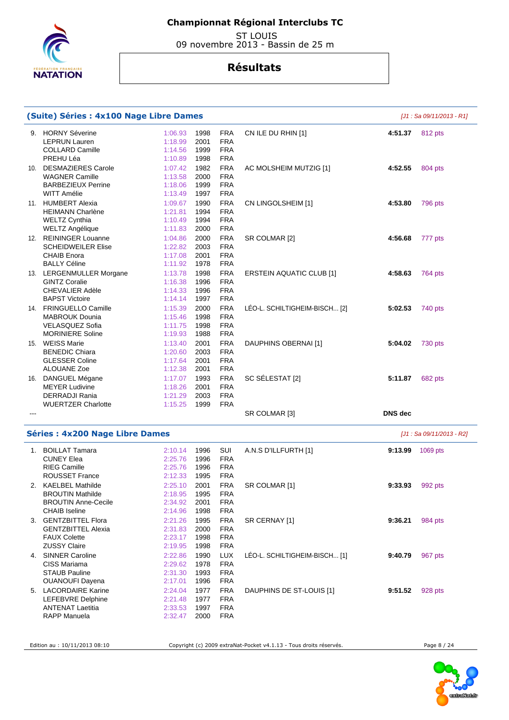

 ST LOUIS 09 novembre 2013 - Bassin de 25 m

# **Résultats**

|     | (Suite) Séries : 4x100 Nage Libre Dames |         |      |            |                                 |                | $[J1: Sa 09/11/2013 - R1]$ |
|-----|-----------------------------------------|---------|------|------------|---------------------------------|----------------|----------------------------|
|     | 9. HORNY Séverine                       | 1:06.93 | 1998 | <b>FRA</b> | CN ILE DU RHIN [1]              | 4:51.37        | 812 pts                    |
|     | <b>LEPRUN Lauren</b>                    | 1:18.99 | 2001 | <b>FRA</b> |                                 |                |                            |
|     | <b>COLLARD Camille</b>                  | 1:14.56 | 1999 | <b>FRA</b> |                                 |                |                            |
|     |                                         |         |      |            |                                 |                |                            |
|     | PREHU Léa                               | 1:10.89 | 1998 | <b>FRA</b> |                                 |                |                            |
| 10. | <b>DESMAZIERES Carole</b>               | 1:07.42 | 1982 | <b>FRA</b> | AC MOLSHEIM MUTZIG [1]          | 4:52.55        | 804 pts                    |
|     | <b>WAGNER Camille</b>                   | 1:13.58 | 2000 | <b>FRA</b> |                                 |                |                            |
|     | <b>BARBEZIEUX Perrine</b>               | 1:18.06 | 1999 | <b>FRA</b> |                                 |                |                            |
|     | WITT Amélie                             | 1:13.49 | 1997 | <b>FRA</b> |                                 |                |                            |
|     | 11. HUMBERT Alexia                      | 1:09.67 | 1990 | <b>FRA</b> | CN LINGOLSHEIM [1]              | 4:53.80        | 796 pts                    |
|     | <b>HEIMANN Charlène</b>                 | 1:21.81 | 1994 | <b>FRA</b> |                                 |                |                            |
|     | WELTZ Cynthia                           | 1:10.49 | 1994 | <b>FRA</b> |                                 |                |                            |
|     | <b>WELTZ Angélique</b>                  | 1:11.83 | 2000 | <b>FRA</b> |                                 |                |                            |
|     |                                         |         |      |            |                                 |                |                            |
|     | 12. REININGER Louanne                   | 1:04.86 | 2000 | <b>FRA</b> | SR COLMAR [2]                   | 4:56.68        | 777 pts                    |
|     | <b>SCHEIDWEILER Elise</b>               | 1:22.82 | 2003 | <b>FRA</b> |                                 |                |                            |
|     | <b>CHAIB Enora</b>                      | 1:17.08 | 2001 | <b>FRA</b> |                                 |                |                            |
|     | <b>BALLY Céline</b>                     | 1:11.92 | 1978 | <b>FRA</b> |                                 |                |                            |
|     | 13. LERGENMULLER Morgane                | 1:13.78 | 1998 | <b>FRA</b> | <b>ERSTEIN AQUATIC CLUB [1]</b> | 4:58.63        | 764 pts                    |
|     | <b>GINTZ Coralie</b>                    | 1:16.38 | 1996 | <b>FRA</b> |                                 |                |                            |
|     | <b>CHEVALIER Adèle</b>                  | 1:14.33 | 1996 | <b>FRA</b> |                                 |                |                            |
|     | <b>BAPST Victoire</b>                   | 1:14.14 | 1997 | <b>FRA</b> |                                 |                |                            |
|     | 14. FRINGUELLO Camille                  | 1:15.39 | 2000 | <b>FRA</b> | LEO-L. SCHILTIGHEIM-BISCH [2]   | 5:02.53        | 740 pts                    |
|     | <b>MABROUK Dounia</b>                   | 1:15.46 | 1998 | <b>FRA</b> |                                 |                |                            |
|     | <b>VELASQUEZ Sofia</b>                  | 1:11.75 | 1998 | <b>FRA</b> |                                 |                |                            |
|     |                                         |         |      |            |                                 |                |                            |
|     | <b>MORINIERE Soline</b>                 | 1:19.93 | 1988 | <b>FRA</b> |                                 |                |                            |
|     | 15. WEISS Marie                         | 1:13.40 | 2001 | <b>FRA</b> | DAUPHINS OBERNAI [1]            | 5:04.02        | <b>730 pts</b>             |
|     | <b>BENEDIC Chiara</b>                   | 1:20.60 | 2003 | <b>FRA</b> |                                 |                |                            |
|     | <b>GLESSER Coline</b>                   | 1:17.64 | 2001 | <b>FRA</b> |                                 |                |                            |
|     | ALOUANE Zoe                             | 1:12.38 | 2001 | <b>FRA</b> |                                 |                |                            |
|     | 16. DANGUEL Mégane                      | 1:17.07 | 1993 | <b>FRA</b> | SC SÉLESTAT [2]                 | 5:11.87        | 682 pts                    |
|     | <b>MEYER Ludivine</b>                   | 1:18.26 | 2001 | <b>FRA</b> |                                 |                |                            |
|     | <b>DERRADJI Rania</b>                   | 1:21.29 | 2003 | <b>FRA</b> |                                 |                |                            |
|     | <b>WUERTZER Charlotte</b>               | 1:15.25 | 1999 | <b>FRA</b> |                                 |                |                            |
|     |                                         |         |      |            | SR COLMAR [3]                   | <b>DNS</b> dec |                            |
|     |                                         |         |      |            |                                 |                |                            |
|     | <b>Séries: 4x200 Nage Libre Dames</b>   |         |      |            |                                 |                | [J1 : Sa 09/11/2013 - R2]  |
|     | 1. BOILLAT Tamara                       | 2:10.14 | 1996 | SUI        | A.N.S D'ILLFURTH [1]            | 9:13.99        | 1069 pts                   |
|     | <b>CUNEY Elea</b>                       | 2:25.76 | 1996 | <b>FRA</b> |                                 |                |                            |
|     | <b>RIEG Camille</b>                     | 2:25.76 | 1996 | <b>FRA</b> |                                 |                |                            |
|     | <b>ROUSSET France</b>                   | 2:12.33 | 1995 | <b>FRA</b> |                                 |                |                            |
|     |                                         |         |      |            |                                 |                |                            |
|     | <b>KAELBEL Mathilde</b>                 | 2:25.10 | 2001 | <b>FRA</b> | SR COLMAR [1]                   | 9:33.93        | 992 pts                    |
|     | <b>BROUTIN Mathilde</b>                 | 2:18.95 | 1995 | <b>FRA</b> |                                 |                |                            |
|     | <b>BROUTIN Anne-Cecile</b>              | 2:34.92 | 2001 | <b>FRA</b> |                                 |                |                            |
|     | <b>CHAIB Iseline</b>                    | 2:14.96 | 1998 | <b>FRA</b> |                                 |                |                            |
|     | 3. GENTZBITTEL Flora                    | 2:21.26 | 1995 | <b>FRA</b> | SR CERNAY [1]                   | 9:36.21        | 984 pts                    |
|     | <b>GENTZBITTEL Alexia</b>               | 2:31.83 | 2000 | <b>FRA</b> |                                 |                |                            |
|     | <b>FAUX Colette</b>                     | 2:23.17 | 1998 | <b>FRA</b> |                                 |                |                            |
|     | <b>ZUSSY Claire</b>                     | 2:19.95 | 1998 | <b>FRA</b> |                                 |                |                            |
|     | 4. SINNER Caroline                      | 2:22.86 | 1990 | <b>LUX</b> | LÉO-L. SCHILTIGHEIM-BISCH [1]   | 9:40.79        | 967 pts                    |
|     | CISS Mariama                            | 2:29.62 | 1978 | <b>FRA</b> |                                 |                |                            |
|     |                                         |         |      |            |                                 |                |                            |
|     | <b>STAUB Pauline</b>                    | 2:31.30 | 1993 | <b>FRA</b> |                                 |                |                            |
|     | <b>OUANOUFI Dayena</b>                  | 2:17.01 | 1996 | <b>FRA</b> |                                 |                |                            |
|     | 5. LACORDAIRE Karine                    | 2:24.04 | 1977 | <b>FRA</b> | DAUPHINS DE ST-LOUIS [1]        | 9:51.52        | 928 pts                    |
|     | <b>LEFEBVRE Delphine</b>                | 2:21.48 | 1977 | <b>FRA</b> |                                 |                |                            |
|     | <b>ANTENAT Laetitia</b>                 | 2:33.53 | 1997 | <b>FRA</b> |                                 |                |                            |
|     | RAPP Manuela                            | 2:32.47 | 2000 | <b>FRA</b> |                                 |                |                            |

Edition au : 10/11/2013 08:10 Copyright (c) 2009 extraNat-Pocket v4.1.13 - Tous droits réservés. Page 8 / 24

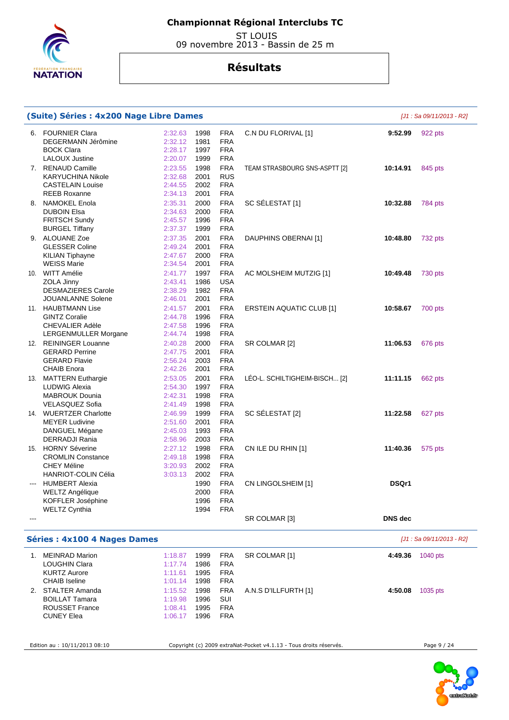

 ST LOUIS 09 novembre 2013 - Bassin de 25 m

# **Résultats**

| (Suite) Séries : 4x200 Nage Libre Dames<br>[J1 : Sa 09/11/2013 - R2] |                                                                                                                   |                                                     |                                      |                                                             |                                 |                |                           |  |  |
|----------------------------------------------------------------------|-------------------------------------------------------------------------------------------------------------------|-----------------------------------------------------|--------------------------------------|-------------------------------------------------------------|---------------------------------|----------------|---------------------------|--|--|
|                                                                      | 6. FOURNIER Clara<br>DEGERMANN Jérômine<br><b>BOCK Clara</b>                                                      | 2:32.63<br>2:32.12<br>2:28.17                       | 1998<br>1981<br>1997                 | <b>FRA</b><br><b>FRA</b><br><b>FRA</b>                      | C.N DU FLORIVAL [1]             | 9:52.99        | 922 pts                   |  |  |
|                                                                      | <b>LALOUX Justine</b><br>7. RENAUD Camille<br><b>KARYUCHINA Nikole</b><br><b>CASTELAIN Louise</b>                 | 2:20.07<br>2:23.55<br>2:32.68<br>2:44.55            | 1999<br>1998<br>2001<br>2002         | <b>FRA</b><br><b>FRA</b><br><b>RUS</b><br><b>FRA</b>        | TEAM STRASBOURG SNS-ASPTT [2]   | 10:14.91       | 845 pts                   |  |  |
|                                                                      | <b>REEB Roxanne</b><br>8. NAMOKEL Enola<br><b>DUBOIN Elsa</b><br><b>FRITSCH Sundy</b>                             | 2:34.13<br>2:35.31<br>2:34.63<br>2:45.57            | 2001<br>2000<br>2000<br>1996         | <b>FRA</b><br><b>FRA</b><br><b>FRA</b><br><b>FRA</b>        | SC SÉLESTAT [1]                 | 10:32.88       | 784 pts                   |  |  |
|                                                                      | <b>BURGEL Tiffany</b><br>9. ALOUANE Zoe<br><b>GLESSER Coline</b><br><b>KILIAN Tiphayne</b>                        | 2:37.37<br>2:37.35<br>2:49.24<br>2:47.67            | 1999<br>2001<br>2001<br>2000         | <b>FRA</b><br><b>FRA</b><br><b>FRA</b><br><b>FRA</b>        | DAUPHINS OBERNAI [1]            | 10:48.80       | 732 pts                   |  |  |
|                                                                      | <b>WEISS Marie</b><br>10. WITT Amélie<br>ZOLA Jinny                                                               | 2:34.54<br>2:41.77<br>2:43.41                       | 2001<br>1997<br>1986                 | <b>FRA</b><br><b>FRA</b><br><b>USA</b>                      | AC MOLSHEIM MUTZIG [1]          | 10:49.48       | 730 pts                   |  |  |
|                                                                      | <b>DESMAZIERES Carole</b><br><b>JOUANLANNE Solene</b><br>11. HAUBTMANN Lise<br><b>GINTZ Coralie</b>               | 2:38.29<br>2:46.01<br>2:41.57<br>2:44.78            | 1982<br>2001<br>2001<br>1996         | <b>FRA</b><br><b>FRA</b><br><b>FRA</b><br><b>FRA</b>        | <b>ERSTEIN AQUATIC CLUB [1]</b> | 10:58.67       | 700 pts                   |  |  |
|                                                                      | <b>CHEVALIER Adèle</b><br>LERGENMULLER Morgane<br>12. REININGER Louanne<br><b>GERARD Perrine</b>                  | 2:47.58<br>2:44.74<br>2:40.28<br>2:47.75            | 1996<br>1998<br>2000<br>2001         | <b>FRA</b><br><b>FRA</b><br><b>FRA</b><br><b>FRA</b>        | SR COLMAR [2]                   | 11:06.53       | 676 pts                   |  |  |
|                                                                      | <b>GERARD Flavie</b><br><b>CHAIB Enora</b><br>13. MATTERN Euthargie<br><b>LUDWIG Alexia</b>                       | 2:56.24<br>2:42.26<br>2:53.05<br>2:54.30            | 2003<br>2001<br>2001<br>1997         | <b>FRA</b><br><b>FRA</b><br><b>FRA</b><br><b>FRA</b>        | LEO-L. SCHILTIGHEIM-BISCH [2]   | 11:11.15       | 662 pts                   |  |  |
|                                                                      | <b>MABROUK Dounia</b><br>VELASQUEZ Sofia<br>14. WUERTZER Charlotte<br><b>MEYER Ludivine</b>                       | 2:42.31<br>2:41.49<br>2:46.99<br>2:51.60            | 1998<br>1998<br>1999<br>2001         | <b>FRA</b><br><b>FRA</b><br><b>FRA</b><br><b>FRA</b>        | SC SÉLESTAT [2]                 | 11:22.58       | 627 pts                   |  |  |
|                                                                      | DANGUEL Mégane<br><b>DERRADJI Rania</b><br>15. HORNY Séverine                                                     | 2:45.03<br>2:58.96<br>2:27.12                       | 1993<br>2003<br>1998                 | <b>FRA</b><br><b>FRA</b><br><b>FRA</b>                      | CN ILE DU RHIN [1]              | 11:40.36       | 575 pts                   |  |  |
|                                                                      | <b>CROMLIN Constance</b><br><b>CHEY Méline</b><br><b>HANRIOT-COLIN Célia</b><br>--- HUMBERT Alexia                | 2:49.18<br>3:20.93<br>3:03.13                       | 1998<br>2002<br>2002<br>1990         | <b>FRA</b><br><b>FRA</b><br><b>FRA</b><br><b>FRA</b>        | CN LINGOLSHEIM [1]              | DSQr1          |                           |  |  |
| ---                                                                  | <b>WELTZ Angélique</b><br>KOFFLER Joséphine<br><b>WELTZ Cynthia</b>                                               |                                                     | 2000<br>1996<br>1994                 | <b>FRA</b><br><b>FRA</b><br><b>FRA</b>                      | SR COLMAR [3]                   | <b>DNS</b> dec |                           |  |  |
|                                                                      | <b>Séries: 4x100 4 Nages Dames</b>                                                                                |                                                     |                                      |                                                             |                                 |                | [J1 : Sa 09/11/2013 - R2] |  |  |
|                                                                      | 1. MEINRAD Marion                                                                                                 | 1:18.87                                             | 1999                                 | <b>FRA</b>                                                  | SR COLMAR [1]                   | 4:49.36        | 1040 pts                  |  |  |
|                                                                      | <b>LOUGHIN Clara</b><br><b>KURTZ Aurore</b><br><b>CHAIB</b> Iseline<br>2. STALTER Amanda<br><b>BOILLAT Tamara</b> | 1:17.74<br>1:11.61<br>1:01.14<br>1:15.52<br>1:19.98 | 1986<br>1995<br>1998<br>1998<br>1996 | <b>FRA</b><br><b>FRA</b><br><b>FRA</b><br><b>FRA</b><br>SUI | A.N.S D'ILLFURTH [1]            | 4:50.08        | 1035 pts                  |  |  |
|                                                                      | <b>ROUSSET France</b><br><b>CUNEY Elea</b>                                                                        | 1:08.41<br>1:06.17                                  | 1995<br>1996                         | <b>FRA</b><br><b>FRA</b>                                    |                                 |                |                           |  |  |

Edition au : 10/11/2013 08:10 Copyright (c) 2009 extraNat-Pocket v4.1.13 - Tous droits réservés.

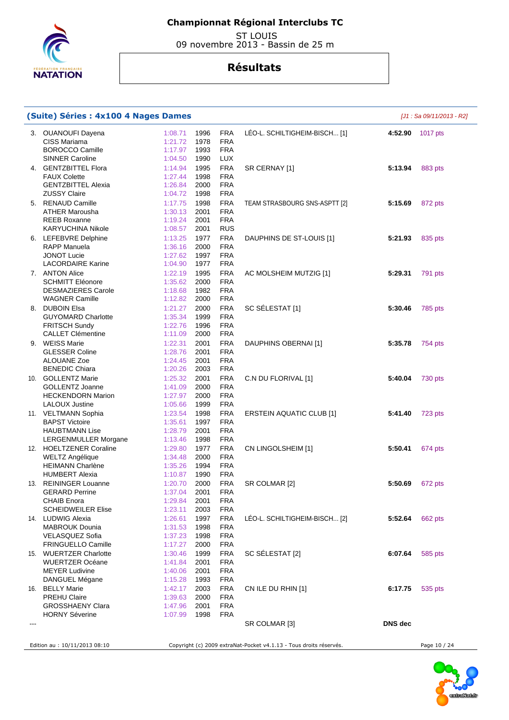

 ST LOUIS 09 novembre 2013 - Bassin de 25 m

| (Suite) Séries : 4x100 4 Nages Dames              |                    |              |                          |                                                                    |                | $[J1: Sa 09/11/2013 - R2]$ |
|---------------------------------------------------|--------------------|--------------|--------------------------|--------------------------------------------------------------------|----------------|----------------------------|
| 3. OUANOUFI Dayena<br>CISS Mariama                | 1:08.71<br>1:21.72 | 1996<br>1978 | <b>FRA</b><br><b>FRA</b> | LÉO-L. SCHILTIGHEIM-BISCH [1]                                      |                | 4:52.90 1017 pts           |
| <b>BOROCCO Camille</b>                            | 1:17.97            | 1993         | <b>FRA</b>               |                                                                    |                |                            |
| <b>SINNER Caroline</b>                            | 1:04.50            | 1990         | <b>LUX</b>               |                                                                    |                |                            |
| 4. GENTZBITTEL Flora                              | 1:14.94            | 1995         | <b>FRA</b>               | SR CERNAY [1]                                                      | 5:13.94        | 883 pts                    |
| <b>FAUX Colette</b>                               | 1:27.44            | 1998         | <b>FRA</b>               |                                                                    |                |                            |
| <b>GENTZBITTEL Alexia</b>                         | 1:26.84            | 2000         | <b>FRA</b>               |                                                                    |                |                            |
| <b>ZUSSY Claire</b>                               | 1:04.72            | 1998         | <b>FRA</b>               |                                                                    |                |                            |
| 5. RENAUD Camille                                 | 1:17.75            | 1998         | <b>FRA</b>               | TEAM STRASBOURG SNS-ASPTT [2]                                      | 5:15.69        | 872 pts                    |
| <b>ATHER Marousha</b>                             | 1:30.13            | 2001         | <b>FRA</b>               |                                                                    |                |                            |
| <b>REEB Roxanne</b><br>KARYUCHINA Nikole          | 1:19.24<br>1:08.57 | 2001<br>2001 | <b>FRA</b><br><b>RUS</b> |                                                                    |                |                            |
| 6. LEFEBVRE Delphine                              | 1:13.25            | 1977         | <b>FRA</b>               | DAUPHINS DE ST-LOUIS [1]                                           | 5:21.93        | 835 pts                    |
| RAPP Manuela                                      | 1:36.16            | 2000         | <b>FRA</b>               |                                                                    |                |                            |
| <b>JONOT Lucie</b>                                | 1:27.62            | 1997         | <b>FRA</b>               |                                                                    |                |                            |
| <b>LACORDAIRE Karine</b>                          | 1:04.90            | 1977         | <b>FRA</b>               |                                                                    |                |                            |
| 7. ANTON Alice                                    | 1:22.19            | 1995         | <b>FRA</b>               | AC MOLSHEIM MUTZIG [1]                                             | 5:29.31        | 791 pts                    |
| <b>SCHMITT Eléonore</b>                           | 1:35.62            | 2000         | <b>FRA</b>               |                                                                    |                |                            |
| <b>DESMAZIERES Carole</b>                         | 1:18.68            | 1982         | <b>FRA</b>               |                                                                    |                |                            |
| <b>WAGNER Camille</b>                             | 1:12.82            | 2000         | <b>FRA</b>               |                                                                    |                |                            |
| 8. DUBOIN Elsa                                    | 1:21.27            | 2000         | <b>FRA</b>               | SC SÉLESTAT [1]                                                    | 5:30.46        | 785 pts                    |
| <b>GUYOMARD Charlotte</b>                         | 1:35.34            | 1999         | <b>FRA</b>               |                                                                    |                |                            |
| <b>FRITSCH Sundy</b>                              | 1:22.76            | 1996         | <b>FRA</b>               |                                                                    |                |                            |
| <b>CALLET Clémentine</b>                          | 1:11.09            | 2000         | <b>FRA</b>               |                                                                    |                |                            |
| 9. WEISS Marie<br><b>GLESSER Coline</b>           | 1:22.31            | 2001         | <b>FRA</b><br><b>FRA</b> | DAUPHINS OBERNAI [1]                                               | 5:35.78        | 754 pts                    |
| ALOUANE Zoe                                       | 1:28.76<br>1:24.45 | 2001<br>2001 | <b>FRA</b>               |                                                                    |                |                            |
| <b>BENEDIC Chiara</b>                             | 1:20.26            | 2003         | <b>FRA</b>               |                                                                    |                |                            |
| 10. GOLLENTZ Marie                                | 1:25.32            | 2001         | <b>FRA</b>               | C.N DU FLORIVAL [1]                                                | 5:40.04        | 730 pts                    |
| <b>GOLLENTZ Joanne</b>                            | 1:41.09            | 2000         | <b>FRA</b>               |                                                                    |                |                            |
| <b>HECKENDORN Marion</b>                          | 1:27.97            | 2000         | <b>FRA</b>               |                                                                    |                |                            |
| <b>LALOUX Justine</b>                             | 1:05.66            | 1999         | <b>FRA</b>               |                                                                    |                |                            |
| 11. VELTMANN Sophia                               | 1:23.54            | 1998         | <b>FRA</b>               | <b>ERSTEIN AQUATIC CLUB [1]</b>                                    | 5:41.40        | 723 pts                    |
| <b>BAPST Victoire</b>                             | 1:35.61            | 1997         | <b>FRA</b>               |                                                                    |                |                            |
| <b>HAUBTMANN Lise</b>                             | 1:28.79            | 2001         | <b>FRA</b>               |                                                                    |                |                            |
| LERGENMULLER Morgane                              | 1:13.46            | 1998         | <b>FRA</b>               |                                                                    |                |                            |
| 12. HOELTZENER Coraline                           | 1:29.80            | 1977         | <b>FRA</b>               | CN LINGOLSHEIM [1]                                                 | 5:50.41        | 674 pts                    |
| <b>WELTZ Angélique</b><br><b>HEIMANN Charlène</b> | 1:34.48<br>1:35.26 | 2000<br>1994 | <b>FRA</b><br><b>FRA</b> |                                                                    |                |                            |
| <b>HUMBERT Alexia</b>                             | 1:10.87            | 1990         | <b>FRA</b>               |                                                                    |                |                            |
| 13. REININGER Louanne                             | 1:20.70            | 2000         | <b>FRA</b>               | SR COLMAR [2]                                                      | 5:50.69        | 672 pts                    |
| <b>GERARD Perrine</b>                             | 1:37.04            | 2001         | <b>FRA</b>               |                                                                    |                |                            |
| <b>CHAIB Enora</b>                                | 1:29.84            | 2001         | <b>FRA</b>               |                                                                    |                |                            |
| <b>SCHEIDWEILER Elise</b>                         | 1:23.11            | 2003         | <b>FRA</b>               |                                                                    |                |                            |
| 14. LUDWIG Alexia                                 | 1:26.61            | 1997         | <b>FRA</b>               | LÉO-L. SCHILTIGHEIM-BISCH [2]                                      | 5:52.64        | 662 pts                    |
| <b>MABROUK Dounia</b>                             | 1:31.53            | 1998         | <b>FRA</b>               |                                                                    |                |                            |
| <b>VELASQUEZ Sofia</b>                            | 1:37.23            | 1998         | <b>FRA</b>               |                                                                    |                |                            |
| <b>FRINGUELLO Camille</b>                         | 1:17.27            | 2000         | <b>FRA</b>               |                                                                    |                |                            |
| 15. WUERTZER Charlotte                            | 1:30.46            | 1999         | <b>FRA</b>               | SC SÉLESTAT [2]                                                    | 6:07.64        | 585 pts                    |
| <b>WUERTZER Océane</b>                            | 1:41.84            | 2001         | <b>FRA</b>               |                                                                    |                |                            |
| <b>MEYER Ludivine</b><br>DANGUEL Mégane           | 1:40.06<br>1:15.28 | 2001<br>1993 | <b>FRA</b><br><b>FRA</b> |                                                                    |                |                            |
| 16. BELLY Marie                                   | 1:42.17            | 2003         | <b>FRA</b>               | CN ILE DU RHIN [1]                                                 | 6:17.75        | 535 pts                    |
| <b>PREHU Claire</b>                               | 1:39.63            | 2000         | <b>FRA</b>               |                                                                    |                |                            |
| <b>GROSSHAENY Clara</b>                           | 1:47.96            | 2001         | <b>FRA</b>               |                                                                    |                |                            |
| <b>HORNY Séverine</b>                             | 1:07.99            | 1998         | <b>FRA</b>               |                                                                    |                |                            |
|                                                   |                    |              |                          | SR COLMAR [3]                                                      | <b>DNS</b> dec |                            |
|                                                   |                    |              |                          |                                                                    |                |                            |
| Edition au : 10/11/2013 08:10                     |                    |              |                          | Copyright (c) 2009 extraNat-Pocket v4.1.13 - Tous droits réservés. |                | Page 10 / 24               |

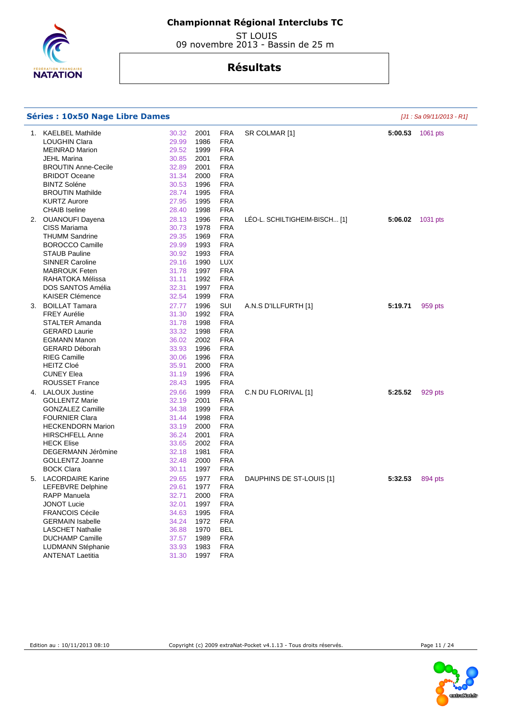

| 1. | <b>KAELBEL Mathilde</b>    | 30.32 | 2001 | <b>FRA</b> | SR COLMAR [1]                 | 5:00.53 | 1061 pts |
|----|----------------------------|-------|------|------------|-------------------------------|---------|----------|
|    | <b>LOUGHIN Clara</b>       | 29.99 | 1986 | <b>FRA</b> |                               |         |          |
|    | <b>MEINRAD Marion</b>      | 29.52 | 1999 | <b>FRA</b> |                               |         |          |
|    | JEHL Marina                | 30.85 | 2001 | <b>FRA</b> |                               |         |          |
|    | <b>BROUTIN Anne-Cecile</b> | 32.89 | 2001 | <b>FRA</b> |                               |         |          |
|    | <b>BRIDOT Oceane</b>       | 31.34 | 2000 | <b>FRA</b> |                               |         |          |
|    | <b>BINTZ Soléne</b>        | 30.53 | 1996 | <b>FRA</b> |                               |         |          |
|    | <b>BROUTIN Mathilde</b>    | 28.74 | 1995 | <b>FRA</b> |                               |         |          |
|    | <b>KURTZ Aurore</b>        | 27.95 | 1995 | <b>FRA</b> |                               |         |          |
|    | <b>CHAIB</b> Iseline       | 28.40 | 1998 | <b>FRA</b> |                               |         |          |
|    | 2. OUANOUFI Dayena         | 28.13 | 1996 | <b>FRA</b> | LÉO-L. SCHILTIGHEIM-BISCH [1] | 5:06.02 | 1031 pts |
|    | CISS Mariama               | 30.73 | 1978 | <b>FRA</b> |                               |         |          |
|    | <b>THUMM Sandrine</b>      | 29.35 | 1969 | <b>FRA</b> |                               |         |          |
|    | <b>BOROCCO Camille</b>     | 29.99 | 1993 | <b>FRA</b> |                               |         |          |
|    | <b>STAUB Pauline</b>       | 30.92 | 1993 | <b>FRA</b> |                               |         |          |
|    | <b>SINNER Caroline</b>     | 29.16 | 1990 | <b>LUX</b> |                               |         |          |
|    | <b>MABROUK Feten</b>       | 31.78 | 1997 | <b>FRA</b> |                               |         |          |
|    | RAHATOKA Mélissa           | 31.11 | 1992 | <b>FRA</b> |                               |         |          |
|    | DOS SANTOS Amélia          | 32.31 | 1997 | <b>FRA</b> |                               |         |          |
|    | <b>KAISER Clémence</b>     | 32.54 | 1999 | <b>FRA</b> |                               |         |          |
| З. | <b>BOILLAT Tamara</b>      | 27.77 | 1996 | SUI        | A.N.S D'ILLFURTH [1]          | 5:19.71 | 959 pts  |
|    | <b>FREY Aurélie</b>        | 31.30 | 1992 | <b>FRA</b> |                               |         |          |
|    | <b>STALTER Amanda</b>      | 31.78 | 1998 | <b>FRA</b> |                               |         |          |
|    | <b>GERARD Laurie</b>       | 33.32 | 1998 | <b>FRA</b> |                               |         |          |
|    | <b>EGMANN Manon</b>        | 36.02 | 2002 | <b>FRA</b> |                               |         |          |
|    | <b>GERARD Déborah</b>      | 33.93 | 1996 | <b>FRA</b> |                               |         |          |
|    | <b>RIEG Camille</b>        | 30.06 | 1996 | <b>FRA</b> |                               |         |          |
|    | <b>HEITZ Cloé</b>          | 35.91 | 2000 | <b>FRA</b> |                               |         |          |
|    | <b>CUNEY Elea</b>          | 31.19 | 1996 | <b>FRA</b> |                               |         |          |
|    | <b>ROUSSET France</b>      | 28.43 | 1995 | <b>FRA</b> |                               |         |          |
| 4. | <b>LALOUX Justine</b>      | 29.66 | 1999 | <b>FRA</b> | C.N DU FLORIVAL [1]           | 5:25.52 | 929 pts  |
|    | <b>GOLLENTZ Marie</b>      | 32.19 | 2001 | <b>FRA</b> |                               |         |          |
|    | <b>GONZALEZ Camille</b>    | 34.38 | 1999 | <b>FRA</b> |                               |         |          |
|    | <b>FOURNIER Clara</b>      | 31.44 | 1998 | <b>FRA</b> |                               |         |          |
|    | <b>HECKENDORN Marion</b>   | 33.19 | 2000 | <b>FRA</b> |                               |         |          |
|    | <b>HIRSCHFELL Anne</b>     | 36.24 | 2001 | <b>FRA</b> |                               |         |          |
|    | <b>HECK Elise</b>          | 33.65 | 2002 | <b>FRA</b> |                               |         |          |
|    | DEGERMANN Jérômine         | 32.18 | 1981 | <b>FRA</b> |                               |         |          |
|    | <b>GOLLENTZ Joanne</b>     | 32.48 | 2000 | <b>FRA</b> |                               |         |          |
|    | <b>BOCK Clara</b>          | 30.11 | 1997 | <b>FRA</b> |                               |         |          |
|    | 5. LACORDAIRE Karine       | 29.65 | 1977 | <b>FRA</b> | DAUPHINS DE ST-LOUIS [1]      | 5:32.53 | 894 pts  |
|    | <b>LEFEBVRE Delphine</b>   | 29.61 | 1977 | <b>FRA</b> |                               |         |          |
|    | <b>RAPP Manuela</b>        | 32.71 | 2000 | <b>FRA</b> |                               |         |          |
|    | JONOT Lucie                | 32.01 | 1997 | <b>FRA</b> |                               |         |          |
|    | FRANCOIS Cécile            | 34.63 | 1995 | <b>FRA</b> |                               |         |          |
|    | <b>GERMAIN Isabelle</b>    | 34.24 | 1972 | <b>FRA</b> |                               |         |          |
|    | <b>LASCHET Nathalie</b>    | 36.88 | 1970 | <b>BEL</b> |                               |         |          |
|    | <b>DUCHAMP Camille</b>     | 37.57 | 1989 | <b>FRA</b> |                               |         |          |
|    | <b>LUDMANN Stéphanie</b>   | 33.93 | 1983 | <b>FRA</b> |                               |         |          |
|    | <b>ANTENAT Laetitia</b>    | 31.30 | 1997 | <b>FRA</b> |                               |         |          |
|    |                            |       |      |            |                               |         |          |
|    |                            |       |      |            |                               |         |          |

 ST LOUIS 09 novembre 2013 - Bassin de 25 m

# **Résultats**



**Séries : 10x50 Nage Libre Dames Séries : 10x50 Nage Libre Dames Communities Expansion Expansion Expansion Expansion Expansion Expansion Expansion Expansion**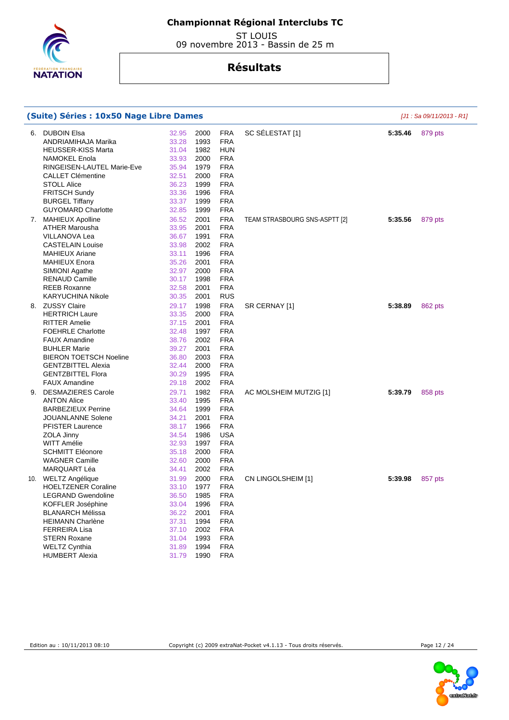

 ST LOUIS 09 novembre 2013 - Bassin de 25 m

|    | (Suite) Séries : 10x50 Nage Libre Dames |       | $[J1: Sa 09/11/2013 - R1]$ |            |                               |         |         |
|----|-----------------------------------------|-------|----------------------------|------------|-------------------------------|---------|---------|
| 6. | <b>DUBOIN Elsa</b>                      | 32.95 | 2000                       | <b>FRA</b> | SC SÉLESTAT [1]               | 5:35.46 | 879 pts |
|    | ANDRIAMIHAJA Marika                     | 33.28 | 1993                       | <b>FRA</b> |                               |         |         |
|    | <b>HEUSSER-KISS Marta</b>               | 31.04 | 1982                       | <b>HUN</b> |                               |         |         |
|    | NAMOKEL Enola                           | 33.93 | 2000                       | <b>FRA</b> |                               |         |         |
|    | RINGEISEN-LAUTEL Marie-Eve              | 35.94 | 1979                       | <b>FRA</b> |                               |         |         |
|    | <b>CALLET Clémentine</b>                | 32.51 | 2000                       | <b>FRA</b> |                               |         |         |
|    | <b>STOLL Alice</b>                      | 36.23 | 1999                       | <b>FRA</b> |                               |         |         |
|    | <b>FRITSCH Sundy</b>                    | 33.36 | 1996                       | <b>FRA</b> |                               |         |         |
|    | <b>BURGEL Tiffany</b>                   | 33.37 | 1999                       | <b>FRA</b> |                               |         |         |
|    | <b>GUYOMARD Charlotte</b>               | 32.85 | 1999                       | <b>FRA</b> |                               |         |         |
|    | 7. MAHIEUX Apolline                     | 36.52 | 2001                       | <b>FRA</b> | TEAM STRASBOURG SNS-ASPTT [2] | 5:35.56 | 879 pts |
|    | <b>ATHER Marousha</b>                   | 33.95 | 2001                       | <b>FRA</b> |                               |         |         |
|    | VILLANOVA Lea                           | 36.67 | 1991                       | <b>FRA</b> |                               |         |         |
|    | <b>CASTELAIN Louise</b>                 | 33.98 | 2002                       | <b>FRA</b> |                               |         |         |
|    | <b>MAHIEUX Ariane</b>                   | 33.11 | 1996                       | <b>FRA</b> |                               |         |         |
|    | <b>MAHIEUX Enora</b>                    | 35.26 | 2001                       | <b>FRA</b> |                               |         |         |
|    | SIMIONI Agathe                          | 32.97 | 2000                       | <b>FRA</b> |                               |         |         |
|    | <b>RENAUD Camille</b>                   | 30.17 | 1998                       | <b>FRA</b> |                               |         |         |
|    | <b>REEB Roxanne</b>                     | 32.58 | 2001                       | <b>FRA</b> |                               |         |         |
|    | <b>KARYUCHINA Nikole</b>                | 30.35 | 2001                       | <b>RUS</b> |                               |         |         |
|    | 8. ZUSSY Claire                         | 29.17 | 1998                       | <b>FRA</b> | SR CERNAY [1]                 | 5:38.89 | 862 pts |
|    | <b>HERTRICH Laure</b>                   | 33.35 | 2000                       | <b>FRA</b> |                               |         |         |
|    | <b>RITTER Amelie</b>                    | 37.15 | 2001                       | <b>FRA</b> |                               |         |         |
|    | <b>FOEHRLE Charlotte</b>                | 32.48 | 1997                       | <b>FRA</b> |                               |         |         |
|    | <b>FAUX Amandine</b>                    | 38.76 | 2002                       | <b>FRA</b> |                               |         |         |
|    | <b>BUHLER Marie</b>                     | 39.27 | 2001                       | <b>FRA</b> |                               |         |         |
|    | <b>BIERON TOETSCH Noeline</b>           | 36.80 | 2003                       | <b>FRA</b> |                               |         |         |
|    | <b>GENTZBITTEL Alexia</b>               | 32.44 | 2000                       | <b>FRA</b> |                               |         |         |
|    | <b>GENTZBITTEL Flora</b>                | 30.29 | 1995                       | <b>FRA</b> |                               |         |         |
|    | <b>FAUX Amandine</b>                    | 29.18 | 2002                       | <b>FRA</b> |                               |         |         |
|    | 9. DESMAZIERES Carole                   | 29.71 | 1982                       | <b>FRA</b> | AC MOLSHEIM MUTZIG [1]        | 5:39.79 | 858 pts |
|    | <b>ANTON Alice</b>                      | 33.40 | 1995                       | <b>FRA</b> |                               |         |         |
|    | <b>BARBEZIEUX Perrine</b>               | 34.64 | 1999                       | <b>FRA</b> |                               |         |         |
|    | JOUANLANNE Solene                       | 34.21 | 2001                       | <b>FRA</b> |                               |         |         |
|    | <b>PFISTER Laurence</b>                 | 38.17 | 1966                       | <b>FRA</b> |                               |         |         |
|    | ZOLA Jinny                              | 34.54 | 1986                       | <b>USA</b> |                               |         |         |
|    | <b>WITT Amélie</b>                      | 32.93 | 1997                       | <b>FRA</b> |                               |         |         |
|    | <b>SCHMITT Eléonore</b>                 | 35.18 | 2000                       | <b>FRA</b> |                               |         |         |
|    | <b>WAGNER Camille</b>                   | 32.60 | 2000                       | <b>FRA</b> |                               |         |         |
|    | MARQUART Léa                            | 34.41 | 2002                       | <b>FRA</b> |                               |         |         |
|    | 10. WELTZ Angélique                     | 31.99 | 2000                       | <b>FRA</b> | CN LINGOLSHEIM [1]            | 5:39.98 | 857 pts |
|    | <b>HOELTZENER Coraline</b>              | 33.10 | 1977                       | <b>FRA</b> |                               |         |         |
|    | <b>LEGRAND Gwendoline</b>               | 36.50 | 1985                       | <b>FRA</b> |                               |         |         |
|    | KOFFLER Joséphine                       | 33.04 | 1996                       | <b>FRA</b> |                               |         |         |
|    | <b>BLANARCH Mélissa</b>                 | 36.22 | 2001                       | <b>FRA</b> |                               |         |         |
|    | <b>HEIMANN Charlène</b>                 | 37.31 | 1994                       | <b>FRA</b> |                               |         |         |
|    | <b>FERREIRA Lisa</b>                    | 37.10 | 2002                       | <b>FRA</b> |                               |         |         |
|    | <b>STERN Roxane</b>                     | 31.04 | 1993                       | <b>FRA</b> |                               |         |         |
|    | <b>WELTZ Cynthia</b>                    | 31.89 | 1994                       | <b>FRA</b> |                               |         |         |
|    | <b>HUMBERT Alexia</b>                   | 31.79 | 1990                       | <b>FRA</b> |                               |         |         |



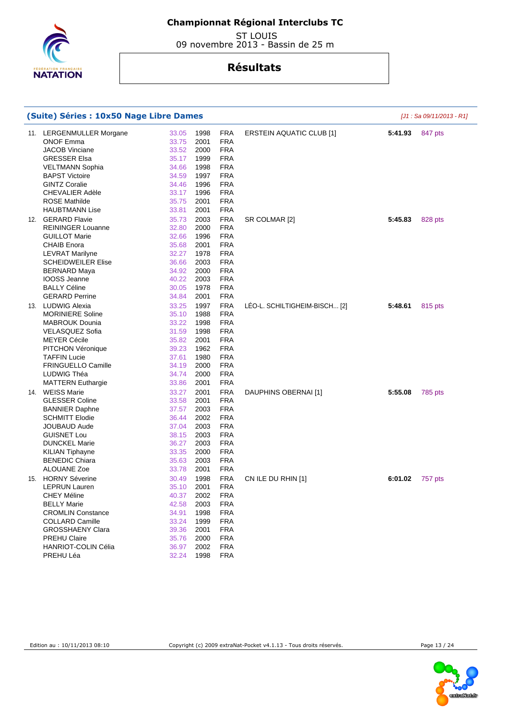

 ST LOUIS 09 novembre 2013 - Bassin de 25 m

| (Suite) Séries : 10x50 Nage Libre Dames                                                                                                                                                                                                            |                                                                                        | [J1 : Sa 09/11/2013 - R1]                                                    |                                                                                                                                          |                                 |         |         |
|----------------------------------------------------------------------------------------------------------------------------------------------------------------------------------------------------------------------------------------------------|----------------------------------------------------------------------------------------|------------------------------------------------------------------------------|------------------------------------------------------------------------------------------------------------------------------------------|---------------------------------|---------|---------|
| 11. LERGENMULLER Morgane<br><b>ONOF Emma</b><br><b>JACOB Vinciane</b><br><b>GRESSER Elsa</b><br><b>VELTMANN Sophia</b><br><b>BAPST Victoire</b><br><b>GINTZ Coralie</b><br><b>CHEVALIER Adèle</b><br><b>ROSE Mathilde</b><br><b>HAUBTMANN Lise</b> | 33.05<br>33.75<br>33.52<br>35.17<br>34.66<br>34.59<br>34.46<br>33.17<br>35.75<br>33.81 | 1998<br>2001<br>2000<br>1999<br>1998<br>1997<br>1996<br>1996<br>2001<br>2001 | <b>FRA</b><br><b>FRA</b><br><b>FRA</b><br><b>FRA</b><br><b>FRA</b><br><b>FRA</b><br><b>FRA</b><br><b>FRA</b><br><b>FRA</b><br><b>FRA</b> | <b>ERSTEIN AQUATIC CLUB [1]</b> | 5:41.93 | 847 pts |
| 12. GERARD Flavie<br><b>REININGER Louanne</b><br><b>GUILLOT Marie</b><br><b>CHAIB Enora</b><br><b>LEVRAT Marilyne</b><br><b>SCHEIDWEILER Elise</b><br><b>BERNARD Maya</b><br>IOOSS Jeanne<br><b>BALLY Céline</b><br><b>GERARD Perrine</b>          | 35.73<br>32.80<br>32.66<br>35.68<br>32.27<br>36.66<br>34.92<br>40.22<br>30.05<br>34.84 | 2003<br>2000<br>1996<br>2001<br>1978<br>2003<br>2000<br>2003<br>1978<br>2001 | <b>FRA</b><br><b>FRA</b><br><b>FRA</b><br><b>FRA</b><br><b>FRA</b><br><b>FRA</b><br><b>FRA</b><br><b>FRA</b><br><b>FRA</b><br><b>FRA</b> | SR COLMAR [2]                   | 5:45.83 | 828 pts |
| 13. LUDWIG Alexia<br><b>MORINIERE Soline</b><br><b>MABROUK Dounia</b><br><b>VELASQUEZ Sofia</b><br><b>MEYER Cécile</b><br>PITCHON Véronique<br><b>TAFFIN Lucie</b><br><b>FRINGUELLO Camille</b><br>LUDWIG Théa<br><b>MATTERN Euthargie</b>         | 33.25<br>35.10<br>33.22<br>31.59<br>35.82<br>39.23<br>37.61<br>34.19<br>34.74<br>33.86 | 1997<br>1988<br>1998<br>1998<br>2001<br>1962<br>1980<br>2000<br>2000<br>2001 | <b>FRA</b><br><b>FRA</b><br><b>FRA</b><br><b>FRA</b><br><b>FRA</b><br><b>FRA</b><br><b>FRA</b><br><b>FRA</b><br><b>FRA</b><br><b>FRA</b> | LÉO-L. SCHILTIGHEIM-BISCH [2]   | 5:48.61 | 815 pts |
| 14. WEISS Marie<br><b>GLESSER Coline</b><br><b>BANNIER Daphne</b><br><b>SCHMITT Elodie</b><br><b>JOUBAUD Aude</b><br><b>GUISNET Lou</b><br><b>DUNCKEL Marie</b><br><b>KILIAN Tiphayne</b><br><b>BENEDIC Chiara</b><br>ALOUANE Zoe                  | 33.27<br>33.58<br>37.57<br>36.44<br>37.04<br>38.15<br>36.27<br>33.35<br>35.63<br>33.78 | 2001<br>2001<br>2003<br>2002<br>2003<br>2003<br>2003<br>2000<br>2003<br>2001 | <b>FRA</b><br><b>FRA</b><br><b>FRA</b><br><b>FRA</b><br><b>FRA</b><br><b>FRA</b><br><b>FRA</b><br><b>FRA</b><br><b>FRA</b><br><b>FRA</b> | DAUPHINS OBERNAI [1]            | 5:55.08 | 785 pts |
| 15. HORNY Séverine<br><b>LEPRUN Lauren</b><br>CHEY Méline<br><b>BELLY Marie</b><br><b>CROMLIN Constance</b><br><b>COLLARD Camille</b><br><b>GROSSHAENY Clara</b><br><b>PREHU Claire</b><br><b>HANRIOT-COLIN Célia</b><br>PREHU Léa                 | 30.49<br>35.10<br>40.37<br>42.58<br>34.91<br>33.24<br>39.36<br>35.76<br>36.97<br>32.24 | 1998<br>2001<br>2002<br>2003<br>1998<br>1999<br>2001<br>2000<br>2002<br>1998 | <b>FRA</b><br><b>FRA</b><br>FRA<br><b>FRA</b><br><b>FRA</b><br><b>FRA</b><br><b>FRA</b><br><b>FRA</b><br><b>FRA</b><br><b>FRA</b>        | CN ILE DU RHIN [1]              | 6:01.02 | 757 pts |



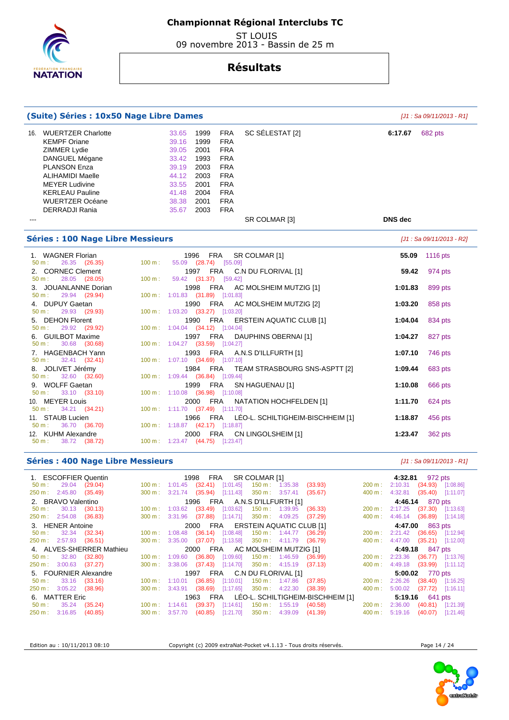

 ST LOUIS 09 novembre 2013 - Bassin de 25 m

# **Résultats**

| (Suite) Séries : 10x50 Nage Libre Dames                                                                                                                                                                                                           | [J1 : Sa 09/11/2013 - R1]                                                                                                                                                                                                                                                                                                             |                    |  |  |  |  |  |  |
|---------------------------------------------------------------------------------------------------------------------------------------------------------------------------------------------------------------------------------------------------|---------------------------------------------------------------------------------------------------------------------------------------------------------------------------------------------------------------------------------------------------------------------------------------------------------------------------------------|--------------------|--|--|--|--|--|--|
| <b>WUERTZER Charlotte</b><br>16.<br><b>KEMPF Oriane</b><br>ZIMMER Lydie<br>DANGUEL Mégane<br><b>PLANSON Enza</b><br><b>ALIHAMIDI Maelle</b><br><b>MEYER Ludivine</b><br><b>KERLEAU Pauline</b><br><b>WUERTZER Océane</b><br><b>DERRADJI Rania</b> | SC SÉLESTAT [2]<br><b>FRA</b><br>33.65<br>1999<br>39.16<br>1999<br><b>FRA</b><br>39.05<br>2001<br><b>FRA</b><br>33.42<br>1993<br><b>FRA</b><br>39.19<br><b>FRA</b><br>2003<br>44.12<br>2003<br><b>FRA</b><br>33.55<br><b>FRA</b><br>2001<br>41.48<br>2004<br><b>FRA</b><br>38.38<br>2001<br><b>FRA</b><br><b>FRA</b><br>35.67<br>2003 | 6:17.67<br>682 pts |  |  |  |  |  |  |
| $---$                                                                                                                                                                                                                                             | SR COLMAR [3]                                                                                                                                                                                                                                                                                                                         | <b>DNS</b> dec     |  |  |  |  |  |  |
| <b>Séries : 100 Nage Libre Messieurs</b><br>[J1 : Sa 09/11/2013 - R2]                                                                                                                                                                             |                                                                                                                                                                                                                                                                                                                                       |                    |  |  |  |  |  |  |
| 1. WAGNER Florian                                                                                                                                                                                                                                 | <b>FRA</b><br>SR COLMAR [1]<br>1996                                                                                                                                                                                                                                                                                                   | 55.09<br>1116 pts  |  |  |  |  |  |  |
| 26.35 (26.35)<br>100 m:<br>50 m:<br>2. CORNEC Clement                                                                                                                                                                                             | 55.09 (28.74) [55.09]<br>1997 FRA<br>C.N DU FLORIVAL [1]                                                                                                                                                                                                                                                                              | 59.42<br>974 pts   |  |  |  |  |  |  |
| 28.05 (28.05)<br>100 m:<br>$50 m$ :                                                                                                                                                                                                               | 59.42 (31.37) [59.42]                                                                                                                                                                                                                                                                                                                 |                    |  |  |  |  |  |  |
| 3. JOUANLANNE Dorian<br>$50 m$ :<br>29.94 (29.94)                                                                                                                                                                                                 | 1998<br>FRA<br>AC MOLSHEIM MUTZIG [1]<br>100 m: 1:01.83 (31.89) [1:01.83]                                                                                                                                                                                                                                                             | 1:01.83<br>899 pts |  |  |  |  |  |  |
| 4. DUPUY Gaetan                                                                                                                                                                                                                                   | <b>FRA</b><br>1990<br>AC MOLSHEIM MUTZIG [2]                                                                                                                                                                                                                                                                                          | 1:03.20<br>858 pts |  |  |  |  |  |  |
| $50 m$ :<br>29.93 (29.93)<br>5. DEHON Florent                                                                                                                                                                                                     | 100 m: 1:03.20 (33.27) [1:03.20]<br><b>FRA</b><br>1990<br><b>ERSTEIN AQUATIC CLUB [1]</b>                                                                                                                                                                                                                                             | 834 pts<br>1:04.04 |  |  |  |  |  |  |
| 29.92 (29.92)<br>$50 m$ :                                                                                                                                                                                                                         | 100 m: 1:04.04 (34.12) [1:04.04]                                                                                                                                                                                                                                                                                                      |                    |  |  |  |  |  |  |
| 6. GUILBOT Maxime<br>30.68 (30.68)<br>$50 m$ :                                                                                                                                                                                                    | DAUPHINS OBERNAI [1]<br>1997<br><b>FRA</b><br>100 m: 1:04.27 (33.59) [1:04.27]                                                                                                                                                                                                                                                        | 1:04.27<br>827 pts |  |  |  |  |  |  |
| 7. HAGENBACH Yann                                                                                                                                                                                                                                 | 1993 FRA<br>A.N.S D'ILLFURTH [1]                                                                                                                                                                                                                                                                                                      | 1:07.10<br>746 pts |  |  |  |  |  |  |
| $50 m$ :<br>32.41 (32.41)<br>8. JOLIVET Jérémy                                                                                                                                                                                                    | 100 m: 1:07.10 (34.69) [1:07.10]<br><b>FRA</b><br>1984<br>TEAM STRASBOURG SNS-ASPTT [2]                                                                                                                                                                                                                                               | 1:09.44<br>683 pts |  |  |  |  |  |  |
| 32.60 (32.60)<br>$50 m$ :                                                                                                                                                                                                                         | 100 m: 1:09.44 (36.84) [1:09.44]                                                                                                                                                                                                                                                                                                      |                    |  |  |  |  |  |  |
| 9. WOLFF Gaetan<br>33.10 (33.10)<br>$50 m$ :                                                                                                                                                                                                      | <b>FRA</b><br>1999<br>SN HAGUENAU [1]<br>100 m: 1:10.08 (36.98) [1:10.08]                                                                                                                                                                                                                                                             | 1:10.08<br>666 pts |  |  |  |  |  |  |
| 10. MEYER Louis                                                                                                                                                                                                                                   | <b>FRA</b><br>2000<br>NATATION HOCHFELDEN [1]                                                                                                                                                                                                                                                                                         | 1:11.70<br>624 pts |  |  |  |  |  |  |
| 34.21 (34.21)<br>$50 m$ :<br>11. STAUB Lucien                                                                                                                                                                                                     | 100 m: 1:11.70 (37.49) [1:11.70]<br>1966<br>FRA<br>LÉO-L. SCHILTIGHEIM-BISCHHEIM [1]                                                                                                                                                                                                                                                  | 1:18.87<br>456 pts |  |  |  |  |  |  |
| 50 m:<br>36.70 (36.70)                                                                                                                                                                                                                            | 100 m: 1:18.87 (42.17) [1:18.87]                                                                                                                                                                                                                                                                                                      |                    |  |  |  |  |  |  |
| <b>KUHM Alexandre</b><br>12.<br>38.72 (38.72)<br>$50 m$ :                                                                                                                                                                                         | FRA<br>CN LINGOLSHEIM [1]<br>2000<br>100 m: 1:23.47 (44.75) [1:23.47]                                                                                                                                                                                                                                                                 | 1:23.47<br>362 pts |  |  |  |  |  |  |

## **Séries : 400 Nage Libre Messieurs Séries : 400 Nage Libre Messieurs Exercíptique 101 : Sa 09/11/2013 - R1]**

| 1. ESCOFFIER Quentin          |                          |                                 |                                             |                                   | 1998 FRA SR COLMAR [1]                                    |                          |                         |                                            |                   |                 | 4:32.81 972 pts             |           |
|-------------------------------|--------------------------|---------------------------------|---------------------------------------------|-----------------------------------|-----------------------------------------------------------|--------------------------|-------------------------|--------------------------------------------|-------------------|-----------------|-----------------------------|-----------|
| $50 \text{ m}: 29.04 (29.04)$ |                          |                                 | $100 \text{ m}: 1:01.45$ (32.41) [1:01.45]  |                                   |                                                           |                          | 150 m : 1:35.38 (33.93) |                                            | 200 m :           |                 | 2:10.31 (34.93) [1:08.86]   |           |
| 250 m: 2:45.80 (35.49)        |                          |                                 |                                             |                                   | 300 m : 3:21.74 (35.94) [1:11.43] 350 m : 3:57.41         |                          |                         | (35.67)                                    | 400 m:            |                 | 4:32.81 (35.40) [1:11.07]   |           |
| 2. BRAVO Valentino            |                          |                                 |                                             |                                   | 1996 FRA A.N.S D'ILLFURTH [1]                             |                          |                         |                                            |                   | 4:46.14 870 pts |                             |           |
| $50 \text{ m}: 30.13 (30.13)$ |                          |                                 |                                             |                                   | 100 m: 1:03.62 (33.49) [1:03.62]                          | 150 m : 1:39.95 (36.33)  |                         |                                            | $200 \text{ m}$ : |                 | 2:17.25 (37.30) [1:13.63]   |           |
| 250 m : 2:54.08 (36.83)       |                          |                                 |                                             |                                   | 300 m : 3:31.96 (37.88) [1:14.71] 350 m : 4:09.25 (37.29) |                          |                         |                                            | $400 \text{ m}$ : |                 | 4:46.14 (36.89) [1:14.18]   |           |
| 3. HENER Antoine              |                          |                                 |                                             | 2000 FRA ERSTEIN AQUATIC CLUB [1] |                                                           |                          |                         | 4:47.00 863 pts                            |                   |                 |                             |           |
| $50 \text{ m}: 32.34 (32.34)$ |                          |                                 | 100 m: 1:08.48 (36.14) [1:08.48]            |                                   |                                                           | 150 m : 1:44.77 (36.29)  |                         |                                            | $200 \text{ m}$ : |                 | 2:21.42 (36.65) [1:12.94]   |           |
| 250 m : 2:57.93 (36.51)       |                          |                                 |                                             |                                   | 300 m: 3:35.00 (37.07) [1:13.58] 350 m: 4:11.79 (36.79)   |                          |                         |                                            | 400 m :           |                 | 4:47.00 (35.21) [1:12.00]   |           |
|                               | 4. ALVES-SHERRER Mathieu | 2000 FRA AC MOLSHEIM MUTZIG [1] |                                             |                                   |                                                           |                          |                         |                                            | 4:49.18 847 pts   |                 |                             |           |
| $50 \text{ m}: 32.80$         | (32.80)                  |                                 |                                             |                                   | 100 m: 1:09.60 (36.80) [1:09.60] 150 m: 1:46.59 (36.99)   |                          |                         |                                            | 200 m :           |                 | 2:23.36 (36.77) [1:13.76]   |           |
| 250 m : 3:00.63 (37.27)       |                          |                                 |                                             |                                   | 300 m : 3:38.06 (37.43) [1:14.70] 350 m : 4:15.19 (37.13) |                          |                         |                                            | 400 m :           |                 | 4:49.18 (33.99) [1:11.12]   |           |
| 5. FOURNIER Alexandre         |                          |                                 |                                             |                                   | 1997 FRA C.N DU FLORIVAL [1]                              |                          |                         |                                            |                   |                 | 5:00.02 770 pts             |           |
| $50 \text{ m}: 33.16 (33.16)$ |                          |                                 | $100 \text{ m}$ : 1:10.01 (36.85) [1:10.01] |                                   |                                                           | 150 m: 1:47.86 (37.85)   |                         |                                            | $200 \text{ m}$ : | 2:26.26         | $(38.40)$ [1:16.25]         |           |
| 250 m : 3:05.22 (38.96)       |                          |                                 |                                             |                                   | 300 m : 3:43.91 (38.69) [1:17.65] 350 m : 4:22.30         |                          |                         | (38.39)                                    | $400 \text{ m}$ : |                 | $5:00.02$ (37.72) [1:16.11] |           |
| 6. MATTER Eric                |                          |                                 |                                             |                                   |                                                           |                          |                         | 1963 FRA LÉO-L. SCHILTIGHEIM-BISCHHEIM [1] |                   |                 | <b>5:19.16</b> 641 pts      |           |
| $50 \text{ m}: 35.24 (35.24)$ |                          |                                 |                                             |                                   | 100 m: 1:14.61 (39.37) [1:14.61]                          | $150 \text{ m}: 1:55.19$ |                         | (40.58)                                    | $200 \text{ m}$ : |                 | 2:36.00 (40.81) [1:21.39]   |           |
| 250 m: 3:16.85 (40.85)        |                          |                                 |                                             |                                   | 300 m: 3:57.70 (40.85) [1:21.70]                          |                          | 350 m : 4:39.09 (41.39) |                                            | $400 \text{ m}$ : | 5:19.16         | (40.07)                     | [1:21.46] |

Edition au : 10/11/2013 08:10 Copyright (c) 2009 extraNat-Pocket v4.1.13 - Tous droits réservés. Page 14 / 24

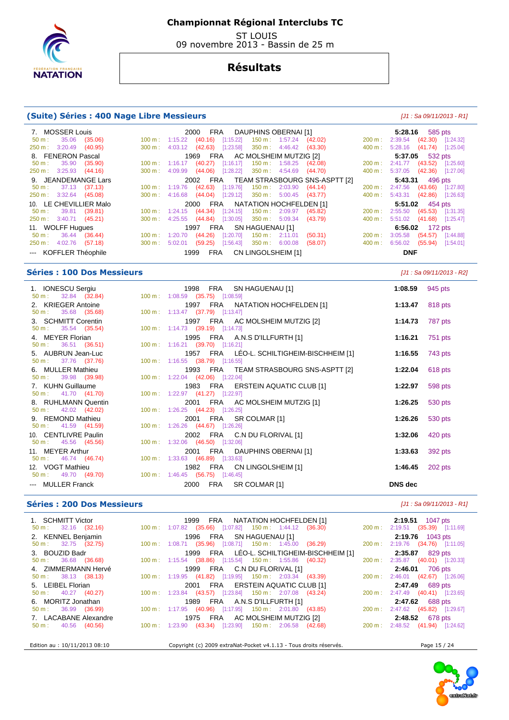

 ST LOUIS 09 novembre 2013 - Bassin de 25 m

## **Résultats**

#### **(Suite) Séries : 400 Nage Libre Messieurs** [J1 : Sa 09/11/2013 - R1]

#### 7. MOSSER Louis 2000 FRA DAUPHINS OBERNAI [1] **5:28.16** 585 pts 50 m : 35.06 (35.06) 100 m : 1:15.22 (40.16) [1:15.22] 150 m : 1:57.24 (42.02) 200 m : 2:39.54 (42.30) [1:24.32] 250 m : 3:20.49 (40.95) 300 m : 4:03.12 (42.63) [1:23.58] 350 m : 4:46.42 (43.30) 400 m : 5:28.16 (41.74) [1:25.04] 8. FENERON Pascal 1969 FRA AC MOLSHEIM MUTZIG [2] **5:37.05** 532 pts 50 m : 35.90 (35.90) 100 m : 1:16.17 (40.27) [1:16.17] 150 m : 1:58.25 (42.08) 200 m : 2:41.77 (43.52) [1:25.60]  $300 \text{ m}$  : 4:09.99 (44.06) [1:28.22] 9. JEANDEMANGE Lars 2002 FRA TEAM STRASBOURG SNS-ASPTT [2] **5:43.31** 496 pts 50 m : 37.13 (37.13) 100 m : 1:19.76 (42.63) [1:19.76] 150 m : 2:03.90 (44.14) 200 m : 2:47.56 (43.66) [1:27.80] 250 m : 3:32.64 (45.08) 300 m : 4:16.68 (44.04) [1:29.12] 350 m : 5:00.45 (43.77) 400 m : 5:43.31 (42.86) [1:26.63] 10. LE CHEVILLIER Malo 2000 FRA NATATION HOCHFELDEN [1] 5:51.02 454 pts<br>
50 m : 39.81 (39.81) 100 m : 1:24.15 (44.34) [1:24.15] 150 m : 2:09.97 (45.82) 200 m : 2:55.50 (45.53) [1:31.35]<br>
250 m : 3:40.71 (45.21) 300 m : 4:2 50 m : 39.81 (39.81) 100 m : 1:24.15 (44.34) [1:24.15] 150 m : 2:09.97 (45.82) 200 m : 2:55.50 (45.53) [1:31.35] 250 m : 3:40.71 (45.21) 300 m : 4:25.55 (44.84) [1:30.05] 350 m : 5:09.34 (43.79) 400 m : 5:51.02 (41.68) [1:25.47] 11. WOLFF Hugues 1997 FRA SN HAGUENAU [1] **6:56.02** 172 pts 50 m : 36.44 (36.44) 100 m : 1:20.70 (44.26) [1:20.70] 150 m : 2:11.01 (50.31) 200 m : 3:05.58 (54.57) [1:44.88] 250 m : 4:02.76 (57.18) 300 m : 5:02.01 (59.25) [1:56.43] 350 m : 6:00.08 (58.07) 400 m : 6:56.02 (55.94) [1:54.01] --- KOFFLER Théophile 1999 FRA CN LINGOLSHEIM [1] **DNF**

#### **Séries : 100 Dos Messieurs and the series of the series of the series of the series of the series of the series of the series of the series of the series of the series of the series of the series of the series of the se**

| 1. IONESCU Sergiu                                      |                                  | 1998 FRA SN HAGUENAU [1]                   | 1:08.59                   | 945 pts |
|--------------------------------------------------------|----------------------------------|--------------------------------------------|---------------------------|---------|
| 50 m : 32.84 (32.84) 100 m : 1:08.59 (35.75) [1:08.59] |                                  |                                            |                           |         |
| 2. KRIEGER Antoine                                     |                                  | 1997 FRA NATATION HOCHFELDEN [1]           | 1:13.47 $818 \text{ pts}$ |         |
| $50 \text{ m}: 35.68 (35.68)$                          | 100 m: 1:13.47 (37.79) [1:13.47] |                                            |                           |         |
| 3. SCHMITT Corentin                                    |                                  | 1997 FRA AC MOLSHEIM MUTZIG [2]            | 1:14.73 787 pts           |         |
| $50 \text{ m}: 35.54 (35.54)$                          | 100 m: 1:14.73 (39.19) [1:14.73] |                                            |                           |         |
| 4. MEYER Florian                                       |                                  | 1995 FRA A.N.S D'ILLFURTH [1]              | 1:16.21                   | 751 pts |
| $50 \text{ m}: 36.51 (36.51)$                          | 100 m: 1:16.21 (39.70) [1:16.21] |                                            |                           |         |
| 5. AUBRUN Jean-Luc                                     |                                  | 1957 FRA LÉO-L. SCHILTIGHEIM-BISCHHEIM [1] | 1:16.55                   | 743 pts |
| 50 m : 37.76 (37.76)                                   | 100 m: 1:16.55 (38.79) [1:16.55] |                                            |                           |         |
| 6. MULLER Mathieu                                      |                                  | 1993 FRA TEAM STRASBOURG SNS-ASPTT [2]     | 1:22.04                   | 618 pts |
| 50 m : 39.98 (39.98) 100 m : 1:22.04 (42.06) [1:22.04] |                                  |                                            |                           |         |
| 7. KUHN Guillaume                                      |                                  | 1983 FRA ERSTEIN AQUATIC CLUB [1]          | 1:22.97                   | 598 pts |
| 50 m : 41.70 (41.70)                                   | 100 m: 1:22.97 (41.27) [1:22.97] |                                            |                           |         |
| 8. RUHLMANN Quentin                                    |                                  | 2001 FRA AC MOLSHEIM MUTZIG [1]            | 1:26.25                   | 530 pts |
| $50 \text{ m}: 42.02 (42.02)$                          | 100 m: 1:26.25 (44.23) [1:26.25] |                                            |                           |         |
| 9. REMOND Mathieu                                      |                                  | 2001 FRA SR COLMAR [1]                     | 1:26.26                   | 530 pts |
| 50 m : 41.59 (41.59)                                   | 100 m: 1:26.26 (44.67) [1:26.26] |                                            |                           |         |
| 10. CENTLIVRE Paulin                                   |                                  | 2002 FRA C.N DU FLORIVAL [1]               | 1:32.06                   | 420 pts |
| $50 \text{ m}: 45.56 (45.56)$                          | 100 m: 1:32.06 (46.50) [1:32.06] |                                            |                           |         |
|                                                        |                                  |                                            |                           |         |
| 11. MEYER Arthur                                       |                                  | 2001 FRA DAUPHINS OBERNAI [1]              | 1:33.63                   | 392 pts |
| 50 m : 46.74 (46.74) 100 m : 1:33.63 (46.89) [1:33.63] |                                  |                                            |                           |         |
| 12. VOGT Mathieu                                       |                                  | 1982 FRA CN LINGOLSHEIM [1]                | 1:46.45                   | 202 pts |
| 50 m : 49.70 (49.70) 100 m : 1:46.45 (56.75) [1:46.45] |                                  |                                            |                           |         |
| --- MULLER Franck                                      |                                  | 2000 FRA SR COLMAR [1]                     | DNS dec                   |         |
|                                                        |                                  |                                            |                           |         |

## **Séries : 200 Dos Messieurs and the series of the series of the series of the series of the series of the series of the series of the series of the series of the series of the series of the series of the series of the se**

| 1. SCHMITT Victor             |                                                           | 1999 FRA NATATION HOCHFELDEN [1]                                    | <b>2:19.51</b> 1047 pts          |  |  |  |  |  |
|-------------------------------|-----------------------------------------------------------|---------------------------------------------------------------------|----------------------------------|--|--|--|--|--|
| $50 \text{ m}: 32.16 (32.16)$ |                                                           | 100 m : 1:07.82 (35.66) [1:07.82] 150 m : 1:44.12 (36.30)           | 200 m: 2:19.51 (35.39) [1:11.69] |  |  |  |  |  |
| 2. KENNEL Benjamin            |                                                           | 1996 FRA SN HAGUENAU [1]                                            | 2:19.76 1043 pts                 |  |  |  |  |  |
| $50 \text{ m}: 32.75 (32.75)$ |                                                           | 100 m: 1:08.71 (35.96) [1:08.71] 150 m: 1:45.00 (36.29)             | 200 m: 2:19.76 (34.76) [1:11.05] |  |  |  |  |  |
| 3. BOUZID Badr                |                                                           | 1999 FRA LÉO-L. SCHILTIGHEIM-BISCHHEIM [1]                          | <b>2:35.87</b> 829 pts           |  |  |  |  |  |
| 50 m: 36.68 (36.68)           |                                                           | 100 m: 1:15.54 (38.86) [1:15.54] 150 m: 1:55.86 (40.32)             | 200 m: 2:35.87 (40.01) [1:20.33] |  |  |  |  |  |
| 4. ZIMMERMANN Hervé           |                                                           | 1999 FRA C.N DU FLORIVAL [1]                                        | <b>2:46.01</b> 706 pts           |  |  |  |  |  |
| $50 \text{ m}: 38.13 (38.13)$ |                                                           | $100 \text{ m}$ : 1:19.95 (41.82) [1:19.95] 150 m : 2:03.34 (43.39) | 200 m: 2:46.01 (42.67) [1:26.06] |  |  |  |  |  |
| 5. LEIBEL Florian             |                                                           | 2001 FRA ERSTEIN AQUATIC CLUB [1]                                   | <b>2:47.49</b> 689 pts           |  |  |  |  |  |
| $50 \text{ m}: 40.27 (40.27)$ |                                                           | 100 m: 1:23.84 (43.57) [1:23.84] 150 m: 2:07.08 (43.24)             | 200 m: 2:47.49 (40.41) [1:23.65] |  |  |  |  |  |
| 6. MORITZ Jonathan            |                                                           | 1989 FRA A.N.S D'ILLFURTH [1]                                       | 2:47.62 688 pts                  |  |  |  |  |  |
| $50 \text{ m}: 36.99 (36.99)$ |                                                           | 100 m : 1:17.95 (40.96) [1:17.95] 150 m : 2:01.80 (43.85)           | 200 m: 2:47.62 (45.82) [1:29.67] |  |  |  |  |  |
| 7. LACABANE Alexandre         | 1975 FRA AC MOLSHEIM MUTZIG [2]<br><b>2.48.52</b> 678 pts |                                                                     |                                  |  |  |  |  |  |
| $50 \text{ m}: 40.56 (40.56)$ |                                                           | 100 m: 1:23.90 (43.34) [1:23.90] 150 m: 2:06.58 (42.68)             | 200 m: 2:48.52 (41.94) [1:24.62] |  |  |  |  |  |
| Edition au : 10/11/2013 08:10 |                                                           |                                                                     |                                  |  |  |  |  |  |

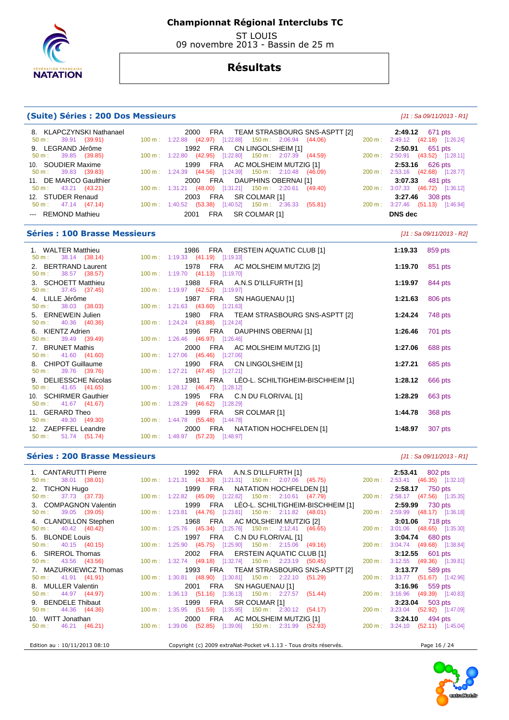

 ST LOUIS 09 novembre 2013 - Bassin de 25 m

# **Résultats**

## **(Suite) Séries : 200 Dos Messieurs** [J1 : Sa 09/11/2013 - R1]

| 8. KLAPCZYNSKI Nathanael      | 2000 FRA TEAM STRASBOURG SNS-ASPTT [2]                             | <b>2:49.12</b> 671 pts           |
|-------------------------------|--------------------------------------------------------------------|----------------------------------|
| $50 \text{ m}: 39.91 (39.91)$ | $100 \text{ m}: 1:22.88$ (42.97) [1:22.88] 150 m : 2:06.94 (44.06) | 200 m: 2:49.12 (42.18) [1:26.24] |
| 9. LEGRAND Jérôme             | 1992 FRA CN LINGOLSHEIM [1]                                        | <b>2:50.91</b> 651 pts           |
| $50 \text{ m}: 39.85 (39.85)$ | 100 m : 1:22.80 (42.95) [1:22.80] 150 m : 2:07.39 (44.59)          | 200 m: 2:50.91 (43.52) [1:28.11] |
| 10. SOUDIER Maxime            | 1999 FRA AC MOLSHEIM MUTZIG [1]                                    | $2:53.16$ 626 pts                |
| $50 \text{ m}: 39.83 (39.83)$ | 100 m : 1:24.39 (44.56) [1:24.39] 150 m : 2:10.48 (46.09)          | 200 m: 2:53.16 (42.68) [1:28.77] |
| 11. DE MARCO Gaulthier        | 2000 FRA DAUPHINS OBERNAI [1]                                      | 3:07.33 481 pts                  |
| $50 \text{ m}: 43.21 (43.21)$ | 100 m: 1:31.21 (48.00) [1:31.21] 150 m: 2:20.61 (49.40)            | 200 m: 3:07.33 (46.72) [1:36.12] |
| 12. STUDER Renaud             | 2003 FRA SR COLMAR [1]                                             | $3:27.46$ 308 pts                |
| $50 \text{ m}: 47.14 (47.14)$ | 100 m: 1:40.52 (53.38) [1:40.52] 150 m: 2:36.33 (55.81)            | 200 m: 3:27.46 (51.13) [1:46.94] |
| --- REMOND Mathieu            | FRA SR COLMAR [1]<br>2001                                          | DNS dec                          |

## **Séries : 100 Brasse Messieurs** [J1 : Sa 09/11/2013 - R2]

| 1. WALTER Matthieu<br>50 m : 38.14 (38.14) 100 m : 1:19.33 (41.19) [1:19.33]    | 1986 FRA ERSTEIN AQUATIC CLUB [1]                                              | 1:19.33 859 pts                                   |         |
|---------------------------------------------------------------------------------|--------------------------------------------------------------------------------|---------------------------------------------------|---------|
| 2. BERTRAND Laurent<br>$50 \text{ m}: 38.57 (38.57)$                            | 1978 FRA AC MOLSHEIM MUTZIG [2]<br>100 m: 1:19.70 (41.13) [1:19.70]            | 1:19.70 $851 \text{ pts}$                         |         |
| 3. SCHOETT Matthieu<br>$50 \text{ m}: 37.45 (37.45)$                            | 1988 FRA A.N.S D'ILLFURTH [1]<br>100 m: 1:19.97 (42.52) [1:19.97]              | 1:19.97 844 pts                                   |         |
| 4. LILLE Jérôme<br>$50 \text{ m}: 38.03 (38.03)$                                | 1987 FRA SN HAGUENAU [1]<br>100 m: 1:21.63 (43.60) [1:21.63]                   | 1:21.63 $806 \text{ pts}$                         |         |
| 5. ERNEWEIN Julien<br>$50 \text{ m}: 40.36 (40.36)$                             | 1980 FRA  TEAM STRASBOURG SNS-ASPTT [2]<br>100 m: 1:24.24 (43.88) [1:24.24]    | <b>1:24.24</b> 748 pts                            |         |
| 6. KIENTZ Adrien<br>50 m : 39.49 (39.49)                                        | 1996 FRA DAUPHINS OBERNAI [1]<br>100 m: 1:26.46 (46.97) [1:26.46]              | 1:26.46 $\frac{701 \text{ pts}}{201 \text{ pts}}$ |         |
| 7. BRUNET Mathis<br>50 m : 41.60 (41.60)                                        | 2000 FRA AC MOLSHEIM MUTZIG [1]<br>100 m: 1:27.06 (45.46) [1:27.06]            | 1:27.06                                           | 688 pts |
| 8. CHIPOT Guillaume<br>50 m : 39.76 (39.76)                                     | 1990 FRA CN LINGOLSHEIM [1]<br>100 m : 1:27.21 $(47.45)$ [1:27.21]             | 1:27.21                                           | 685 pts |
| 9. DELIESSCHE Nicolas<br>50 m : 41.65 (41.65)                                   | 1981 FRA LÉO-L. SCHILTIGHEIM-BISCHHEIM [1]<br>100 m: 1:28.12 (46.47) [1:28.12] | 1:28.12                                           | 666 pts |
| 10. SCHIRMER Gauthier<br>50 m : 41.67 (41.67) 100 m : 1:28.29 (46.62) [1:28.29] | 1995 FRA C.N DU FLORIVAL [1]                                                   | 1:28.29                                           | 663 pts |
| 11. GERARD Theo<br>50 m : 49.30 (49.30) 100 m : 1:44.78 (55.48) [1:44.78]       | 1999 FRA SR COLMAR [1]                                                         | <b>1:44.78</b> 368 pts                            |         |
| 12. ZAEPFFEL Leandre<br>$50 \text{ m}: 51.74 (51.74)$                           | 2000 FRA NATATION HOCHFELDEN [1]<br>100 m : 1:48.97 (57.23) [1:48.97]          | 1:48.97                                           | 307 pts |

#### **Séries : 200 Brasse Messieurs** [J1 : Sa 09/11/2013 - R1]

| 1. CANTARUTTI Pierre                     | 1992 FRA A.N.S D'ILLFURTH [1]                                                  | <b>2:53.41</b> 802 pts           |
|------------------------------------------|--------------------------------------------------------------------------------|----------------------------------|
|                                          |                                                                                | 200 m: 2:53.41 (46.35) [1:32.10] |
| 2. TICHON Hugo                           | 1999 FRA NATATION HOCHFELDEN [1]                                               | 2:58.17 750 pts                  |
| 50 m : 37.73 (37.73)                     | 100 m : 1:22.82 (45.09) [1:22.82] 150 m : 2:10.61 (47.79)                      | 200 m: 2:58.17 (47.56) [1:35.35] |
| 3. COMPAGNON Valentin                    | 1999 FRA LÉO-L. SCHILTIGHEIM-BISCHHEIM [1]                                     | 2:59.99 730 pts                  |
| $50 \text{ m}: 39.05 (39.05)$            | 100 m: 1:23.81 (44.76) [1:23.81] 150 m: 2:11.82 (48.01)                        | 200 m: 2:59.99 (48.17) [1:36.18] |
| 4. CLANDILLON Stephen                    | 1968 FRA AC MOLSHEIM MUTZIG [2]                                                | 3:01.06 718 pts                  |
| $50 \text{ m}: 40.42 (40.42)$            | 100 m : 1:25.76 (45.34) [1:25.76] 150 m : 2:12.41 (46.65)                      | 200 m: 3:01.06 (48.65) [1:35.30] |
| 5. BLONDE Louis                          | 1997 FRA C.N DU FLORIVAL [1]                                                   | <b>3:04.74</b> 680 pts           |
| $50 \text{ m}$ : $40.15 \text{ (40.15)}$ | 100 m: 1:25.90 (45.75) [1:25.90] 150 m: 2:15.06 (49.16)                        | 200 m: 3:04.74 (49.68) [1:38.84] |
| 6. SIREROL Thomas                        | 2002 FRA ERSTEIN AQUATIC CLUB [1]                                              | 3:12.55 601 pts                  |
| $50 \text{ m}: 43.56 (43.56)$            | 100 m : 1:32.74 (49.18) [1:32.74] 150 m : 2:23.19 (50.45)                      | 200 m: 3:12.55 (49.36) [1:39.81] |
| 7. MAZURKIEWICZ Thomas                   | 1993 FRA TEAM STRASBOURG SNS-ASPTT [2]                                         | 3:13.77 589 pts                  |
| $50 \text{ m}: 41.91 (41.91)$            | 100 m: 1:30.81 (48.90) [1:30.81] 150 m: 2:22.10 (51.29)                        | 200 m: 3:13.77 (51.67) [1:42.96] |
| 8. MULLER Valentin                       | 2001 FRA SN HAGUENAU [1]                                                       | $3:16.96$ 559 pts                |
| $50 \text{ m}: 44.97 (44.97)$            | 100 m: 1:36.13 (51.16) [1:36.13] 150 m: 2:27.57 (51.44)                        | 200 m: 3:16.96 (49.39) [1:40.83] |
| 9. BENDELE Thibaut                       | 1999 FRA SR COLMAR [1]                                                         | $3:23.04$ 503 pts                |
| $50 \text{ m}: 44.36 (44.36)$            | 100 m : 1:35.95 (51.59) [1:35.95] 150 m : 2:30.12 (54.17)                      | 200 m: 3:23.04 (52.92) [1:47.09] |
| 10. WITT Jonathan                        | 2000 FRA AC MOLSHEIM MUTZIG [1]                                                | $3:24.10$ 494 pts                |
|                                          | 50 m : 46.21 (46.21) 100 m : 1:39.06 (52.85) [1:39.06] 150 m : 2:31.99 (52.93) | 200 m: 3:24.10 (52.11) [1:45.04] |
| Edition au : 10/11/2013 08:10            | Copyright (c) 2009 extraNat-Pocket v4.1.13 - Tous droits réservés.             | Page 16 / 24                     |

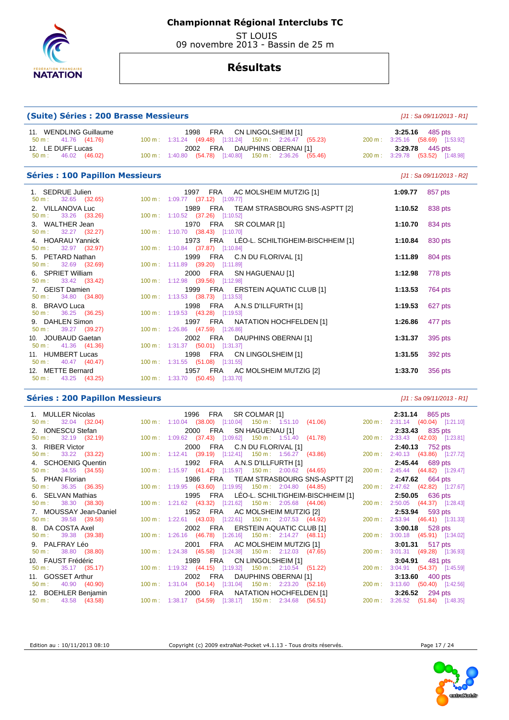

 ST LOUIS 09 novembre 2013 - Bassin de 25 m

## **Résultats**

## **(Suite) Séries : 200 Brasse Messieurs** [J1 : Sa 09/11/2013 - R1]

| 11. WENDLING Guillaume        | 1998 FRA CN LINGOLSHEIM [1]                             | $3:25.16$ 485 pts                |
|-------------------------------|---------------------------------------------------------|----------------------------------|
| 50 m : 41.76 (41.76)          | 100 m: 1:31.24 (49.48) [1:31.24] 150 m: 2:26.47 (55.23) | 200 m: 3:25.16 (58.69) [1:53.92] |
| 12. LE DUFF Lucas             | 2002 FRA DAUPHINS OBERNAI [1]                           | <b>3:29.78</b> 445 pts           |
| $50 \text{ m}: 46.02 (46.02)$ | 100 m: 1:40.80 (54.78) [1:40.80] 150 m: 2:36.26 (55.46) | 200 m: 3:29.78 (53.52) [1:48.98] |

## **Séries : 100 Papillon Messieurs Contract Contract Contract Contract Contract Contract Contract Contract Contract Contract Contract Contract Contract Contract Contract Contract Contract Contract Contract Contract Contrac**

| 1. SEDRUE Julien                                       | 1997 FRA AC MOLSHEIM MUTZIG [1]            | 1:09.77 $857 \text{ pts}$ |         |
|--------------------------------------------------------|--------------------------------------------|---------------------------|---------|
| $50 \text{ m}: 32.65 (32.65)$                          | 100 m: 1:09.77 (37.12) [1:09.77]           |                           |         |
| 2. VILLANOVA Luc                                       | 1989  FRA   TEAM STRASBOURG SNS-ASPTT [2]  | 1:10.52 838 pts           |         |
| $50 \text{ m}: 33.26 (33.26)$                          | 100 m: 1:10.52 (37.26) [1:10.52]           |                           |         |
| 3. WALTHER Jean                                        | 1970 FRA SR COLMAR [1]                     | 1:10.70 834 pts           |         |
| 50 m : 32.27 (32.27)                                   | 100 m: 1:10.70 (38.43) [1:10.70]           |                           |         |
| 4. HOARAU Yannick<br>$50 \text{ m}: 32.97 (32.97)$     | 1973 FRA LÉO-L. SCHILTIGHEIM-BISCHHEIM [1] | 1:10.84 $830 \text{ pts}$ |         |
|                                                        | 100 m: $1:10.84$ (37.87) [1:10.84]         |                           |         |
| 5. PETARD Nathan                                       | 1999 FRA C.N DU FLORIVAL [1]               | 1:11.89 804 pts           |         |
| $50 \text{ m}: \quad 32.69 \quad (32.69)$              | 100 m: 1:11.89 (39.20) [1:11.89]           |                           |         |
|                                                        |                                            |                           |         |
| 6. SPRIET William                                      | 2000 FRA SN HAGUENAU [1]                   | 1:12.98 778 pts           |         |
| 50 m : 33.42 (33.42) 100 m : 1:12.98 (39.56) [1:12.98] |                                            |                           |         |
|                                                        |                                            |                           |         |
| 7. GEIST Damien                                        | 1999 FRA ERSTEIN AQUATIC CLUB [1]          | 1:13.53 $764 \text{ pts}$ |         |
| 50 m : 34.80 (34.80) 100 m : 1:13.53 (38.73) [1:13.53] |                                            |                           |         |
| 8. BRAVO Luca                                          | 1998 FRA A.N.S D'ILLFURTH [1]              | 1:19.53 627 pts           |         |
|                                                        |                                            |                           |         |
| 50 m : 36.25 (36.25) 100 m : 1:19.53 (43.28) [1:19.53] |                                            |                           |         |
| 9. DAHLEN Simon                                        | 1997 FRA NATATION HOCHFELDEN [1]           | 1:26.86                   | 477 pts |
| 50 m : 39.27 (39.27)                                   | 100 m: 1:26.86 (47.59) [1:26.86]           |                           |         |
|                                                        |                                            |                           |         |
| 10. JOUBAUD Gaetan                                     | 2002 FRA DAUPHINS OBERNAI [1]              | 1:31.37                   | 395 pts |
| $50 \text{ m}: 41.36 (41.36)$                          | $100 \text{ m}: 1:31.37$ (50.01) [1:31.37] |                           |         |
|                                                        |                                            |                           |         |
| 11. HUMBERT Lucas                                      | 1998 FRA CN LINGOLSHEIM [1]                | 1:31.55                   | 392 pts |
| 50 m: 40.47 (40.47) 100 m: 1:31.55 (51.08) [1:31.55]   |                                            |                           |         |
| 12. METTE Bernard                                      | 1957 FRA AC MOLSHEIM MUTZIG [2]            | 1:33.70                   | 356 pts |
|                                                        |                                            |                           |         |
| 50 m : 43.25 (43.25) 100 m : 1:33.70 (50.45) [1:33.70] |                                            |                           |         |

#### **Séries : 200 Papillon Messieurs Community Community Community Community Community Community Community Community**

| 1. MULLER Nicolas<br>1996 FRA SR COLMAR [1]                                                  | $2:31.14$ 865 pts                |
|----------------------------------------------------------------------------------------------|----------------------------------|
| 100 m : 1:10.04 (38.00) [1:10.04] 150 m : 1:51.10 (41.06)<br>$50 \text{ m}: 32.04 (32.04)$   | 200 m: 2:31.14 (40.04) [1:21.10] |
| 2. IONESCU Stefan<br>2000 FRA SN HAGUENAU [1]                                                | 2:33.43 835 pts                  |
| 100 m : 1:09.62 (37.43) [1:09.62] 150 m : 1:51.40 (41.78)<br>$50 \text{ m}: 32.19 (32.19)$   | 200 m: 2:33.43 (42.03) [1:23.81] |
| 3. RIBER Victor<br>2000 FRA C.N DU FLORIVAL [1]                                              | 2:40.13 752 pts                  |
| 100 m : 1:12.41 (39.19) [1:12.41] 150 m : 1:56.27 (43.86)<br>$50 \text{ m}: 33.22 (33.22)$   | 200 m: 2:40.13 (43.86) [1:27.72] |
| 4. SCHOENIG Quentin<br>1992 FRA A.N.S D'ILLFURTH [1]                                         | 2:45.44 689 pts                  |
| 100 m : 1:15.97 (41.42) [1:15.97] 150 m : 2:00.62 (44.65)<br>$50 \text{ m}: 34.55 (34.55)$   | 200 m: 2:45.44 (44.82) [1:29.47] |
| 5. PHAN Florian<br>1986 FRA TEAM STRASBOURG SNS-ASPTT [2]                                    | <b>2:47.62</b> 664 pts           |
| 100 m: 1:19.95 (43.60) [1:19.95] 150 m: 2:04.80 (44.85)<br>$50 \text{ m}: 36.35 (36.35)$     | 200 m: 2:47.62 (42.82) [1:27.67] |
| 1995 FRA LÉO-L. SCHILTIGHEIM-BISCHHEIM [1]<br>6. SELVAN Mathias                              | <b>2:50.05</b> 636 pts           |
| 100 m: 1:21.62 (43.32) [1:21.62] 150 m: 2:05.68 (44.06)<br>$50 \text{ m}: 38.30 (38.30)$     | 200 m: 2:50.05 (44.37) [1:28.43] |
| 7. MOUSSAY Jean-Daniel<br>1952 FRA AC MOLSHEIM MUTZIG [2]                                    | 2:53.94 593 pts                  |
| 100 m : 1:22.61 (43.03) [1:22.61] 150 m : 2:07.53 (44.92)<br>$50 \text{ m}: 39.58 (39.58)$   | 200 m: 2:53.94 (46.41) [1:31.33] |
| 8. DA COSTA Axel<br>2002 FRA ERSTEIN AQUATIC CLUB [1]                                        | 3:00.18 528 pts                  |
| 100 m: 1:26.16 (46.78) [1:26.16] 150 m: 2:14.27 (48.11)<br>$50 \text{ m}: 39.38 (39.38)$     | 200 m: 3:00.18 (45.91) [1:34.02] |
| 9. PALFRAY Léo<br>2001 FRA AC MOLSHEIM MUTZIG [1]                                            | $3:01.31$ 517 pts                |
| 100 m: 1:24.38 (45.58) [1:24.38] 150 m: 2:12.03 (47.65)<br>$50 \text{ m}: 38.80 (38.80)$     | 200 m: 3:01.31 (49.28) [1:36.93] |
| 10. FAUST Frédéric<br>1989 FRA CN LINGOLSHEIM [1]                                            | <b>3:04.91</b> 481 pts           |
| 100 m: 1:19.32 (44.15) [1:19.32] 150 m: 2:10.54 (51.22)<br>$50 \text{ m}: 35.17 (35.17)$     | 200 m: 3:04.91 (54.37) [1:45.59] |
| 11. GOSSET Arthur<br>2002 FRA DAUPHINS OBERNAI [1]                                           | 3:13.60 $400 \text{ pts}$        |
| 100 m: 1:31.04 (50.14) [1:31.04] 150 m: 2:23.20 (52.16)<br>$50 \text{ m}: 40.90 (40.90)$     | 200 m: 3:13.60 (50.40) [1:42.56] |
| 12. BOEHLER Benjamin<br>2000 FRA NATATION HOCHFELDEN [1]                                     | $3:26.52$ 294 pts                |
| 100 m: 1:38.17  (54.59)  [1:38.17]  150 m: 2:34.68  (56.51)<br>$50 \text{ m}: 43.58 (43.58)$ | 200 m: 3:26.52 (51.84) [1:48.35] |



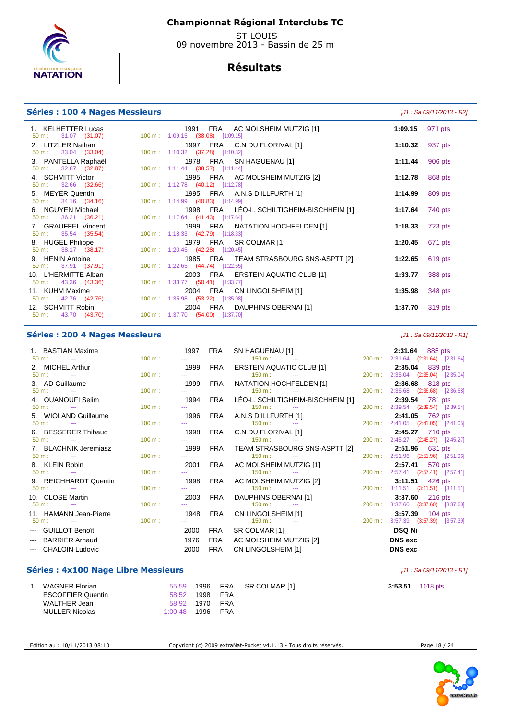

 ST LOUIS 09 novembre 2013 - Bassin de 25 m

# **Résultats**

#### **Séries : 100 4 Nages Messieurs and the series of the series of the series of the series (J1 : Sa 09/11/2013 - R2]**

#### 1. KELHETTER Lucas 1991 FRA AC MOLSHEIM MUTZIG [1] **1:09.15** 971 pts 1:09.15 (38.08) [1:09.15] 2. LITZLER Nathan 1997 FRA C.N DU FLORIVAL [1] **1:10.32** 937 pts 1:10.32 (37.28) [1:10.32] 3. PANTELLA Raphaël 1978 FRA SN HAGUENAU [1] **1:11.44** 906 pts 50 m : 32.87 (32.87) 100 m : 1:11.44 (38.57) [1:11.44] 4. SCHMITT Victor 1995 FRA AC MOLSHEIM MUTZIG [2] **1:12.78** 868 pts 50 m : 32.66 (32.66) 100 m : 1:12.78 (40.12) [1:12.78] 5. MEYER Quentin 1995 FRA A.N.S D'ILLFURTH [1] **1:14.99** 809 pts 50 m : 34.16 (34.16) 100 m : 1:14.99 (40.83) [1:14.99] 6. NGUYEN Michael 1998 FRA LÉO-L. SCHILTIGHEIM-BISCHHEIM [1] **1:17.64** 740 pts 50 m : 36.21 (36.21) 100 m : 1:17.64 (41.43) [1:17.64] 7. GRAUFFEL Vincent 1999 FRA NATATION HOCHFELDEN [1] **1:18.33** 723 pts 50 m : 35.54 (35.54) 100 m : 1:18.33 (42.79) [1:18.33] 8. HUGEL Philippe **1979 FRA** SR COLMAR [1] **1:20.45 1:20.45** 671 pts<br>
50 m : 38.17 (38.17) 100 m : 1:20.45 (42.28) [1:20.45] 50 m : 38.17 (38.17) 100 m : 1:20.45 (42.28) [1:20.45] 9. HENIN Antoine 1985 FRA TEAM STRASBOURG SNS-ASPTT [2] **1:22.65** 619 pts 50 m : 37.91 (37.91) 100 m : 1:22.65 (44.74) [1:22.65] 10. L'HERMITTE Alban 2003 FRA ERSTEIN AQUATIC CLUB [1] **1:33.77** 388 pts 50 m : 43.36 (43.36) 100 m : 1:33.77 (50.41) [1:33.77] 11. KUHM Maxime 2004 FRA CN LINGOLSHEIM [1] **1:35.98** 348 pts 50 m : 42.76 (42.76) 100 m : 1:35.98 (53.22) [1:35.98] 12. SCHMITT Robin 2004 FRA DAUPHINS OBERNAI [1] **1:37.70** 319 pts 50 m : 43.70 (43.70) 100 m : 1:37.70 (54.00) [1:37.70]

#### **Séries : 200 4 Nages Messieurs and the series of the series of the series of the series of the series (J1 : Sa 09/11/2013 - R1]**

| 1. BASTIAN Maxime                            |        | 1997                                                                                                                                                                                                                                                                                                                                                                                                                                                                       | FRA        | SN HAGUENAU [1]                                      |                   | $2:31.64$ 885 pts                   |
|----------------------------------------------|--------|----------------------------------------------------------------------------------------------------------------------------------------------------------------------------------------------------------------------------------------------------------------------------------------------------------------------------------------------------------------------------------------------------------------------------------------------------------------------------|------------|------------------------------------------------------|-------------------|-------------------------------------|
| $50 \text{ m}$ : $-$                         | 100 m: | $\frac{1}{2} \left( \frac{1}{2} \right) \left( \frac{1}{2} \right) \left( \frac{1}{2} \right) \left( \frac{1}{2} \right) \left( \frac{1}{2} \right) \left( \frac{1}{2} \right) \left( \frac{1}{2} \right) \left( \frac{1}{2} \right) \left( \frac{1}{2} \right) \left( \frac{1}{2} \right) \left( \frac{1}{2} \right) \left( \frac{1}{2} \right) \left( \frac{1}{2} \right) \left( \frac{1}{2} \right) \left( \frac{1}{2} \right) \left( \frac{1}{2} \right) \left( \frac$ |            | $150 \text{ m}$ : $-$                                |                   | 200 m: 2:31.64 (2:31.64) [2:31.64]  |
| 2. MICHEL Arthur                             |        | 1999                                                                                                                                                                                                                                                                                                                                                                                                                                                                       | FRA        | ERSTEIN AQUATIC CLUB [1]                             |                   | 2:35.04 839 pts                     |
| $50 \text{ m}$ : $-$                         | 100 m: |                                                                                                                                                                                                                                                                                                                                                                                                                                                                            |            | $150 \text{ m}$ :<br>the contract of the contract of | $200 \text{ m}$ : | 2:35.04 (2:35.04) [2:35.04]         |
| 3. AD Guillaume                              |        | 1999                                                                                                                                                                                                                                                                                                                                                                                                                                                                       | FRA        | NATATION HOCHFELDEN [1]                              |                   | 2:36.68 818 pts                     |
| $50 \text{ m}$ : $-$                         | 100 m: |                                                                                                                                                                                                                                                                                                                                                                                                                                                                            |            | $150 \text{ m}$ : $150 \text{ m}$                    |                   | 200 m: 2:36.68 (2:36.68) [2:36.68]  |
| 4. OUANOUFI Selim                            |        | 1994                                                                                                                                                                                                                                                                                                                                                                                                                                                                       | FRA        | LÉO-L. SCHILTIGHEIM-BISCHHEIM [1]                    |                   | 2:39.54 781 pts                     |
| $50 \text{ m}$ :<br><b>Service State</b>     | 100 m: | $\sim$                                                                                                                                                                                                                                                                                                                                                                                                                                                                     |            | $150 \text{ m}$ : $-$                                | 200 m:            | 2:39.54 (2:39.54) [2:39.54]         |
| 5. WIOLAND Guillaume                         |        | 1996                                                                                                                                                                                                                                                                                                                                                                                                                                                                       | <b>FRA</b> | A.N.S D'ILLFURTH [1]                                 |                   | 2:41.05 762 pts                     |
| $50 \text{ m}$ :<br><b>Service State</b>     | 100 m: |                                                                                                                                                                                                                                                                                                                                                                                                                                                                            |            |                                                      |                   | 200 m: 2:41.05 (2:41.05) [2:41.05]  |
| 6. BESSERER Thibaud                          |        | 1998                                                                                                                                                                                                                                                                                                                                                                                                                                                                       | FRA        | C.N DU FLORIVAL [1]                                  |                   | 2:45.27 710 pts                     |
| $50 \text{ m}$ : $-$                         | 100 m: | $\frac{1}{2} \left( \frac{1}{2} \right) \left( \frac{1}{2} \right) \left( \frac{1}{2} \right)$                                                                                                                                                                                                                                                                                                                                                                             |            | $150 \text{ m}$ : $-$                                |                   | 200 m: 2:45.27 (2:45.27) [2:45.27]  |
| 7. BLACHNIK Jeremiasz                        |        | 1999                                                                                                                                                                                                                                                                                                                                                                                                                                                                       | FRA        | TEAM STRASBOURG SNS-ASPTT [2]                        |                   | 2:51.96 631 pts                     |
| $50 \text{ m}$ : $-$                         | 100 m: |                                                                                                                                                                                                                                                                                                                                                                                                                                                                            |            | $150 \text{ m}$ : $-$                                |                   | 200 m: 2:51.96 (2:51.96) [2:51.96]  |
| 8. KLEIN Robin                               |        | 2001                                                                                                                                                                                                                                                                                                                                                                                                                                                                       | <b>FRA</b> | AC MOLSHEIM MUTZIG [1]                               |                   | 2:57.41 570 pts                     |
| $50 \text{ m}$ :<br><b>Contract Contract</b> | 100 m: | <b>Service</b> Contractor                                                                                                                                                                                                                                                                                                                                                                                                                                                  |            | $150 \text{ m}$ : $---$                              |                   | 200 m : 2:57.41 (2:57.41) [2:57.41] |
| 9. REICHHARDT Quentin                        |        | 1998                                                                                                                                                                                                                                                                                                                                                                                                                                                                       | FRA        | AC MOLSHEIM MUTZIG [2]                               |                   | 3:11.51 426 pts                     |
| $50 \text{ m}$ : $-$                         | 100 m: |                                                                                                                                                                                                                                                                                                                                                                                                                                                                            |            | $150 \text{ m}$ : $---$                              |                   | 200 m: 3:11.51 (3:11.51) [3:11.51]  |
| 10. CLOSE Martin                             |        | 2003                                                                                                                                                                                                                                                                                                                                                                                                                                                                       | <b>FRA</b> | DAUPHINS OBERNAI [1]                                 |                   | 3:37.60 216 pts                     |
| $50 \text{ m}$ : $-$                         | 100 m: |                                                                                                                                                                                                                                                                                                                                                                                                                                                                            |            | $150 \text{ m}$ : $---$                              | 200 m:            | 3:37.60 (3:37.60) [3:37.60]         |
| 11. HAMANN Jean-Pierre                       |        | 1948                                                                                                                                                                                                                                                                                                                                                                                                                                                                       | <b>FRA</b> | CN LINGOLSHEIM [1]                                   |                   | 3:57.39 104 pts                     |
| $50 \text{ m}$ : $-$                         | 100 m: |                                                                                                                                                                                                                                                                                                                                                                                                                                                                            |            | $150 \text{ m}$ : $-$                                | $200 \text{ m}$ : | 3:57.39 (3:57.39) [3:57.39]         |
| --- GUILLOT Benoît                           |        | 2000                                                                                                                                                                                                                                                                                                                                                                                                                                                                       | <b>FRA</b> | SR COLMAR [1]                                        |                   | <b>DSQ Ni</b>                       |
| <b>BARRIER Arnaud</b><br>$\sim$ $\sim$       |        | 1976                                                                                                                                                                                                                                                                                                                                                                                                                                                                       | <b>FRA</b> | AC MOLSHEIM MUTZIG [2]                               |                   | <b>DNS</b> exc                      |
| --- CHALOIN Ludovic                          |        | 2000                                                                                                                                                                                                                                                                                                                                                                                                                                                                       | <b>FRA</b> | CN LINGOLSHEIM [1]                                   |                   | <b>DNS</b> exc                      |
|                                              |        |                                                                                                                                                                                                                                                                                                                                                                                                                                                                            |            |                                                      |                   |                                     |

#### **Séries : 4x100 Nage Libre Messieurs Séries : 4x100 Nage Libre Messieurs and Alternative Community Community** (J1 : Sa 09/11/2013 - R1]

| <b>WAGNER Florian</b>    | 55.59   |          |     | 1996 FRA SR COLMAR [1] | 3:53.51 | 1018 pts |
|--------------------------|---------|----------|-----|------------------------|---------|----------|
|                          |         |          |     |                        |         |          |
| <b>ESCOFFIER Quentin</b> | 58.52   | 1998     | FRA |                        |         |          |
| WALTHER Jean             | 58.92   | 1970 FRA |     |                        |         |          |
| <b>MULLER Nicolas</b>    | 1:00.48 | 1996     | FRA |                        |         |          |

Edition au : 10/11/2013 08:10 Copyright (c) 2009 extraNat-Pocket v4.1.13 - Tous droits réservés. Page 18 / 24

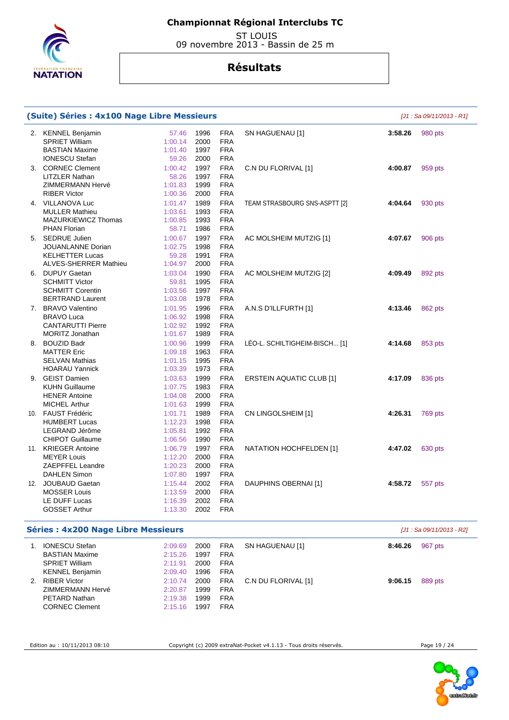

 ST LOUIS 09 novembre 2013 - Bassin de 25 m

# **Résultats**

| (Suite) Séries : 4x100 Nage Libre Messieurs |         |      |            | [J1 : Sa 09/11/2013 - R1]       |         |                           |
|---------------------------------------------|---------|------|------------|---------------------------------|---------|---------------------------|
| 2. KENNEL Benjamin                          | 57.46   | 1996 | <b>FRA</b> | SN HAGUENAU [1]                 | 3:58.26 | 980 pts                   |
| <b>SPRIET William</b>                       | 1:00.14 | 2000 | <b>FRA</b> |                                 |         |                           |
| <b>BASTIAN Maxime</b>                       | 1:01.40 | 1997 | <b>FRA</b> |                                 |         |                           |
| <b>IONESCU Stefan</b>                       | 59.26   | 2000 | <b>FRA</b> |                                 |         |                           |
| 3. CORNEC Clement                           | 1:00.42 | 1997 | <b>FRA</b> | C.N DU FLORIVAL [1]             | 4:00.87 | 959 pts                   |
| <b>LITZLER Nathan</b>                       | 58.26   | 1997 | <b>FRA</b> |                                 |         |                           |
| ZIMMERMANN Hervé                            | 1:01.83 | 1999 | <b>FRA</b> |                                 |         |                           |
| <b>RIBER Victor</b>                         | 1:00.36 | 2000 | <b>FRA</b> |                                 |         |                           |
| 4. VILLANOVA Luc                            | 1:01.47 | 1989 | <b>FRA</b> | TEAM STRASBOURG SNS-ASPTT [2]   | 4:04.64 | 930 pts                   |
| <b>MULLER Mathieu</b>                       | 1:03.61 | 1993 | <b>FRA</b> |                                 |         |                           |
| <b>MAZURKIEWICZ Thomas</b>                  | 1:00.85 | 1993 | <b>FRA</b> |                                 |         |                           |
| <b>PHAN Florian</b>                         | 58.71   | 1986 | <b>FRA</b> |                                 |         |                           |
| 5. SEDRUE Julien                            | 1:00.67 | 1997 | <b>FRA</b> | AC MOLSHEIM MUTZIG [1]          | 4:07.67 | 906 pts                   |
| JOUANLANNE Dorian                           | 1:02.75 | 1998 | <b>FRA</b> |                                 |         |                           |
| <b>KELHETTER Lucas</b>                      | 59.28   | 1991 | <b>FRA</b> |                                 |         |                           |
| <b>ALVES-SHERRER Mathieu</b>                | 1:04.97 | 2000 | <b>FRA</b> |                                 |         |                           |
| 6. DUPUY Gaetan                             | 1:03.04 | 1990 | <b>FRA</b> | AC MOLSHEIM MUTZIG [2]          | 4:09.49 | 892 pts                   |
| <b>SCHMITT Victor</b>                       | 59.81   | 1995 | <b>FRA</b> |                                 |         |                           |
| <b>SCHMITT Corentin</b>                     | 1:03.56 | 1997 | <b>FRA</b> |                                 |         |                           |
| <b>BERTRAND Laurent</b>                     | 1:03.08 | 1978 | <b>FRA</b> |                                 |         |                           |
| 7. BRAVO Valentino                          | 1:01.95 | 1996 | <b>FRA</b> | A.N.S D'ILLFURTH [1]            | 4:13.46 | 862 pts                   |
| <b>BRAVO Luca</b>                           | 1:06.92 | 1998 | <b>FRA</b> |                                 |         |                           |
| <b>CANTARUTTI Pierre</b>                    | 1:02.92 | 1992 | <b>FRA</b> |                                 |         |                           |
| <b>MORITZ Jonathan</b>                      | 1:01.67 | 1989 | <b>FRA</b> |                                 |         |                           |
| 8. BOUZID Badr                              | 1:00.96 | 1999 | <b>FRA</b> | LÉO-L. SCHILTIGHEIM-BISCH [1]   | 4:14.68 | 853 pts                   |
| <b>MATTER Eric</b>                          | 1:09.18 | 1963 | <b>FRA</b> |                                 |         |                           |
| <b>SELVAN Mathias</b>                       | 1:01.15 | 1995 | <b>FRA</b> |                                 |         |                           |
| <b>HOARAU Yannick</b>                       | 1:03.39 | 1973 | <b>FRA</b> |                                 |         |                           |
| 9. GEIST Damien                             | 1:03.63 | 1999 | <b>FRA</b> | <b>ERSTEIN AQUATIC CLUB [1]</b> | 4:17.09 | 836 pts                   |
| <b>KUHN Guillaume</b>                       | 1:07.75 | 1983 | <b>FRA</b> |                                 |         |                           |
| <b>HENER Antoine</b>                        | 1:04.08 | 2000 | <b>FRA</b> |                                 |         |                           |
| <b>MICHEL Arthur</b>                        | 1:01.63 | 1999 | <b>FRA</b> |                                 |         |                           |
| 10. FAUST Frédéric                          | 1:01.71 | 1989 | <b>FRA</b> | CN LINGOLSHEIM [1]              | 4:26.31 | 769 pts                   |
| <b>HUMBERT Lucas</b>                        | 1:12.23 | 1998 | <b>FRA</b> |                                 |         |                           |
| LEGRAND Jérôme                              | 1:05.81 | 1992 | <b>FRA</b> |                                 |         |                           |
| <b>CHIPOT Guillaume</b>                     | 1:06.56 | 1990 | <b>FRA</b> |                                 |         |                           |
| 11. KRIEGER Antoine                         | 1:06.79 | 1997 | <b>FRA</b> | NATATION HOCHFELDEN [1]         | 4:47.02 | 630 pts                   |
| <b>MEYER Louis</b>                          | 1:12.20 | 2000 | <b>FRA</b> |                                 |         |                           |
| ZAEPFFEL Leandre                            | 1:20.23 | 2000 | <b>FRA</b> |                                 |         |                           |
| <b>DAHLEN Simon</b>                         | 1:07.80 | 1997 | <b>FRA</b> |                                 |         |                           |
| 12. JOUBAUD Gaetan                          | 1:15.44 | 2002 | <b>FRA</b> | DAUPHINS OBERNAI [1]            | 4:58.72 | 557 pts                   |
| <b>MOSSER Louis</b>                         | 1:13.59 | 2000 | <b>FRA</b> |                                 |         |                           |
| LE DUFF Lucas<br><b>GOSSET Arthur</b>       | 1:16.39 | 2002 | <b>FRA</b> |                                 |         |                           |
|                                             | 1:13.30 | 2002 | <b>FRA</b> |                                 |         |                           |
| <b>Séries: 4x200 Nage Libre Messieurs</b>   |         |      |            |                                 |         | [J1 : Sa 09/11/2013 - R2] |
| 1. IONESCU Stefan                           | 2:09.69 | 2000 | <b>FRA</b> | SN HAGUENAU [1]                 | 8:46.26 | 967 pts                   |
| <b>BASTIAN Maxime</b>                       | 2:15.26 | 1997 | <b>FRA</b> |                                 |         |                           |
| <b>SPRIET William</b>                       | 2:11.91 | 2000 | <b>FRA</b> |                                 |         |                           |
| <b>KENNEL Benjamin</b>                      | 2:09.40 | 1996 | <b>FRA</b> |                                 |         |                           |
| 2. RIBER Victor                             | 2:10.74 | 2000 | <b>FRA</b> | C.N DU FLORIVAL [1]             | 9:06.15 | 889 pts                   |
| ZIMMERMANN Hervé                            | 2:20.87 | 1999 | <b>FRA</b> |                                 |         |                           |
| PETARD Nathan                               | 2:19.38 | 1999 | <b>FRA</b> |                                 |         |                           |
| <b>CORNEC Clement</b>                       | 2:15.16 | 1997 | <b>FRA</b> |                                 |         |                           |

Edition au : 10/11/2013 08:10 Copyright (c) 2009 extraNat-Pocket v4.1.13 - Tous droits réservés. Page 19 / 24

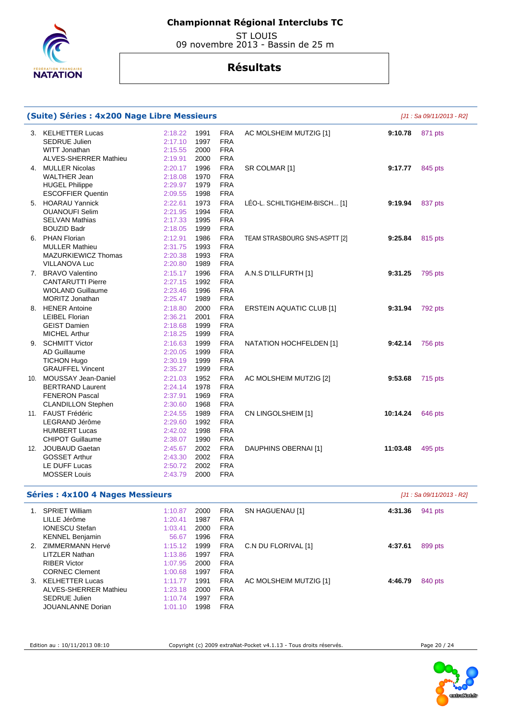

 ST LOUIS 09 novembre 2013 - Bassin de 25 m

## **Résultats**

| (Suite) Séries : 4x200 Nage Libre Messieurs |         |      |            |                                 |          | [J1 : Sa 09/11/2013 - R2] |
|---------------------------------------------|---------|------|------------|---------------------------------|----------|---------------------------|
| 3. KELHETTER Lucas                          | 2:18.22 | 1991 | <b>FRA</b> | AC MOLSHEIM MUTZIG [1]          | 9:10.78  | 871 pts                   |
| <b>SEDRUE Julien</b>                        | 2:17.10 | 1997 | <b>FRA</b> |                                 |          |                           |
| WITT Jonathan                               | 2:15.55 | 2000 | <b>FRA</b> |                                 |          |                           |
| ALVES-SHERRER Mathieu                       | 2:19.91 | 2000 | <b>FRA</b> |                                 |          |                           |
| 4. MULLER Nicolas                           | 2:20.17 | 1996 | <b>FRA</b> | SR COLMAR [1]                   | 9:17.77  | 845 pts                   |
| <b>WALTHER Jean</b>                         | 2:18.08 | 1970 | <b>FRA</b> |                                 |          |                           |
| <b>HUGEL Philippe</b>                       | 2:29.97 | 1979 | <b>FRA</b> |                                 |          |                           |
| <b>ESCOFFIER Quentin</b>                    | 2:09.55 | 1998 | <b>FRA</b> |                                 |          |                           |
| 5. HOARAU Yannick                           | 2:22.61 | 1973 | <b>FRA</b> | LÉO-L. SCHILTIGHEIM-BISCH [1]   | 9:19.94  | 837 pts                   |
| <b>OUANOUFI Selim</b>                       | 2:21.95 | 1994 | <b>FRA</b> |                                 |          |                           |
| <b>SELVAN Mathias</b>                       | 2:17.33 | 1995 | <b>FRA</b> |                                 |          |                           |
| <b>BOUZID Badr</b>                          | 2:18.05 | 1999 | <b>FRA</b> |                                 |          |                           |
| 6. PHAN Florian                             | 2:12.91 | 1986 | <b>FRA</b> | TEAM STRASBOURG SNS-ASPTT [2]   | 9:25.84  | 815 pts                   |
| <b>MULLER Mathieu</b>                       | 2:31.75 | 1993 | <b>FRA</b> |                                 |          |                           |
| <b>MAZURKIEWICZ Thomas</b>                  | 2:20.38 | 1993 | <b>FRA</b> |                                 |          |                           |
| <b>VILLANOVA Luc</b>                        | 2:20.80 | 1989 | <b>FRA</b> |                                 |          |                           |
| 7. BRAVO Valentino                          | 2:15.17 | 1996 | <b>FRA</b> | A.N.S D'ILLFURTH [1]            | 9:31.25  | 795 pts                   |
| <b>CANTARUTTI Pierre</b>                    | 2:27.15 | 1992 | <b>FRA</b> |                                 |          |                           |
| <b>WIOLAND Guillaume</b>                    | 2:23.46 | 1996 | <b>FRA</b> |                                 |          |                           |
| MORITZ Jonathan                             | 2:25.47 | 1989 | <b>FRA</b> |                                 |          |                           |
| 8. HENER Antoine                            | 2:18.80 | 2000 | <b>FRA</b> | <b>ERSTEIN AQUATIC CLUB [1]</b> | 9:31.94  | 792 pts                   |
| <b>LEIBEL Florian</b>                       | 2:36.21 | 2001 | <b>FRA</b> |                                 |          |                           |
| <b>GEIST Damien</b>                         | 2:18.68 | 1999 | <b>FRA</b> |                                 |          |                           |
| <b>MICHEL Arthur</b>                        | 2:18.25 | 1999 | <b>FRA</b> |                                 |          |                           |
| 9. SCHMITT Victor                           | 2:16.63 | 1999 | <b>FRA</b> | NATATION HOCHFELDEN [1]         | 9:42.14  | 756 pts                   |
| <b>AD Guillaume</b>                         | 2:20.05 | 1999 | <b>FRA</b> |                                 |          |                           |
| <b>TICHON Hugo</b>                          | 2:30.19 | 1999 | <b>FRA</b> |                                 |          |                           |
| <b>GRAUFFEL Vincent</b>                     | 2:35.27 | 1999 | <b>FRA</b> |                                 |          |                           |
| 10. MOUSSAY Jean-Daniel                     | 2:21.03 | 1952 | <b>FRA</b> | AC MOLSHEIM MUTZIG [2]          | 9:53.68  | <b>715 pts</b>            |
| <b>BERTRAND Laurent</b>                     | 2:24.14 | 1978 | <b>FRA</b> |                                 |          |                           |
| <b>FENERON Pascal</b>                       | 2:37.91 | 1969 | <b>FRA</b> |                                 |          |                           |
| <b>CLANDILLON Stephen</b>                   | 2:30.60 | 1968 | <b>FRA</b> |                                 |          |                           |
| 11. FAUST Frédéric                          | 2:24.55 | 1989 | <b>FRA</b> | CN LINGOLSHEIM [1]              | 10:14.24 | 646 pts                   |
| LEGRAND Jérôme                              | 2:29.60 | 1992 | <b>FRA</b> |                                 |          |                           |
| <b>HUMBERT Lucas</b>                        | 2:42.02 | 1998 | <b>FRA</b> |                                 |          |                           |
| <b>CHIPOT Guillaume</b>                     | 2:38.07 | 1990 | <b>FRA</b> |                                 |          |                           |
| 12. JOUBAUD Gaetan                          | 2:45.67 | 2002 | <b>FRA</b> | DAUPHINS OBERNAI [1]            | 11:03.48 | 495 pts                   |
| <b>GOSSET Arthur</b>                        | 2:43.30 | 2002 | <b>FRA</b> |                                 |          |                           |
| LE DUFF Lucas                               | 2:50.72 | 2002 | <b>FRA</b> |                                 |          |                           |
| <b>MOSSER Louis</b>                         | 2:43.79 | 2000 | <b>FRA</b> |                                 |          |                           |
| <b>Séries: 4x100 4 Nages Messieurs</b>      |         |      |            |                                 |          | [J1 : Sa 09/11/2013 - R2] |
| 1. SPRIET William                           | 1:10.87 | 2000 | <b>FRA</b> | SN HAGUENAU [1]                 | 4:31.36  | 941 pts                   |
| LILLE Jérôme                                | 1:20.41 | 1987 | <b>FRA</b> |                                 |          |                           |
| <b>IONESCU Stefan</b>                       | 1:03.41 | 2000 | <b>FRA</b> |                                 |          |                           |
| <b>KENNEL Benjamin</b>                      | 56.67   | 1996 | <b>FRA</b> |                                 |          |                           |
| 2. ZIMMERMANN Hervé                         | 1:15.12 | 1999 | <b>FRA</b> | C.N DU FLORIVAL [1]             | 4:37.61  | 899 pts                   |
| <b>LITZLER Nathan</b>                       | 1:13.86 | 1997 | <b>FRA</b> |                                 |          |                           |
| <b>RIBER Victor</b>                         | 1:07.95 | 2000 | <b>FRA</b> |                                 |          |                           |
| <b>CORNEC Clement</b>                       | 1:00.68 | 1997 | <b>FRA</b> |                                 |          |                           |
|                                             |         |      |            |                                 |          |                           |

 3. KELHETTER Lucas ALVES-SHERRER Mathieu SEDRUE Julien JOUANLANNE Dorian 1:11.77 1:23.18 1:10.74 1:01.10 1998

Edition au : 10/11/2013 08:10 Copyright (c) 2009 extraNat-Pocket v4.1.13 - Tous droits réservés. Page 20 / 24

AC MOLSHEIM MUTZIG [1] **4:46.79** 840 pts

 1991 2000 1997

 FRA FRA FRA FRA

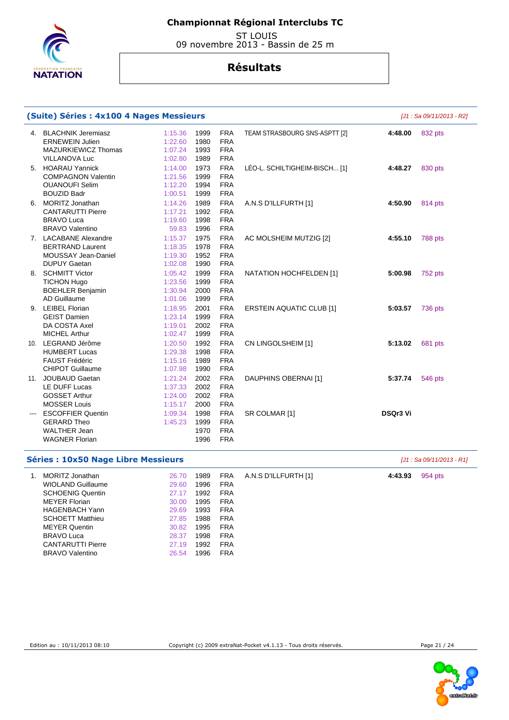

 ST LOUIS 09 novembre 2013 - Bassin de 25 m

# **Résultats**

|     | (Suite) Séries : 4x100 4 Nages Messieurs |       |      |            |                                 |                 | [J1 : Sa 09/11/2013 - R2] |
|-----|------------------------------------------|-------|------|------------|---------------------------------|-----------------|---------------------------|
|     | 4. BLACHNIK Jeremiasz<br>1:15.36         |       | 1999 | <b>FRA</b> | TEAM STRASBOURG SNS-ASPTT [2]   | 4:48.00         | 832 pts                   |
|     | <b>ERNEWEIN Julien</b><br>1:22.60        |       | 1980 | <b>FRA</b> |                                 |                 |                           |
|     | MAZURKIEWICZ Thomas<br>1:07.24           |       | 1993 | <b>FRA</b> |                                 |                 |                           |
|     | <b>VILLANOVA Luc</b><br>1:02.80          |       | 1989 | <b>FRA</b> |                                 |                 |                           |
| 5.  | <b>HOARAU Yannick</b><br>1:14.00         |       | 1973 | <b>FRA</b> | LEO-L. SCHILTIGHEIM-BISCH [1]   | 4:48.27         | 830 pts                   |
|     | <b>COMPAGNON Valentin</b><br>1:21.56     |       | 1999 | <b>FRA</b> |                                 |                 |                           |
|     | 1:12.20<br><b>OUANOUFI Selim</b>         |       | 1994 | <b>FRA</b> |                                 |                 |                           |
|     | <b>BOUZID Badr</b><br>1:00.51            |       | 1999 | <b>FRA</b> |                                 |                 |                           |
| 6.  | <b>MORITZ Jonathan</b><br>1:14.26        |       | 1989 | <b>FRA</b> | A.N.S D'ILLFURTH [1]            | 4:50.90         | 814 pts                   |
|     | <b>CANTARUTTI Pierre</b><br>1:17.21      |       | 1992 | <b>FRA</b> |                                 |                 |                           |
|     | <b>BRAVO Luca</b><br>1:19.60             |       | 1998 | <b>FRA</b> |                                 |                 |                           |
|     | <b>BRAVO Valentino</b>                   | 59.83 | 1996 | <b>FRA</b> |                                 |                 |                           |
|     | 7. LACABANE Alexandre<br>1:15.37         |       | 1975 | <b>FRA</b> | AC MOLSHEIM MUTZIG [2]          | 4:55.10         | 788 pts                   |
|     | <b>BERTRAND Laurent</b><br>1:18.35       |       | 1978 | <b>FRA</b> |                                 |                 |                           |
|     | MOUSSAY Jean-Daniel<br>1:19.30           |       | 1952 | <b>FRA</b> |                                 |                 |                           |
|     | <b>DUPUY Gaetan</b><br>1:02.08           |       | 1990 | <b>FRA</b> |                                 |                 |                           |
| 8.  | <b>SCHMITT Victor</b><br>1:05.42         |       | 1999 | <b>FRA</b> | NATATION HOCHFELDEN [1]         | 5:00.98         | 752 pts                   |
|     | <b>TICHON Hugo</b><br>1:23.56            |       | 1999 | <b>FRA</b> |                                 |                 |                           |
|     | <b>BOEHLER Benjamin</b><br>1:30.94       |       | 2000 | <b>FRA</b> |                                 |                 |                           |
|     | AD Guillaume<br>1:01.06                  |       | 1999 | <b>FRA</b> |                                 |                 |                           |
|     | 9. LEIBEL Florian<br>1:18.95             |       | 2001 | <b>FRA</b> | <b>ERSTEIN AQUATIC CLUB [1]</b> | 5:03.57         | 736 pts                   |
|     | <b>GEIST Damien</b><br>1:23.14           |       | 1999 | <b>FRA</b> |                                 |                 |                           |
|     | DA COSTA Axel<br>1:19.01                 |       | 2002 | <b>FRA</b> |                                 |                 |                           |
|     | <b>MICHEL Arthur</b><br>1:02.47          |       | 1999 | <b>FRA</b> |                                 |                 |                           |
|     | 10. LEGRAND Jérôme<br>1:20.50            |       | 1992 | <b>FRA</b> | CN LINGOLSHEIM [1]              | 5:13.02         | 681 pts                   |
|     | <b>HUMBERT Lucas</b><br>1:29.38          |       | 1998 | <b>FRA</b> |                                 |                 |                           |
|     | <b>FAUST Frédéric</b><br>1:15.16         |       | 1989 | <b>FRA</b> |                                 |                 |                           |
|     | <b>CHIPOT Guillaume</b><br>1:07.98       |       | 1990 | <b>FRA</b> |                                 |                 |                           |
| 11. | <b>JOUBAUD Gaetan</b><br>1:21.24         |       | 2002 | <b>FRA</b> | DAUPHINS OBERNAI [1]            | 5:37.74         | 546 pts                   |
|     | LE DUFF Lucas<br>1:37.33                 |       | 2002 | <b>FRA</b> |                                 |                 |                           |
|     | <b>GOSSET Arthur</b><br>1:24.00          |       | 2002 | <b>FRA</b> |                                 |                 |                           |
|     | <b>MOSSER Louis</b><br>1:15.17           |       | 2000 | <b>FRA</b> |                                 |                 |                           |
|     | <b>ESCOFFIER Quentin</b><br>1:09.34      |       | 1998 | <b>FRA</b> | SR COLMAR [1]                   | <b>DSQr3 Vi</b> |                           |
|     | <b>GERARD Theo</b><br>1:45.23            |       | 1999 | <b>FRA</b> |                                 |                 |                           |
|     | <b>WALTHER Jean</b>                      |       | 1970 | <b>FRA</b> |                                 |                 |                           |
|     | <b>WAGNER Florian</b>                    |       | 1996 | <b>FRA</b> |                                 |                 |                           |
|     |                                          |       |      |            |                                 |                 |                           |

## **Séries : 10x50 Nage Libre Messieurs Séries : 10x50 Nage Libre Messieurs Exercía Exercípio Exercípio Exercípio Exercípio Exercípio Exercípio Exercípio Exercípio Exercípio Exercípio Exercípio Exercípio Exercípio Exercíp**

| MORITZ Jonathan<br>WIOLAND Guillaume<br><b>SCHOENIG Quentin</b><br><b>MEYER Florian</b><br><b>HAGENBACH Yann</b>    | 26.70<br>29.60<br>27.17<br>30.00<br>29.69 | 1989<br>1996<br>1992<br>1995<br>1993 | <b>FRA</b><br><b>FRA</b><br><b>FRA</b><br><b>FRA</b><br><b>FRA</b> | A.N.S D'ILLFURTH [1] | 4:43.93 | 954 pts |
|---------------------------------------------------------------------------------------------------------------------|-------------------------------------------|--------------------------------------|--------------------------------------------------------------------|----------------------|---------|---------|
| <b>SCHOETT Matthieu</b><br><b>MEYER Quentin</b><br><b>BRAVO Luca</b><br><b>CANTARUTTI Pierre</b><br>BRAVO Valentino | 27.85<br>30.82<br>28.37<br>27.19<br>26.54 | 1988<br>1995<br>1998<br>1992<br>1996 | <b>FRA</b><br><b>FRA</b><br><b>FRA</b><br><b>FRA</b><br><b>FRA</b> |                      |         |         |

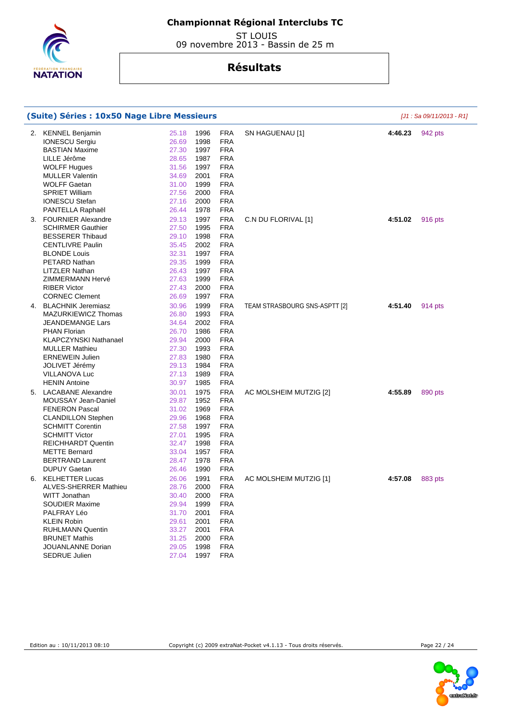

 ST LOUIS 09 novembre 2013 - Bassin de 25 m

| (Suite) Séries : 10x50 Nage Libre Messieurs |       |      |            | [J1 : Sa 09/11/2013 - R1]     |         |         |
|---------------------------------------------|-------|------|------------|-------------------------------|---------|---------|
| 2. KENNEL Benjamin                          | 25.18 | 1996 | <b>FRA</b> | SN HAGUENAU [1]               | 4:46.23 | 942 pts |
| <b>IONESCU Sergiu</b>                       | 26.69 | 1998 | <b>FRA</b> |                               |         |         |
| <b>BASTIAN Maxime</b>                       | 27.30 | 1997 | <b>FRA</b> |                               |         |         |
| LILLE Jérôme                                | 28.65 | 1987 | <b>FRA</b> |                               |         |         |
| <b>WOLFF Hugues</b>                         | 31.56 | 1997 | <b>FRA</b> |                               |         |         |
| <b>MULLER Valentin</b>                      | 34.69 | 2001 | <b>FRA</b> |                               |         |         |
| <b>WOLFF Gaetan</b>                         | 31.00 | 1999 | <b>FRA</b> |                               |         |         |
| <b>SPRIET William</b>                       | 27.56 | 2000 | <b>FRA</b> |                               |         |         |
| <b>IONESCU Stefan</b>                       | 27.16 | 2000 | <b>FRA</b> |                               |         |         |
| PANTELLA Raphaël                            | 26.44 | 1978 | <b>FRA</b> |                               |         |         |
| 3. FOURNIER Alexandre                       | 29.13 | 1997 | <b>FRA</b> | C.N DU FLORIVAL [1]           | 4:51.02 | 916 pts |
| <b>SCHIRMER Gauthier</b>                    | 27.50 | 1995 | <b>FRA</b> |                               |         |         |
| <b>BESSERER Thibaud</b>                     | 29.10 | 1998 | <b>FRA</b> |                               |         |         |
| <b>CENTLIVRE Paulin</b>                     | 35.45 | 2002 | <b>FRA</b> |                               |         |         |
| <b>BLONDE Louis</b>                         | 32.31 | 1997 | <b>FRA</b> |                               |         |         |
| PETARD Nathan                               | 29.35 | 1999 | <b>FRA</b> |                               |         |         |
| <b>LITZLER Nathan</b>                       | 26.43 | 1997 | <b>FRA</b> |                               |         |         |
| ZIMMERMANN Hervé                            | 27.63 | 1999 | <b>FRA</b> |                               |         |         |
| <b>RIBER Victor</b>                         | 27.43 | 2000 | <b>FRA</b> |                               |         |         |
| <b>CORNEC Clement</b>                       | 26.69 | 1997 | <b>FRA</b> |                               |         |         |
| 4. BLACHNIK Jeremiasz                       | 30.96 | 1999 | <b>FRA</b> | TEAM STRASBOURG SNS-ASPTT [2] | 4:51.40 | 914 pts |
| MAZURKIEWICZ Thomas                         | 26.80 | 1993 | <b>FRA</b> |                               |         |         |
| JEANDEMANGE Lars                            | 34.64 | 2002 | <b>FRA</b> |                               |         |         |
| <b>PHAN Florian</b>                         | 26.70 | 1986 | <b>FRA</b> |                               |         |         |
| <b>KLAPCZYNSKI Nathanael</b>                | 29.94 | 2000 | <b>FRA</b> |                               |         |         |
| <b>MULLER Mathieu</b>                       | 27.30 | 1993 | <b>FRA</b> |                               |         |         |
| <b>ERNEWEIN Julien</b>                      | 27.83 | 1980 | <b>FRA</b> |                               |         |         |
| JOLIVET Jérémy                              | 29.13 | 1984 | <b>FRA</b> |                               |         |         |
| VILLANOVA Luc                               | 27.13 | 1989 | <b>FRA</b> |                               |         |         |
| <b>HENIN Antoine</b>                        | 30.97 | 1985 | <b>FRA</b> |                               |         |         |
| 5. LACABANE Alexandre                       | 30.01 | 1975 | <b>FRA</b> | AC MOLSHEIM MUTZIG [2]        | 4:55.89 | 890 pts |
| MOUSSAY Jean-Daniel                         | 29.87 | 1952 | <b>FRA</b> |                               |         |         |
| <b>FENERON Pascal</b>                       | 31.02 | 1969 | <b>FRA</b> |                               |         |         |
| <b>CLANDILLON Stephen</b>                   | 29.96 | 1968 | <b>FRA</b> |                               |         |         |
| <b>SCHMITT Corentin</b>                     | 27.58 | 1997 | <b>FRA</b> |                               |         |         |
| <b>SCHMITT Victor</b>                       | 27.01 | 1995 | <b>FRA</b> |                               |         |         |
| <b>REICHHARDT Quentin</b>                   | 32.47 | 1998 | <b>FRA</b> |                               |         |         |
| <b>METTE Bernard</b>                        | 33.04 | 1957 | <b>FRA</b> |                               |         |         |
| <b>BERTRAND Laurent</b>                     | 28.47 | 1978 | <b>FRA</b> |                               |         |         |
| <b>DUPUY Gaetan</b>                         | 26.46 | 1990 | <b>FRA</b> |                               |         |         |
| 6. KELHETTER Lucas                          | 26.06 | 1991 | <b>FRA</b> | AC MOLSHEIM MUTZIG [1]        | 4:57.08 | 883 pts |
| <b>ALVES-SHERRER Mathieu</b>                | 28.76 | 2000 | <b>FRA</b> |                               |         |         |
| WITT Jonathan                               | 30.40 | 2000 | <b>FRA</b> |                               |         |         |
| <b>SOUDIER Maxime</b>                       | 29.94 | 1999 | <b>FRA</b> |                               |         |         |
| PALFRAY Léo                                 | 31.70 | 2001 | <b>FRA</b> |                               |         |         |
| <b>KLEIN Robin</b>                          | 29.61 | 2001 | <b>FRA</b> |                               |         |         |
| <b>RUHLMANN Quentin</b>                     | 33.27 | 2001 | <b>FRA</b> |                               |         |         |
| <b>BRUNET Mathis</b>                        | 31.25 | 2000 | <b>FRA</b> |                               |         |         |
| JOUANLANNE Dorian                           | 29.05 | 1998 | <b>FRA</b> |                               |         |         |
| SEDRUE Julien                               | 27.04 | 1997 | <b>FRA</b> |                               |         |         |



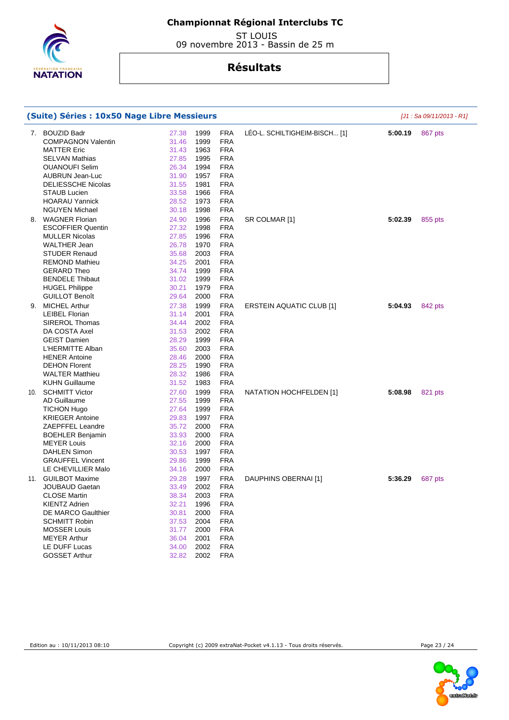

 ST LOUIS 09 novembre 2013 - Bassin de 25 m

|     | (Suite) Séries : 10x50 Nage Libre Messieurs |       |      |            |                                 |         | $[J1: Sa 09/11/2013 - R1]$ |
|-----|---------------------------------------------|-------|------|------------|---------------------------------|---------|----------------------------|
| 7.  | <b>BOUZID Badr</b>                          | 27.38 | 1999 | <b>FRA</b> | LÉO-L. SCHILTIGHEIM-BISCH [1]   | 5:00.19 | 867 pts                    |
|     | <b>COMPAGNON Valentin</b>                   | 31.46 | 1999 | <b>FRA</b> |                                 |         |                            |
|     | <b>MATTER Eric</b>                          | 31.43 | 1963 | <b>FRA</b> |                                 |         |                            |
|     | <b>SELVAN Mathias</b>                       | 27.85 | 1995 | <b>FRA</b> |                                 |         |                            |
|     | <b>OUANOUFI Selim</b>                       | 26.34 | 1994 | <b>FRA</b> |                                 |         |                            |
|     | AUBRUN Jean-Luc                             | 31.90 | 1957 | <b>FRA</b> |                                 |         |                            |
|     | <b>DELIESSCHE Nicolas</b>                   | 31.55 | 1981 | <b>FRA</b> |                                 |         |                            |
|     | <b>STAUB Lucien</b>                         | 33.58 | 1966 | <b>FRA</b> |                                 |         |                            |
|     | <b>HOARAU Yannick</b>                       | 28.52 | 1973 | <b>FRA</b> |                                 |         |                            |
|     | <b>NGUYEN Michael</b>                       | 30.18 | 1998 | <b>FRA</b> |                                 |         |                            |
| 8.  | <b>WAGNER Florian</b>                       | 24.90 | 1996 | <b>FRA</b> | SR COLMAR [1]                   | 5:02.39 | 855 pts                    |
|     | <b>ESCOFFIER Quentin</b>                    | 27.32 | 1998 | <b>FRA</b> |                                 |         |                            |
|     | <b>MULLER Nicolas</b>                       | 27.85 | 1996 | <b>FRA</b> |                                 |         |                            |
|     | <b>WALTHER Jean</b>                         | 26.78 | 1970 | <b>FRA</b> |                                 |         |                            |
|     | <b>STUDER Renaud</b>                        | 35.68 | 2003 | <b>FRA</b> |                                 |         |                            |
|     | <b>REMOND Mathieu</b>                       | 34.25 | 2001 | <b>FRA</b> |                                 |         |                            |
|     | <b>GERARD Theo</b>                          | 34.74 | 1999 | <b>FRA</b> |                                 |         |                            |
|     | <b>BENDELE Thibaut</b>                      | 31.02 | 1999 | <b>FRA</b> |                                 |         |                            |
|     | <b>HUGEL Philippe</b>                       | 30.21 | 1979 | <b>FRA</b> |                                 |         |                            |
|     | <b>GUILLOT Benoît</b>                       | 29.64 | 2000 | <b>FRA</b> |                                 |         |                            |
|     | <b>MICHEL Arthur</b>                        | 27.38 | 1999 | <b>FRA</b> | <b>ERSTEIN AQUATIC CLUB [1]</b> | 5:04.93 | 842 pts                    |
| 9.  | <b>LEIBEL Florian</b>                       | 31.14 | 2001 | <b>FRA</b> |                                 |         |                            |
|     | <b>SIREROL Thomas</b>                       | 34.44 | 2002 | <b>FRA</b> |                                 |         |                            |
|     | DA COSTA Axel                               | 31.53 | 2002 | <b>FRA</b> |                                 |         |                            |
|     | <b>GEIST Damien</b>                         | 28.29 | 1999 | <b>FRA</b> |                                 |         |                            |
|     | L'HERMITTE Alban                            | 35.60 | 2003 | <b>FRA</b> |                                 |         |                            |
|     | <b>HENER Antoine</b>                        | 28.46 | 2000 | <b>FRA</b> |                                 |         |                            |
|     | <b>DEHON Florent</b>                        | 28.25 | 1990 | <b>FRA</b> |                                 |         |                            |
|     | <b>WALTER Matthieu</b>                      | 28.32 | 1986 | <b>FRA</b> |                                 |         |                            |
|     | <b>KUHN Guillaume</b>                       | 31.52 | 1983 | <b>FRA</b> |                                 |         |                            |
|     |                                             |       |      |            |                                 |         |                            |
| 10. | <b>SCHMITT Victor</b>                       | 27.60 | 1999 | <b>FRA</b> | NATATION HOCHFELDEN [1]         | 5:08.98 | 821 pts                    |
|     | AD Guillaume                                | 27.55 | 1999 | <b>FRA</b> |                                 |         |                            |
|     | <b>TICHON Hugo</b>                          | 27.64 | 1999 | <b>FRA</b> |                                 |         |                            |
|     | <b>KRIEGER Antoine</b>                      | 29.83 | 1997 | <b>FRA</b> |                                 |         |                            |
|     | ZAEPFFEL Leandre                            | 35.72 | 2000 | <b>FRA</b> |                                 |         |                            |
|     | <b>BOEHLER Benjamin</b>                     | 33.93 | 2000 | <b>FRA</b> |                                 |         |                            |
|     | <b>MEYER Louis</b>                          | 32.16 | 2000 | <b>FRA</b> |                                 |         |                            |
|     | <b>DAHLEN Simon</b>                         | 30.53 | 1997 | <b>FRA</b> |                                 |         |                            |
|     | <b>GRAUFFEL Vincent</b>                     | 29.86 | 1999 | <b>FRA</b> |                                 |         |                            |
|     | LE CHEVILLIER Malo                          | 34.16 | 2000 | <b>FRA</b> |                                 |         |                            |
| 11. | <b>GUILBOT Maxime</b>                       | 29.28 | 1997 | <b>FRA</b> | DAUPHINS OBERNAI [1]            | 5:36.29 | 687 pts                    |
|     | JOUBAUD Gaetan                              | 33.49 | 2002 | <b>FRA</b> |                                 |         |                            |
|     | <b>CLOSE Martin</b>                         | 38.34 | 2003 | <b>FRA</b> |                                 |         |                            |
|     | <b>KIENTZ Adrien</b>                        | 32.21 | 1996 | <b>FRA</b> |                                 |         |                            |
|     | DE MARCO Gaulthier                          | 30.81 | 2000 | <b>FRA</b> |                                 |         |                            |
|     | <b>SCHMITT Robin</b>                        | 37.53 | 2004 | <b>FRA</b> |                                 |         |                            |
|     | <b>MOSSER Louis</b>                         | 31.77 | 2000 | <b>FRA</b> |                                 |         |                            |
|     | <b>MEYER Arthur</b>                         | 36.04 | 2001 | <b>FRA</b> |                                 |         |                            |
|     | LE DUFF Lucas                               | 34.00 | 2002 | <b>FRA</b> |                                 |         |                            |
|     | <b>GOSSET Arthur</b>                        | 32.82 | 2002 | <b>FRA</b> |                                 |         |                            |